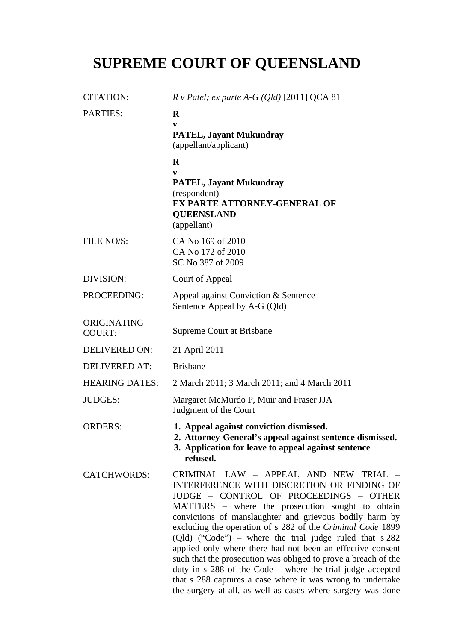# **SUPREME COURT OF QUEENSLAND**

| <b>CITATION:</b>             | $R \vee$ Patel; ex parte A-G (Qld) [2011] QCA 81                                                                                                                                                                                                                                                                                                                                                                                                                                                                                                                                                                                                                                                     |
|------------------------------|------------------------------------------------------------------------------------------------------------------------------------------------------------------------------------------------------------------------------------------------------------------------------------------------------------------------------------------------------------------------------------------------------------------------------------------------------------------------------------------------------------------------------------------------------------------------------------------------------------------------------------------------------------------------------------------------------|
| <b>PARTIES:</b>              | $\mathbf R$<br>V<br><b>PATEL, Jayant Mukundray</b><br>(appellant/applicant)                                                                                                                                                                                                                                                                                                                                                                                                                                                                                                                                                                                                                          |
|                              | $\mathbf R$                                                                                                                                                                                                                                                                                                                                                                                                                                                                                                                                                                                                                                                                                          |
|                              | V<br><b>PATEL, Jayant Mukundray</b><br>(respondent)<br><b>EX PARTE ATTORNEY-GENERAL OF</b><br><b>QUEENSLAND</b><br>(appellant)                                                                                                                                                                                                                                                                                                                                                                                                                                                                                                                                                                       |
| FILE NO/S:                   | CA No 169 of 2010<br>CA No 172 of 2010<br>SC No 387 of 2009                                                                                                                                                                                                                                                                                                                                                                                                                                                                                                                                                                                                                                          |
| DIVISION:                    | Court of Appeal                                                                                                                                                                                                                                                                                                                                                                                                                                                                                                                                                                                                                                                                                      |
| PROCEEDING:                  | Appeal against Conviction & Sentence<br>Sentence Appeal by A-G (Qld)                                                                                                                                                                                                                                                                                                                                                                                                                                                                                                                                                                                                                                 |
| ORIGINATING<br><b>COURT:</b> | Supreme Court at Brisbane                                                                                                                                                                                                                                                                                                                                                                                                                                                                                                                                                                                                                                                                            |
| <b>DELIVERED ON:</b>         | 21 April 2011                                                                                                                                                                                                                                                                                                                                                                                                                                                                                                                                                                                                                                                                                        |
| <b>DELIVERED AT:</b>         | <b>Brisbane</b>                                                                                                                                                                                                                                                                                                                                                                                                                                                                                                                                                                                                                                                                                      |
| <b>HEARING DATES:</b>        | 2 March 2011; 3 March 2011; and 4 March 2011                                                                                                                                                                                                                                                                                                                                                                                                                                                                                                                                                                                                                                                         |
| <b>JUDGES:</b>               | Margaret McMurdo P, Muir and Fraser JJA<br>Judgment of the Court                                                                                                                                                                                                                                                                                                                                                                                                                                                                                                                                                                                                                                     |
| <b>ORDERS:</b>               | 1. Appeal against conviction dismissed.<br>2. Attorney-General's appeal against sentence dismissed.<br>3. Application for leave to appeal against sentence<br>refused.                                                                                                                                                                                                                                                                                                                                                                                                                                                                                                                               |
| <b>CATCHWORDS:</b>           | CRIMINAL LAW - APPEAL AND NEW TRIAL -<br>INTERFERENCE WITH DISCRETION OR FINDING OF<br>JUDGE - CONTROL OF PROCEEDINGS - OTHER<br>MATTERS – where the prosecution sought to obtain<br>convictions of manslaughter and grievous bodily harm by<br>excluding the operation of s 282 of the Criminal Code 1899<br>(Qld) ("Code") – where the trial judge ruled that $s$ 282<br>applied only where there had not been an effective consent<br>such that the prosecution was obliged to prove a breach of the<br>duty in $s$ 288 of the Code – where the trial judge accepted<br>that s 288 captures a case where it was wrong to undertake<br>the surgery at all, as well as cases where surgery was done |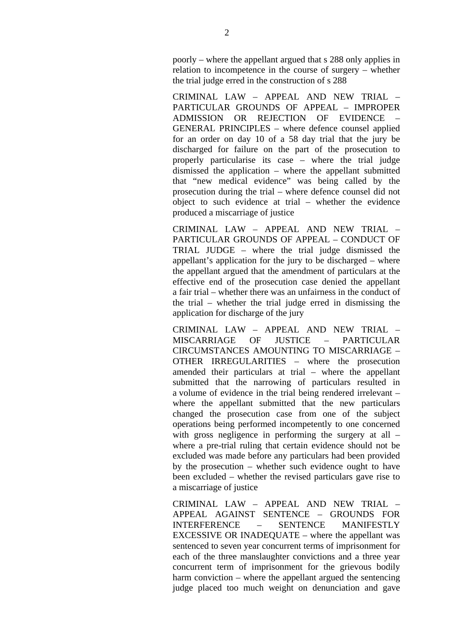poorly – where the appellant argued that s 288 only applies in relation to incompetence in the course of surgery – whether the trial judge erred in the construction of s 288

CRIMINAL LAW – APPEAL AND NEW TRIAL – PARTICULAR GROUNDS OF APPEAL – IMPROPER ADMISSION OR REJECTION OF EVIDENCE – GENERAL PRINCIPLES – where defence counsel applied for an order on day 10 of a 58 day trial that the jury be discharged for failure on the part of the prosecution to properly particularise its case – where the trial judge dismissed the application – where the appellant submitted that "new medical evidence" was being called by the prosecution during the trial – where defence counsel did not object to such evidence at trial – whether the evidence produced a miscarriage of justice

CRIMINAL LAW – APPEAL AND NEW TRIAL – PARTICULAR GROUNDS OF APPEAL – CONDUCT OF TRIAL JUDGE – where the trial judge dismissed the appellant's application for the jury to be discharged – where the appellant argued that the amendment of particulars at the effective end of the prosecution case denied the appellant a fair trial – whether there was an unfairness in the conduct of the trial – whether the trial judge erred in dismissing the application for discharge of the jury

CRIMINAL LAW – APPEAL AND NEW TRIAL – MISCARRIAGE OF HISTICE - PARTICULAR CIRCUMSTANCES AMOUNTING TO MISCARRIAGE – OTHER IRREGULARITIES – where the prosecution amended their particulars at trial – where the appellant submitted that the narrowing of particulars resulted in a volume of evidence in the trial being rendered irrelevant – where the appellant submitted that the new particulars changed the prosecution case from one of the subject operations being performed incompetently to one concerned with gross negligence in performing the surgery at all – where a pre-trial ruling that certain evidence should not be excluded was made before any particulars had been provided by the prosecution – whether such evidence ought to have been excluded – whether the revised particulars gave rise to a miscarriage of justice

CRIMINAL LAW – APPEAL AND NEW TRIAL – APPEAL AGAINST SENTENCE – GROUNDS FOR INTERFERENCE – SENTENCE MANIFESTLY EXCESSIVE OR INADEQUATE – where the appellant was sentenced to seven year concurrent terms of imprisonment for each of the three manslaughter convictions and a three year concurrent term of imprisonment for the grievous bodily harm conviction – where the appellant argued the sentencing judge placed too much weight on denunciation and gave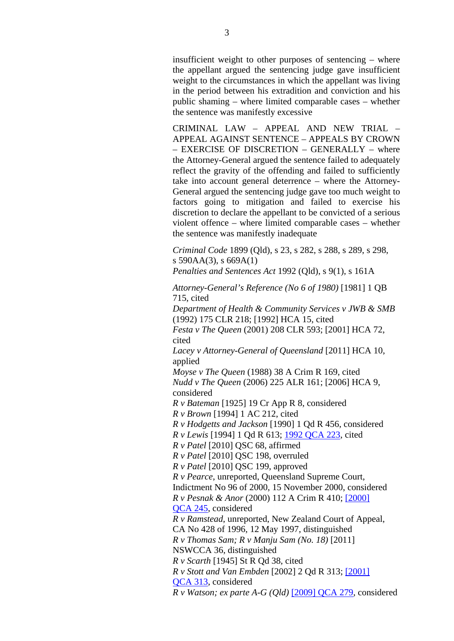insufficient weight to other purposes of sentencing – where the appellant argued the sentencing judge gave insufficient weight to the circumstances in which the appellant was living in the period between his extradition and conviction and his public shaming – where limited comparable cases – whether the sentence was manifestly excessive

CRIMINAL LAW – APPEAL AND NEW TRIAL – APPEAL AGAINST SENTENCE – APPEALS BY CROWN – EXERCISE OF DISCRETION – GENERALLY – where the Attorney-General argued the sentence failed to adequately reflect the gravity of the offending and failed to sufficiently take into account general deterrence – where the Attorney-General argued the sentencing judge gave too much weight to factors going to mitigation and failed to exercise his discretion to declare the appellant to be convicted of a serious violent offence – where limited comparable cases – whether the sentence was manifestly inadequate

*Criminal Code* 1899 (Qld), s 23, s 282, s 288, s 289, s 298, s 590AA(3), s 669A(1) *Penalties and Sentences Act* 1992 (Qld), s 9(1), s 161A

*Attorney-General's Reference (No 6 of 1980)* [1981] 1 QB 715, cited

*Department of Health & Community Services v JWB & SMB*  (1992) 175 CLR 218; [1992] HCA 15, cited

*Festa v The Queen* (2001) 208 CLR 593; [2001] HCA 72, cited

*Lacey v Attorney-General of Queensland* [2011] HCA 10, applied

*Moyse v The Queen* (1988) 38 A Crim R 169, cited *Nudd v The Queen* (2006) 225 ALR 161; [2006] HCA 9, considered

*R v Bateman* [1925] 19 Cr App R 8, considered *R v Brown* [1994] 1 AC 212, cited

*R v Hodgetts and Jackson* [1990] 1 Qd R 456, considered

*R v Lewis* [1994] 1 Qd R 613; 1992 QCA 223, cited

*R v Patel* [2010] QSC 68, affirmed

*R v Patel* [2010] QSC 198, overruled

*R v Patel* [2010] QSC 199, approved

*R v Pearce*, unreported, Queensland Supreme Court, Indictment No 96 of 2000, 15 November 2000, considered *R v Pesnak & Anor* (2000) 112 A Crim R 410; [2000] QCA 245, considered

*R v Ramstead*, unreported, New Zealand Court of Appeal,

CA No 428 of 1996, 12 May 1997, distinguished

*R v Thomas Sam; R v Manju Sam (No. 18)* [2011]

NSWCCA 36, distinguished

*R v Scarth* [1945] St R Qd 38, cited

*R v Stott and Van Embden* [2002] 2 Qd R 313; [2001]

QCA 313, considered

*R v Watson; ex parte A-G (Qld)* [2009] QCA 279, considered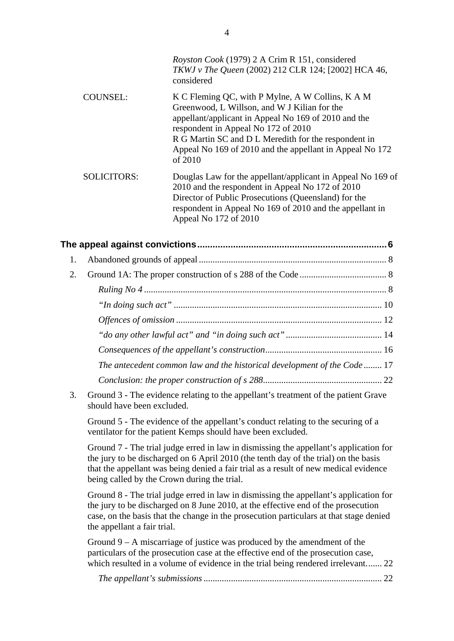|                    | Royston Cook (1979) 2 A Crim R 151, considered<br>TKWJ v The Queen (2002) 212 CLR 124; [2002] HCA 46,<br>considered                                                                                                                                                                                                            |
|--------------------|--------------------------------------------------------------------------------------------------------------------------------------------------------------------------------------------------------------------------------------------------------------------------------------------------------------------------------|
| <b>COUNSEL:</b>    | K C Fleming QC, with P Mylne, A W Collins, K A M<br>Greenwood, L Willson, and W J Kilian for the<br>appellant/applicant in Appeal No 169 of 2010 and the<br>respondent in Appeal No 172 of 2010<br>R G Martin SC and D L Meredith for the respondent in<br>Appeal No 169 of 2010 and the appellant in Appeal No 172<br>of 2010 |
| <b>SOLICITORS:</b> | Douglas Law for the appellant/applicant in Appeal No 169 of<br>2010 and the respondent in Appeal No 172 of 2010<br>Director of Public Prosecutions (Queensland) for the<br>respondent in Appeal No 169 of 2010 and the appellant in<br>Appeal No 172 of 2010                                                                   |

| 1. |                                                                         |  |
|----|-------------------------------------------------------------------------|--|
| 2. |                                                                         |  |
|    |                                                                         |  |
|    |                                                                         |  |
|    |                                                                         |  |
|    |                                                                         |  |
|    |                                                                         |  |
|    | The antecedent common law and the historical development of the Code 17 |  |
|    |                                                                         |  |

3. Ground 3 - The evidence relating to the appellant's treatment of the patient Grave should have been excluded.

Ground 5 - The evidence of the appellant's conduct relating to the securing of a ventilator for the patient Kemps should have been excluded.

Ground 7 - The trial judge erred in law in dismissing the appellant's application for the jury to be discharged on 6 April 2010 (the tenth day of the trial) on the basis that the appellant was being denied a fair trial as a result of new medical evidence being called by the Crown during the trial.

Ground 8 - The trial judge erred in law in dismissing the appellant's application for the jury to be discharged on 8 June 2010, at the effective end of the prosecution case, on the basis that the change in the prosecution particulars at that stage denied the appellant a fair trial.

Ground  $9 - A$  miscarriage of justice was produced by the amendment of the particulars of the prosecution case at the effective end of the prosecution case, which resulted in a volume of evidence in the trial being rendered irrelevant....... 22

*The appellant's submissions*.............................................................................. 22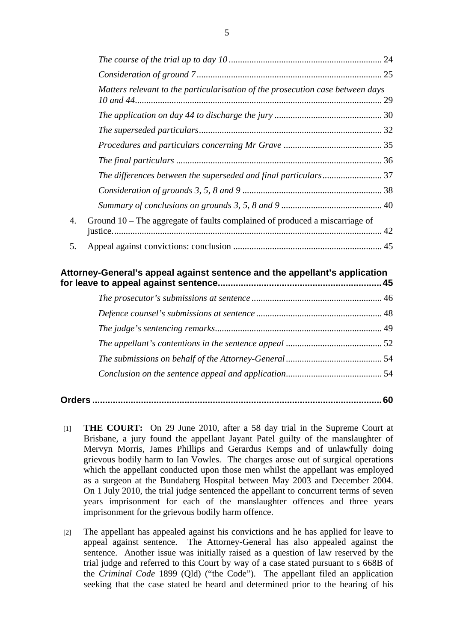|    |                                                                                | 24       |
|----|--------------------------------------------------------------------------------|----------|
|    |                                                                                | 25       |
|    | Matters relevant to the particularisation of the prosecution case between days | 29<br>42 |
|    |                                                                                |          |
|    |                                                                                |          |
|    |                                                                                |          |
|    |                                                                                |          |
|    |                                                                                |          |
|    |                                                                                |          |
|    |                                                                                |          |
| 4. | Ground $10$ – The aggregate of faults complained of produced a miscarriage of  |          |
| 5. |                                                                                |          |
|    |                                                                                |          |

# **Attorney-General's appeal against sentence and the appellant's application for leave to appeal against sentence................................................................45**

|--|--|

- [1] **THE COURT:** On 29 June 2010, after a 58 day trial in the Supreme Court at Brisbane, a jury found the appellant Jayant Patel guilty of the manslaughter of Mervyn Morris, James Phillips and Gerardus Kemps and of unlawfully doing grievous bodily harm to Ian Vowles. The charges arose out of surgical operations which the appellant conducted upon those men whilst the appellant was employed as a surgeon at the Bundaberg Hospital between May 2003 and December 2004. On 1 July 2010, the trial judge sentenced the appellant to concurrent terms of seven years imprisonment for each of the manslaughter offences and three years imprisonment for the grievous bodily harm offence.
- [2] The appellant has appealed against his convictions and he has applied for leave to appeal against sentence. The Attorney-General has also appealed against the sentence. Another issue was initially raised as a question of law reserved by the trial judge and referred to this Court by way of a case stated pursuant to s 668B of the *Criminal Code* 1899 (Qld) ("the Code"). The appellant filed an application seeking that the case stated be heard and determined prior to the hearing of his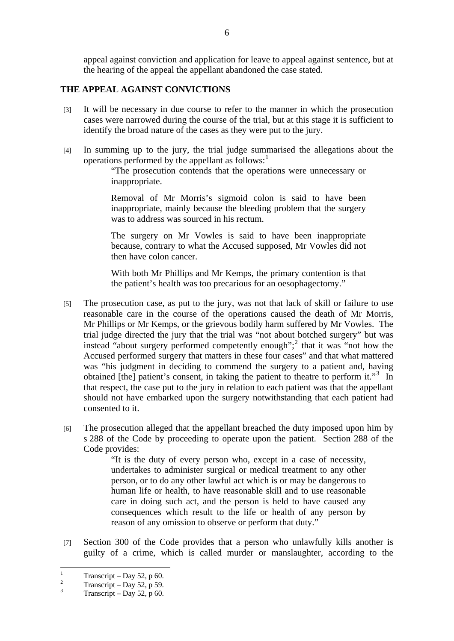appeal against conviction and application for leave to appeal against sentence, but at the hearing of the appeal the appellant abandoned the case stated.

## **THE APPEAL AGAINST CONVICTIONS**

- [3] It will be necessary in due course to refer to the manner in which the prosecution cases were narrowed during the course of the trial, but at this stage it is sufficient to identify the broad nature of the cases as they were put to the jury.
- [4] In summing up to the jury, the trial judge summarised the allegations about the operations performed by the appellant as follows: $<sup>1</sup>$ </sup>

"The prosecution contends that the operations were unnecessary or inappropriate.

Removal of Mr Morris's sigmoid colon is said to have been inappropriate, mainly because the bleeding problem that the surgery was to address was sourced in his rectum.

The surgery on Mr Vowles is said to have been inappropriate because, contrary to what the Accused supposed, Mr Vowles did not then have colon cancer.

With both Mr Phillips and Mr Kemps, the primary contention is that the patient's health was too precarious for an oesophagectomy."

- [5] The prosecution case, as put to the jury, was not that lack of skill or failure to use reasonable care in the course of the operations caused the death of Mr Morris, Mr Phillips or Mr Kemps, or the grievous bodily harm suffered by Mr Vowles. The trial judge directed the jury that the trial was "not about botched surgery" but was instead "about surgery performed competently enough";<sup>2</sup> that it was "not how the Accused performed surgery that matters in these four cases" and that what mattered was "his judgment in deciding to commend the surgery to a patient and, having obtained [the] patient's consent, in taking the patient to theatre to perform it."<sup>3</sup> In that respect, the case put to the jury in relation to each patient was that the appellant should not have embarked upon the surgery notwithstanding that each patient had consented to it.
- [6] The prosecution alleged that the appellant breached the duty imposed upon him by s 288 of the Code by proceeding to operate upon the patient. Section 288 of the Code provides:

"It is the duty of every person who, except in a case of necessity, undertakes to administer surgical or medical treatment to any other person, or to do any other lawful act which is or may be dangerous to human life or health, to have reasonable skill and to use reasonable care in doing such act, and the person is held to have caused any consequences which result to the life or health of any person by reason of any omission to observe or perform that duty."

[7] Section 300 of the Code provides that a person who unlawfully kills another is guilty of a crime, which is called murder or manslaughter, according to the

 $\frac{1}{1}$ Transcript – Day 52, p 60.

 $\overline{2}$ Transcript – Day 52, p 59.

<sup>3</sup> Transcript – Day 52, p 60.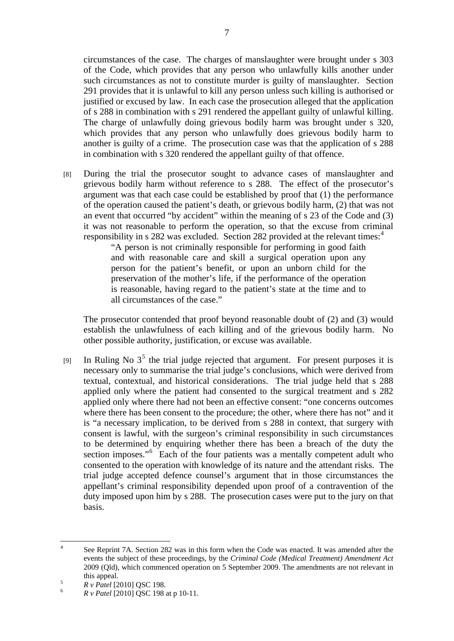circumstances of the case. The charges of manslaughter were brought under s 303 of the Code, which provides that any person who unlawfully kills another under such circumstances as not to constitute murder is guilty of manslaughter. Section 291 provides that it is unlawful to kill any person unless such killing is authorised or justified or excused by law. In each case the prosecution alleged that the application of s 288 in combination with s 291 rendered the appellant guilty of unlawful killing. The charge of unlawfully doing grievous bodily harm was brought under s 320, which provides that any person who unlawfully does grievous bodily harm to another is guilty of a crime. The prosecution case was that the application of s 288 in combination with s 320 rendered the appellant guilty of that offence.

[8] During the trial the prosecutor sought to advance cases of manslaughter and grievous bodily harm without reference to s 288. The effect of the prosecutor's argument was that each case could be established by proof that (1) the performance of the operation caused the patient's death, or grievous bodily harm, (2) that was not an event that occurred "by accident" within the meaning of s 23 of the Code and (3) it was not reasonable to perform the operation, so that the excuse from criminal responsibility in s 282 was excluded. Section 282 provided at the relevant times:<sup>4</sup>

"A person is not criminally responsible for performing in good faith and with reasonable care and skill a surgical operation upon any person for the patient's benefit, or upon an unborn child for the preservation of the mother's life, if the performance of the operation is reasonable, having regard to the patient's state at the time and to all circumstances of the case."

 The prosecutor contended that proof beyond reasonable doubt of (2) and (3) would establish the unlawfulness of each killing and of the grievous bodily harm. No other possible authority, justification, or excuse was available.

[9] In Ruling No  $3^5$  the trial judge rejected that argument. For present purposes it is necessary only to summarise the trial judge's conclusions, which were derived from textual, contextual, and historical considerations. The trial judge held that s 288 applied only where the patient had consented to the surgical treatment and s 282 applied only where there had not been an effective consent: "one concerns outcomes where there has been consent to the procedure; the other, where there has not" and it is "a necessary implication, to be derived from s 288 in context, that surgery with consent is lawful, with the surgeon's criminal responsibility in such circumstances to be determined by enquiring whether there has been a breach of the duty the section imposes."<sup>6</sup> Each of the four patients was a mentally competent adult who consented to the operation with knowledge of its nature and the attendant risks. The trial judge accepted defence counsel's argument that in those circumstances the appellant's criminal responsibility depended upon proof of a contravention of the duty imposed upon him by s 288. The prosecution cases were put to the jury on that basis.

 $\frac{1}{4}$  See Reprint 7A. Section 282 was in this form when the Code was enacted. It was amended after the events the subject of these proceedings, by the *Criminal Code (Medical Treatment) Amendment Act* 2009 (Qld), which commenced operation on 5 September 2009. The amendments are not relevant in  $\frac{1}{5}$  this appeal.

*R v Patel* [2010] QSC 198. 6

*R v Patel* [2010] QSC 198 at p 10-11.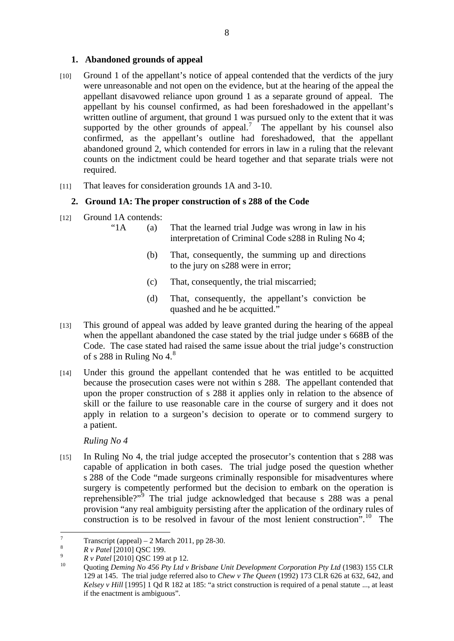## **1. Abandoned grounds of appeal**

- [10] Ground 1 of the appellant's notice of appeal contended that the verdicts of the jury were unreasonable and not open on the evidence, but at the hearing of the appeal the appellant disavowed reliance upon ground 1 as a separate ground of appeal. The appellant by his counsel confirmed, as had been foreshadowed in the appellant's written outline of argument, that ground 1 was pursued only to the extent that it was supported by the other grounds of appeal.<sup>7</sup> The appellant by his counsel also confirmed, as the appellant's outline had foreshadowed, that the appellant abandoned ground 2, which contended for errors in law in a ruling that the relevant counts on the indictment could be heard together and that separate trials were not required.
- [11] That leaves for consideration grounds 1A and 3-10.

# **2. Ground 1A: The proper construction of s 288 of the Code**

- [12] Ground 1A contends:
	- "1A (a) That the learned trial Judge was wrong in law in his interpretation of Criminal Code s288 in Ruling No 4;
		- (b) That, consequently, the summing up and directions to the jury on s288 were in error;
		- (c) That, consequently, the trial miscarried;
		- (d) That, consequently, the appellant's conviction be quashed and he be acquitted."
- [13] This ground of appeal was added by leave granted during the hearing of the appeal when the appellant abandoned the case stated by the trial judge under s 668B of the Code. The case stated had raised the same issue about the trial judge's construction of s 288 in Ruling No  $4<sup>8</sup>$
- [14] Under this ground the appellant contended that he was entitled to be acquitted because the prosecution cases were not within s 288. The appellant contended that upon the proper construction of s 288 it applies only in relation to the absence of skill or the failure to use reasonable care in the course of surgery and it does not apply in relation to a surgeon's decision to operate or to commend surgery to a patient.

*Ruling No 4* 

[15] In Ruling No 4, the trial judge accepted the prosecutor's contention that s 288 was capable of application in both cases. The trial judge posed the question whether s 288 of the Code "made surgeons criminally responsible for misadventures where surgery is competently performed but the decision to embark on the operation is reprehensible?"<sup>9</sup> The trial judge acknowledged that because s 288 was a penal provision "any real ambiguity persisting after the application of the ordinary rules of construction is to be resolved in favour of the most lenient construction".<sup>10</sup> The

<sup>&</sup>lt;sup>-</sup> Transcript (appeal) –  $2$  March 2011, pp 28-30.

<sup>8</sup>

<sup>&</sup>lt;sup>8</sup> *R v Patel* [2010] QSC 199.<br><sup>9</sup> *R v Patel* [2010] QSC 199 at p 12.

*R v Patel* [2010] QSC 199 at p 12. 10 Quoting *Deming No 456 Pty Ltd v Brisbane Unit Development Corporation Pty Ltd* (1983) 155 CLR 129 at 145. The trial judge referred also to *Chew v The Queen* (1992) 173 CLR 626 at 632, 642, and *Kelsey v Hill* [1995] 1 Qd R 182 at 185: "a strict construction is required of a penal statute ..., at least if the enactment is ambiguous".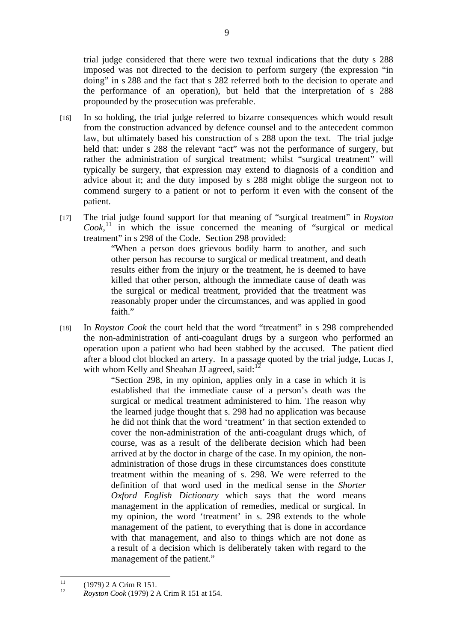trial judge considered that there were two textual indications that the duty s 288 imposed was not directed to the decision to perform surgery (the expression "in doing" in s 288 and the fact that s 282 referred both to the decision to operate and the performance of an operation), but held that the interpretation of s 288 propounded by the prosecution was preferable.

- [16] In so holding, the trial judge referred to bizarre consequences which would result from the construction advanced by defence counsel and to the antecedent common law, but ultimately based his construction of s 288 upon the text. The trial judge held that: under s 288 the relevant "act" was not the performance of surgery, but rather the administration of surgical treatment; whilst "surgical treatment" will typically be surgery, that expression may extend to diagnosis of a condition and advice about it; and the duty imposed by s 288 might oblige the surgeon not to commend surgery to a patient or not to perform it even with the consent of the patient.
- [17] The trial judge found support for that meaning of "surgical treatment" in *Royston*   $Cook$ ,<sup>11</sup> in which the issue concerned the meaning of "surgical or medical treatment" in s 298 of the Code. Section 298 provided:

"When a person does grievous bodily harm to another, and such other person has recourse to surgical or medical treatment, and death results either from the injury or the treatment, he is deemed to have killed that other person, although the immediate cause of death was the surgical or medical treatment, provided that the treatment was reasonably proper under the circumstances, and was applied in good faith."

[18] In *Royston Cook* the court held that the word "treatment" in s 298 comprehended the non-administration of anti-coagulant drugs by a surgeon who performed an operation upon a patient who had been stabbed by the accused. The patient died after a blood clot blocked an artery. In a passage quoted by the trial judge, Lucas J, with whom Kelly and Sheahan JJ agreed, said: $12$ 

"Section 298, in my opinion, applies only in a case in which it is established that the immediate cause of a person's death was the surgical or medical treatment administered to him. The reason why the learned judge thought that s. 298 had no application was because he did not think that the word 'treatment' in that section extended to cover the non-administration of the anti-coagulant drugs which, of course, was as a result of the deliberate decision which had been arrived at by the doctor in charge of the case. In my opinion, the nonadministration of those drugs in these circumstances does constitute treatment within the meaning of s. 298. We were referred to the definition of that word used in the medical sense in the *Shorter Oxford English Dictionary* which says that the word means management in the application of remedies, medical or surgical. In my opinion, the word 'treatment' in s. 298 extends to the whole management of the patient, to everything that is done in accordance with that management, and also to things which are not done as a result of a decision which is deliberately taken with regard to the management of the patient."

 $11$  $11$  (1979) 2 A Crim R 151.

<sup>12</sup> *Royston Cook* (1979) 2 A Crim R 151 at 154.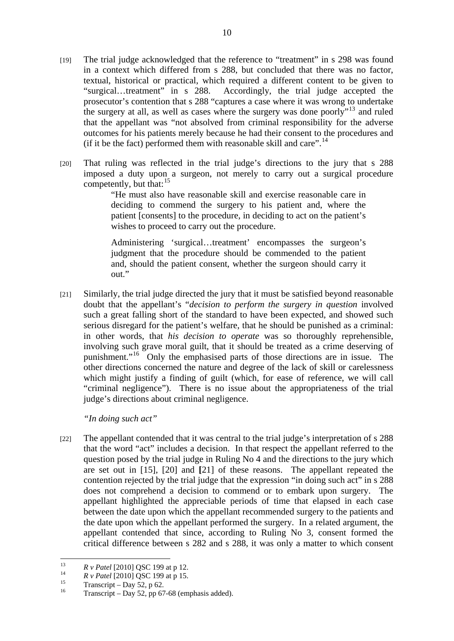- [19] The trial judge acknowledged that the reference to "treatment" in s 298 was found in a context which differed from s 288, but concluded that there was no factor, textual, historical or practical, which required a different content to be given to "surgical…treatment" in s 288. Accordingly, the trial judge accepted the prosecutor's contention that s 288 "captures a case where it was wrong to undertake the surgery at all, as well as cases where the surgery was done poorly<sup>"13</sup> and ruled that the appellant was "not absolved from criminal responsibility for the adverse outcomes for his patients merely because he had their consent to the procedures and (if it be the fact) performed them with reasonable skill and care".<sup>14</sup>
- [20] That ruling was reflected in the trial judge's directions to the jury that s 288 imposed a duty upon a surgeon, not merely to carry out a surgical procedure competently, but that:<sup>15</sup>

"He must also have reasonable skill and exercise reasonable care in deciding to commend the surgery to his patient and, where the patient [consents] to the procedure, in deciding to act on the patient's wishes to proceed to carry out the procedure.

Administering 'surgical…treatment' encompasses the surgeon's judgment that the procedure should be commended to the patient and, should the patient consent, whether the surgeon should carry it out."

[21] Similarly, the trial judge directed the jury that it must be satisfied beyond reasonable doubt that the appellant's "*decision to perform the surgery in question* involved such a great falling short of the standard to have been expected, and showed such serious disregard for the patient's welfare, that he should be punished as a criminal: in other words, that *his decision to operate* was so thoroughly reprehensible, involving such grave moral guilt, that it should be treated as a crime deserving of punishment."<sup>16</sup> Only the emphasised parts of those directions are in issue. The other directions concerned the nature and degree of the lack of skill or carelessness which might justify a finding of guilt (which, for ease of reference, we will call "criminal negligence"). There is no issue about the appropriateness of the trial judge's directions about criminal negligence.

*"In doing such act"* 

[22] The appellant contended that it was central to the trial judge's interpretation of s 288 that the word "act" includes a decision. In that respect the appellant referred to the question posed by the trial judge in Ruling No 4 and the directions to the jury which are set out in [15], [20] and **[**21] of these reasons. The appellant repeated the contention rejected by the trial judge that the expression "in doing such act" in s 288 does not comprehend a decision to commend or to embark upon surgery. The appellant highlighted the appreciable periods of time that elapsed in each case between the date upon which the appellant recommended surgery to the patients and the date upon which the appellant performed the surgery. In a related argument, the appellant contended that since, according to Ruling No 3, consent formed the critical difference between s 282 and s 288, it was only a matter to which consent

 $13$ 

<sup>&</sup>lt;sup>13</sup><br>*R v Patel* [2010] QSC 199 at p 12.<br>*R v Patel* [2010] QSC 199 at p 15.<br>Transcript – Day 52, p 62.

Transcript – Day 52, pp 67-68 (emphasis added).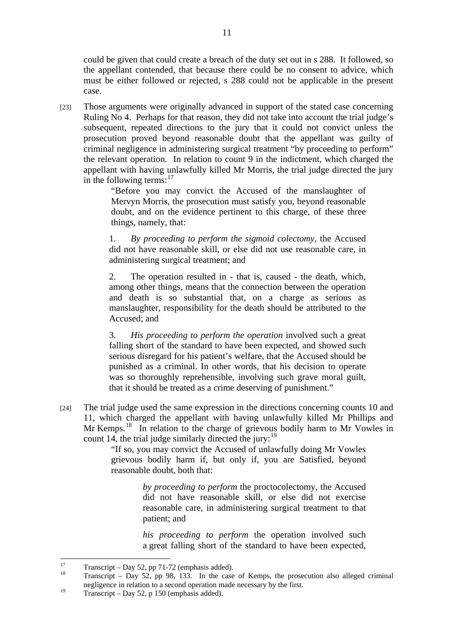could be given that could create a breach of the duty set out in s 288. It followed, so the appellant contended, that because there could be no consent to advice, which must be either followed or rejected, s 288 could not be applicable in the present case.

[23] Those arguments were originally advanced in support of the stated case concerning Ruling No 4. Perhaps for that reason, they did not take into account the trial judge's subsequent, repeated directions to the jury that it could not convict unless the prosecution proved beyond reasonable doubt that the appellant was guilty of criminal negligence in administering surgical treatment "by proceeding to perform" the relevant operation. In relation to count 9 in the indictment, which charged the appellant with having unlawfully killed Mr Morris, the trial judge directed the jury in the following terms: $17$ 

> "Before you may convict the Accused of the manslaughter of Mervyn Morris, the prosecution must satisfy you, beyond reasonable doubt, and on the evidence pertinent to this charge, of these three things, namely, that:

> 1. *By proceeding to perform the sigmoid colectomy*, the Accused did not have reasonable skill, or else did not use reasonable care, in administering surgical treatment; and

> 2. The operation resulted in - that is, caused - the death, which, among other things, means that the connection between the operation and death is so substantial that, on a charge as serious as manslaughter, responsibility for the death should be attributed to the Accused; and

> 3. *His proceeding to perform the operation* involved such a great falling short of the standard to have been expected, and showed such serious disregard for his patient's welfare, that the Accused should be punished as a criminal. In other words, that his decision to operate was so thoroughly reprehensible, involving such grave moral guilt, that it should be treated as a crime deserving of punishment."

[24] The trial judge used the same expression in the directions concerning counts 10 and 11, which charged the appellant with having unlawfully killed Mr Phillips and Mr Kemps.<sup>18</sup> In relation to the charge of grievous bodily harm to Mr Vowles in count 14, the trial judge similarly directed the jury:  $19$ 

> "If so, you may convict the Accused of unlawfully doing Mr Vowles grievous bodily harm if, but only if, you are Satisfied, beyond reasonable doubt, both that:

> > *by proceeding to perform* the proctocolectomy, the Accused did not have reasonable skill, or else did not exercise reasonable care, in administering surgical treatment to that patient; and

> > *his proceeding to perform* the operation involved such a great falling short of the standard to have been expected,

 $17$  $17$  Transcript – Day 52, pp 71-72 (emphasis added).

<sup>18</sup> Transcript – Day 52, pp 98, 133. In the case of Kemps, the prosecution also alleged criminal negligence in relation to a second operation made necessary by the first.

<sup>&</sup>lt;sup>19</sup> Transcript – Day 52, p 150 (emphasis added).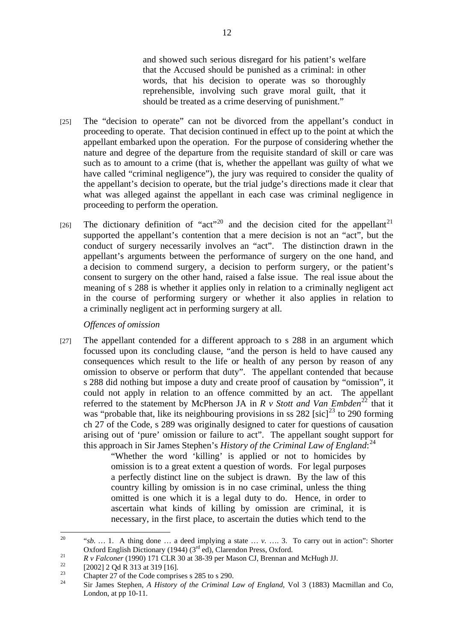and showed such serious disregard for his patient's welfare that the Accused should be punished as a criminal: in other words, that his decision to operate was so thoroughly reprehensible, involving such grave moral guilt, that it should be treated as a crime deserving of punishment."

- [25] The "decision to operate" can not be divorced from the appellant's conduct in proceeding to operate. That decision continued in effect up to the point at which the appellant embarked upon the operation. For the purpose of considering whether the nature and degree of the departure from the requisite standard of skill or care was such as to amount to a crime (that is, whether the appellant was guilty of what we have called "criminal negligence"), the jury was required to consider the quality of the appellant's decision to operate, but the trial judge's directions made it clear that what was alleged against the appellant in each case was criminal negligence in proceeding to perform the operation.
- [26] The dictionary definition of "act"<sup>20</sup> and the decision cited for the appellant<sup>21</sup> supported the appellant's contention that a mere decision is not an "act", but the conduct of surgery necessarily involves an "act". The distinction drawn in the appellant's arguments between the performance of surgery on the one hand, and a decision to commend surgery, a decision to perform surgery, or the patient's consent to surgery on the other hand, raised a false issue. The real issue about the meaning of s 288 is whether it applies only in relation to a criminally negligent act in the course of performing surgery or whether it also applies in relation to a criminally negligent act in performing surgery at all.

#### *Offences of omission*

[27] The appellant contended for a different approach to s 288 in an argument which focussed upon its concluding clause, "and the person is held to have caused any consequences which result to the life or health of any person by reason of any omission to observe or perform that duty". The appellant contended that because s 288 did nothing but impose a duty and create proof of causation by "omission", it could not apply in relation to an offence committed by an act. The appellant referred to the statement by McPherson JA in  $R$  v Stott and Van Embden<sup>22</sup> that it was "probable that, like its neighbouring provisions in ss 282 [sic]<sup>23</sup> to 290 forming ch 27 of the Code, s 289 was originally designed to cater for questions of causation arising out of 'pure' omission or failure to act". The appellant sought support for this approach in Sir James Stephen's *History of the Criminal Law of England*: 24

"Whether the word 'killing' is applied or not to homicides by omission is to a great extent a question of words. For legal purposes a perfectly distinct line on the subject is drawn. By the law of this country killing by omission is in no case criminal, unless the thing omitted is one which it is a legal duty to do. Hence, in order to ascertain what kinds of killing by omission are criminal, it is necessary, in the first place, to ascertain the duties which tend to the

 $20\degree$ 20 "*sb. …* 1. A thing done … a deed implying a state … *v.* …. 3. To carry out in action": Shorter Oxford English Dictionary (1944) ( $3^{\text{rd}}$  ed), Clarendon Press, Oxford.<br> *R v Falconer* (1990) 171 CLR 30 at 38-39 per Mason CJ, Brennan and McHugh JJ.<br>
[2002] 2 Qd R 313 at 319 [16].

 $\frac{23}{24}$  Chapter 27 of the Code comprises s 285 to s 290.

<sup>24</sup> Sir James Stephen*, A History of the Criminal Law of England*, Vol 3 (1883) Macmillan and Co, London, at pp 10-11.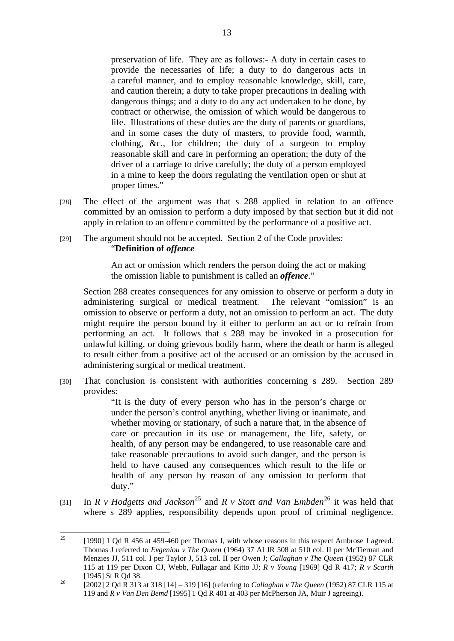preservation of life. They are as follows:- A duty in certain cases to provide the necessaries of life; a duty to do dangerous acts in a careful manner, and to employ reasonable knowledge, skill, care, and caution therein; a duty to take proper precautions in dealing with dangerous things; and a duty to do any act undertaken to be done, by contract or otherwise, the omission of which would be dangerous to life. Illustrations of these duties are the duty of parents or guardians, and in some cases the duty of masters, to provide food, warmth, clothing, &c., for children; the duty of a surgeon to employ reasonable skill and care in performing an operation; the duty of the driver of a carriage to drive carefully; the duty of a person employed in a mine to keep the doors regulating the ventilation open or shut at proper times."

- [28] The effect of the argument was that s 288 applied in relation to an offence committed by an omission to perform a duty imposed by that section but it did not apply in relation to an offence committed by the performance of a positive act.
- [29] The argument should not be accepted. Section 2 of the Code provides: "**Definition of** *offence*

An act or omission which renders the person doing the act or making the omission liable to punishment is called an *offence*."

Section 288 creates consequences for any omission to observe or perform a duty in administering surgical or medical treatment. The relevant "omission" is an omission to observe or perform a duty, not an omission to perform an act. The duty might require the person bound by it either to perform an act or to refrain from performing an act. It follows that s 288 may be invoked in a prosecution for unlawful killing, or doing grievous bodily harm, where the death or harm is alleged to result either from a positive act of the accused or an omission by the accused in administering surgical or medical treatment.

[30] That conclusion is consistent with authorities concerning s 289. Section 289 provides:

"It is the duty of every person who has in the person's charge or under the person's control anything, whether living or inanimate, and whether moving or stationary, of such a nature that, in the absence of care or precaution in its use or management, the life, safety, or health, of any person may be endangered, to use reasonable care and take reasonable precautions to avoid such danger, and the person is held to have caused any consequences which result to the life or health of any person by reason of any omission to perform that duty."

[31] In *R v Hodgetts and Jackson*<sup>25</sup> and *R v Stott and Van Embden*<sup>26</sup> it was held that where s 289 applies, responsibility depends upon proof of criminal negligence.

 $25$ [1990] 1 Qd R 456 at 459-460 per Thomas J, with whose reasons in this respect Ambrose J agreed. Thomas J referred to *Evgeniou v The Queen* (1964) 37 ALJR 508 at 510 col. II per McTiernan and Menzies JJ, 511 col. I per Taylor J, 513 col. II per Owen J; *Callaghan v The Queen* (1952) 87 CLR 115 at 119 per Dixon CJ, Webb, Fullagar and Kitto JJ; *R v Young* [1969] Qd R 417; *R v Scarth*

<sup>[1945]</sup> St R Qd 38. 26 [2002] 2 Qd R 313 at 318 [14] – 319 [16] (referring to *Callaghan v The Queen* (1952) 87 CLR 115 at 119 and *R v Van Den Bemd* [1995] 1 Qd R 401 at 403 per McPherson JA, Muir J agreeing).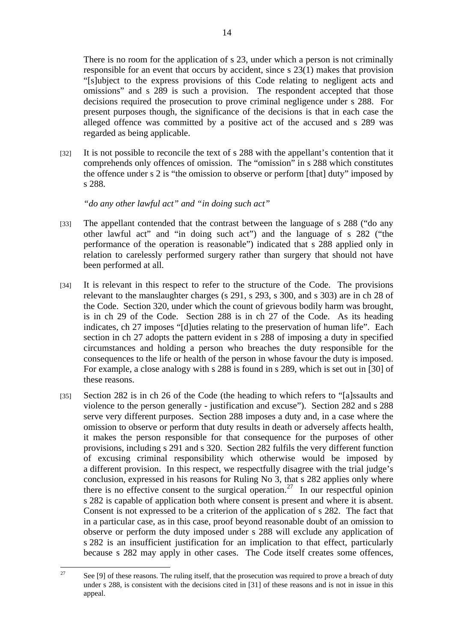There is no room for the application of s 23, under which a person is not criminally responsible for an event that occurs by accident, since s 23(1) makes that provision "[s]ubject to the express provisions of this Code relating to negligent acts and omissions" and s 289 is such a provision. The respondent accepted that those decisions required the prosecution to prove criminal negligence under s 288. For present purposes though, the significance of the decisions is that in each case the alleged offence was committed by a positive act of the accused and s 289 was regarded as being applicable.

[32] It is not possible to reconcile the text of s 288 with the appellant's contention that it comprehends only offences of omission. The "omission" in s 288 which constitutes the offence under s 2 is "the omission to observe or perform [that] duty" imposed by s 288.

*"do any other lawful act" and "in doing such act"* 

- [33] The appellant contended that the contrast between the language of s 288 ("do any other lawful act" and "in doing such act") and the language of s 282 ("the performance of the operation is reasonable") indicated that s 288 applied only in relation to carelessly performed surgery rather than surgery that should not have been performed at all.
- [34] It is relevant in this respect to refer to the structure of the Code. The provisions relevant to the manslaughter charges (s 291, s 293, s 300, and s 303) are in ch 28 of the Code. Section 320, under which the count of grievous bodily harm was brought, is in ch 29 of the Code. Section 288 is in ch 27 of the Code. As its heading indicates, ch 27 imposes "[d]uties relating to the preservation of human life". Each section in ch 27 adopts the pattern evident in s 288 of imposing a duty in specified circumstances and holding a person who breaches the duty responsible for the consequences to the life or health of the person in whose favour the duty is imposed. For example, a close analogy with s 288 is found in s 289, which is set out in [30] of these reasons.
- [35] Section 282 is in ch 26 of the Code (the heading to which refers to "[a]ssaults and violence to the person generally - justification and excuse"). Section 282 and s 288 serve very different purposes. Section 288 imposes a duty and, in a case where the omission to observe or perform that duty results in death or adversely affects health, it makes the person responsible for that consequence for the purposes of other provisions, including s 291 and s 320. Section 282 fulfils the very different function of excusing criminal responsibility which otherwise would be imposed by a different provision. In this respect, we respectfully disagree with the trial judge's conclusion, expressed in his reasons for Ruling No 3, that s 282 applies only where there is no effective consent to the surgical operation.<sup>27</sup> In our respectful opinion s 282 is capable of application both where consent is present and where it is absent. Consent is not expressed to be a criterion of the application of s 282. The fact that in a particular case, as in this case, proof beyond reasonable doubt of an omission to observe or perform the duty imposed under s 288 will exclude any application of s 282 is an insufficient justification for an implication to that effect, particularly because s 282 may apply in other cases. The Code itself creates some offences,

 $27$ See [9] of these reasons. The ruling itself, that the prosecution was required to prove a breach of duty under s 288, is consistent with the decisions cited in [31] of these reasons and is not in issue in this appeal.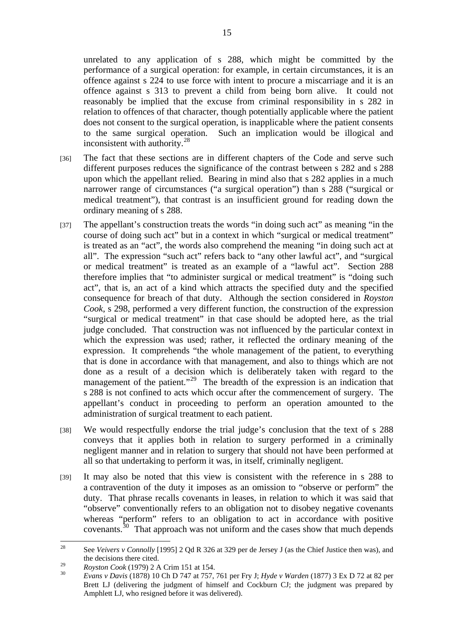unrelated to any application of s 288, which might be committed by the performance of a surgical operation: for example, in certain circumstances, it is an offence against s 224 to use force with intent to procure a miscarriage and it is an offence against s 313 to prevent a child from being born alive. It could not reasonably be implied that the excuse from criminal responsibility in s 282 in relation to offences of that character, though potentially applicable where the patient does not consent to the surgical operation, is inapplicable where the patient consents to the same surgical operation. Such an implication would be illogical and inconsistent with authority.<sup>28</sup>

- [36] The fact that these sections are in different chapters of the Code and serve such different purposes reduces the significance of the contrast between s 282 and s 288 upon which the appellant relied. Bearing in mind also that s 282 applies in a much narrower range of circumstances ("a surgical operation") than s 288 ("surgical or medical treatment"), that contrast is an insufficient ground for reading down the ordinary meaning of s 288.
- [37] The appellant's construction treats the words "in doing such act" as meaning "in the course of doing such act" but in a context in which "surgical or medical treatment" is treated as an "act", the words also comprehend the meaning "in doing such act at all". The expression "such act" refers back to "any other lawful act", and "surgical or medical treatment" is treated as an example of a "lawful act". Section 288 therefore implies that "to administer surgical or medical treatment" is "doing such act", that is, an act of a kind which attracts the specified duty and the specified consequence for breach of that duty. Although the section considered in *Royston Cook*, s 298, performed a very different function, the construction of the expression "surgical or medical treatment" in that case should be adopted here, as the trial judge concluded. That construction was not influenced by the particular context in which the expression was used; rather, it reflected the ordinary meaning of the expression. It comprehends "the whole management of the patient, to everything that is done in accordance with that management, and also to things which are not done as a result of a decision which is deliberately taken with regard to the management of the patient."<sup>29</sup> The breadth of the expression is an indication that s 288 is not confined to acts which occur after the commencement of surgery. The appellant's conduct in proceeding to perform an operation amounted to the administration of surgical treatment to each patient.
- [38] We would respectfully endorse the trial judge's conclusion that the text of s 288 conveys that it applies both in relation to surgery performed in a criminally negligent manner and in relation to surgery that should not have been performed at all so that undertaking to perform it was, in itself, criminally negligent.
- [39] It may also be noted that this view is consistent with the reference in s 288 to a contravention of the duty it imposes as an omission to "observe or perform" the duty. That phrase recalls covenants in leases, in relation to which it was said that "observe" conventionally refers to an obligation not to disobey negative covenants whereas "perform" refers to an obligation to act in accordance with positive covenants. $30$  That approach was not uniform and the cases show that much depends

<sup>28</sup> 28 See *Veivers v Connolly* [1995] 2 Qd R 326 at 329 per de Jersey J (as the Chief Justice then was), and the decisions there cited.

<sup>29</sup>*Royston Cook* (1979) 2 A Crim 151 at 154. 30 *Evans v Davis* (1878) 10 Ch D 747 at 757, 761 per Fry J; *Hyde v Warden* (1877) 3 Ex D 72 at 82 per Brett LJ (delivering the judgment of himself and Cockburn CJ; the judgment was prepared by Amphlett LJ, who resigned before it was delivered).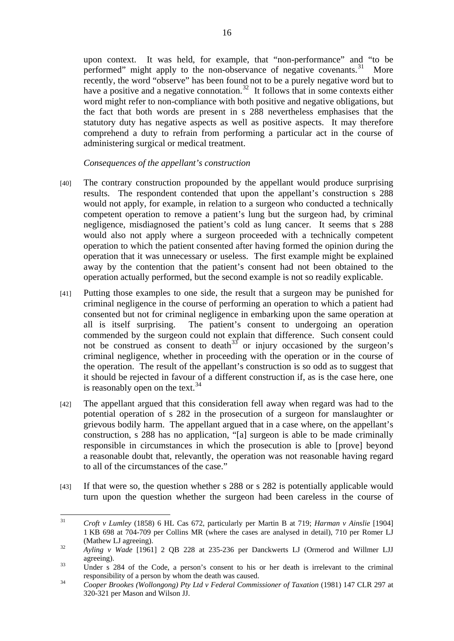upon context. It was held, for example, that "non-performance" and "to be performed" might apply to the non-observance of negative covenants. $31$  More recently, the word "observe" has been found not to be a purely negative word but to have a positive and a negative connotation.<sup>32</sup> It follows that in some contexts either word might refer to non-compliance with both positive and negative obligations, but the fact that both words are present in s 288 nevertheless emphasises that the statutory duty has negative aspects as well as positive aspects. It may therefore comprehend a duty to refrain from performing a particular act in the course of administering surgical or medical treatment.

*Consequences of the appellant's construction* 

- [40] The contrary construction propounded by the appellant would produce surprising results. The respondent contended that upon the appellant's construction s 288 would not apply, for example, in relation to a surgeon who conducted a technically competent operation to remove a patient's lung but the surgeon had, by criminal negligence, misdiagnosed the patient's cold as lung cancer. It seems that s 288 would also not apply where a surgeon proceeded with a technically competent operation to which the patient consented after having formed the opinion during the operation that it was unnecessary or useless. The first example might be explained away by the contention that the patient's consent had not been obtained to the operation actually performed, but the second example is not so readily explicable.
- [41] Putting those examples to one side, the result that a surgeon may be punished for criminal negligence in the course of performing an operation to which a patient had consented but not for criminal negligence in embarking upon the same operation at all is itself surprising. The patient's consent to undergoing an operation commended by the surgeon could not explain that difference. Such consent could not be construed as consent to death<sup>33</sup> or injury occasioned by the surgeon's criminal negligence, whether in proceeding with the operation or in the course of the operation. The result of the appellant's construction is so odd as to suggest that it should be rejected in favour of a different construction if, as is the case here, one is reasonably open on the text. $34$
- [42] The appellant argued that this consideration fell away when regard was had to the potential operation of s 282 in the prosecution of a surgeon for manslaughter or grievous bodily harm. The appellant argued that in a case where, on the appellant's construction, s 288 has no application, "[a] surgeon is able to be made criminally responsible in circumstances in which the prosecution is able to [prove] beyond a reasonable doubt that, relevantly, the operation was not reasonable having regard to all of the circumstances of the case."
- [43] If that were so, the question whether s 288 or s 282 is potentially applicable would turn upon the question whether the surgeon had been careless in the course of

 $31$ 31 *Croft v Lumley* (1858) 6 HL Cas 672, particularly per Martin B at 719; *Harman v Ainslie* [1904] 1 KB 698 at 704-709 per Collins MR (where the cases are analysed in detail), 710 per Romer LJ (Mathew LJ agreeing). 32 *Ayling v Wade* [1961] 2 QB 228 at 235-236 per Danckwerts LJ (Ormerod and Willmer LJJ

agreeing).<br>33 Under s 284 of the Code, a person's consent to his or her death is irrelevant to the criminal

responsibility of a person by whom the death was caused. 34 *Cooper Brookes (Wollongong) Pty Ltd v Federal Commissioner of Taxation* (1981) 147 CLR 297 at 320-321 per Mason and Wilson JJ.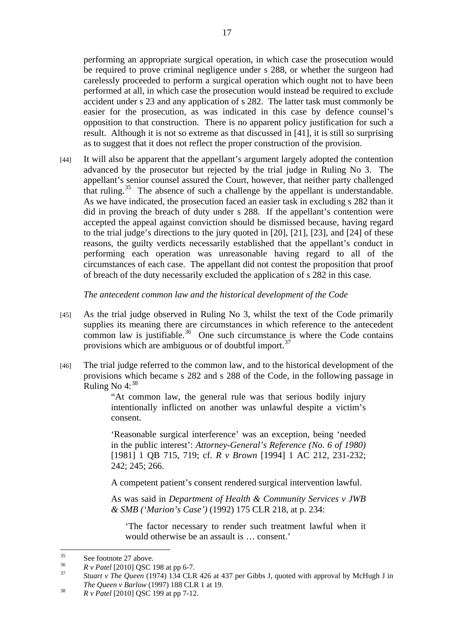performing an appropriate surgical operation, in which case the prosecution would be required to prove criminal negligence under s 288, or whether the surgeon had carelessly proceeded to perform a surgical operation which ought not to have been performed at all, in which case the prosecution would instead be required to exclude accident under s 23 and any application of s 282. The latter task must commonly be easier for the prosecution, as was indicated in this case by defence counsel's opposition to that construction. There is no apparent policy justification for such a result. Although it is not so extreme as that discussed in [41], it is still so surprising as to suggest that it does not reflect the proper construction of the provision.

[44] It will also be apparent that the appellant's argument largely adopted the contention advanced by the prosecutor but rejected by the trial judge in Ruling No 3. The appellant's senior counsel assured the Court, however, that neither party challenged that ruling.<sup>35</sup> The absence of such a challenge by the appellant is understandable. As we have indicated, the prosecution faced an easier task in excluding s 282 than it did in proving the breach of duty under s 288. If the appellant's contention were accepted the appeal against conviction should be dismissed because, having regard to the trial judge's directions to the jury quoted in [20], [21], [23], and [24] of these reasons, the guilty verdicts necessarily established that the appellant's conduct in performing each operation was unreasonable having regard to all of the circumstances of each case. The appellant did not contest the proposition that proof of breach of the duty necessarily excluded the application of s 282 in this case.

*The antecedent common law and the historical development of the Code* 

- [45] As the trial judge observed in Ruling No 3, whilst the text of the Code primarily supplies its meaning there are circumstances in which reference to the antecedent common law is justifiable.<sup>36</sup> One such circumstance is where the Code contains provisions which are ambiguous or of doubtful import.37
- [46] The trial judge referred to the common law, and to the historical development of the provisions which became s 282 and s 288 of the Code, in the following passage in Ruling No  $4:38$

"At common law, the general rule was that serious bodily injury intentionally inflicted on another was unlawful despite a victim's consent.

'Reasonable surgical interference' was an exception, being 'needed in the public interest': *Attorney-General's Reference (No. 6 of 1980)*  [1981] 1 QB 715, 719; cf. *R v Brown* [1994] 1 AC 212, 231-232; 242; 245; 266.

A competent patient's consent rendered surgical intervention lawful.

As was said in *Department of Health & Community Services v JWB & SMB ('Marion's Case')* (1992) 175 CLR 218, at p. 234:

'The factor necessary to render such treatment lawful when it would otherwise be an assault is … consent.'

 $35^{\circ}$  $\frac{35}{36}$  See footnote 27 above.

<sup>36</sup>*R v Patel* [2010] QSC 198 at pp 6-7. 37 *Stuart v The Queen* (1974) 134 CLR 426 at 437 per Gibbs J, quoted with approval by McHugh J in *The Queen v Barlow* (1997) 188 CLR 1 at 19.<br><sup>38</sup> *R v Patel* [2010] QSC 199 at pp 7-12.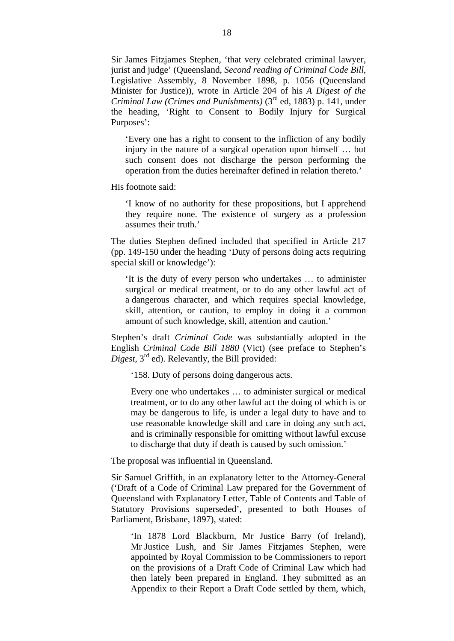Sir James Fitzjames Stephen, 'that very celebrated criminal lawyer, jurist and judge' (Queensland, *Second reading of Criminal Code Bill*, Legislative Assembly, 8 November 1898, p. 1056 (Queensland Minister for Justice)), wrote in Article 204 of his *A Digest of the Criminal Law (Crimes and Punishments)* (3<sup>rd</sup> ed, 1883) p. 141, under the heading, 'Right to Consent to Bodily Injury for Surgical Purposes':

'Every one has a right to consent to the infliction of any bodily injury in the nature of a surgical operation upon himself … but such consent does not discharge the person performing the operation from the duties hereinafter defined in relation thereto.'

His footnote said:

'I know of no authority for these propositions, but I apprehend they require none. The existence of surgery as a profession assumes their truth.'

The duties Stephen defined included that specified in Article 217 (pp. 149-150 under the heading 'Duty of persons doing acts requiring special skill or knowledge'):

'It is the duty of every person who undertakes … to administer surgical or medical treatment, or to do any other lawful act of a dangerous character, and which requires special knowledge, skill, attention, or caution, to employ in doing it a common amount of such knowledge, skill, attention and caution.'

Stephen's draft *Criminal Code* was substantially adopted in the English *Criminal Code Bill 1880* (Vict) (see preface to Stephen's *Digest*, 3<sup>rd</sup> ed). Relevantly, the Bill provided:

'158. Duty of persons doing dangerous acts.

Every one who undertakes … to administer surgical or medical treatment, or to do any other lawful act the doing of which is or may be dangerous to life, is under a legal duty to have and to use reasonable knowledge skill and care in doing any such act, and is criminally responsible for omitting without lawful excuse to discharge that duty if death is caused by such omission.'

The proposal was influential in Queensland.

Sir Samuel Griffith, in an explanatory letter to the Attorney-General ('Draft of a Code of Criminal Law prepared for the Government of Queensland with Explanatory Letter, Table of Contents and Table of Statutory Provisions superseded', presented to both Houses of Parliament, Brisbane, 1897), stated:

'In 1878 Lord Blackburn, Mr Justice Barry (of Ireland), Mr Justice Lush, and Sir James Fitzjames Stephen, were appointed by Royal Commission to be Commissioners to report on the provisions of a Draft Code of Criminal Law which had then lately been prepared in England. They submitted as an Appendix to their Report a Draft Code settled by them, which,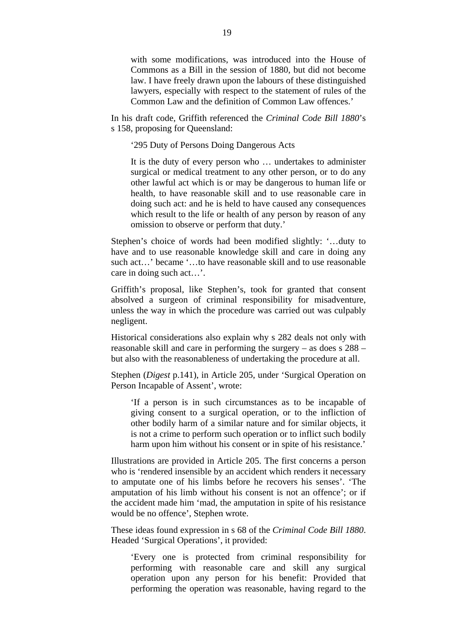with some modifications, was introduced into the House of Commons as a Bill in the session of 1880, but did not become law. I have freely drawn upon the labours of these distinguished lawyers, especially with respect to the statement of rules of the Common Law and the definition of Common Law offences.'

In his draft code, Griffith referenced the *Criminal Code Bill 1880*'s s 158, proposing for Queensland:

'295 Duty of Persons Doing Dangerous Acts

It is the duty of every person who … undertakes to administer surgical or medical treatment to any other person, or to do any other lawful act which is or may be dangerous to human life or health, to have reasonable skill and to use reasonable care in doing such act: and he is held to have caused any consequences which result to the life or health of any person by reason of any omission to observe or perform that duty.'

Stephen's choice of words had been modified slightly: '…duty to have and to use reasonable knowledge skill and care in doing any such act…' became '…to have reasonable skill and to use reasonable care in doing such act…'.

Griffith's proposal, like Stephen's, took for granted that consent absolved a surgeon of criminal responsibility for misadventure, unless the way in which the procedure was carried out was culpably negligent.

Historical considerations also explain why s 282 deals not only with reasonable skill and care in performing the surgery – as does s 288 – but also with the reasonableness of undertaking the procedure at all.

Stephen (*Digest* p.141), in Article 205, under 'Surgical Operation on Person Incapable of Assent', wrote:

'If a person is in such circumstances as to be incapable of giving consent to a surgical operation, or to the infliction of other bodily harm of a similar nature and for similar objects, it is not a crime to perform such operation or to inflict such bodily harm upon him without his consent or in spite of his resistance.'

Illustrations are provided in Article 205. The first concerns a person who is 'rendered insensible by an accident which renders it necessary to amputate one of his limbs before he recovers his senses'. 'The amputation of his limb without his consent is not an offence'; or if the accident made him 'mad, the amputation in spite of his resistance would be no offence', Stephen wrote.

These ideas found expression in s 68 of the *Criminal Code Bill 1880*. Headed 'Surgical Operations', it provided:

'Every one is protected from criminal responsibility for performing with reasonable care and skill any surgical operation upon any person for his benefit: Provided that performing the operation was reasonable, having regard to the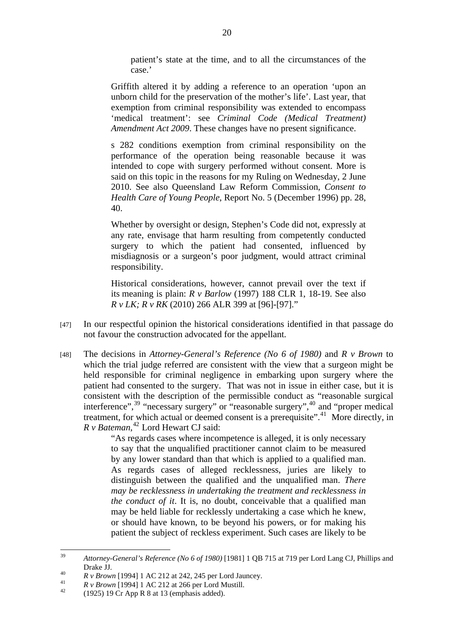patient's state at the time, and to all the circumstances of the case.'

Griffith altered it by adding a reference to an operation 'upon an unborn child for the preservation of the mother's life'. Last year, that exemption from criminal responsibility was extended to encompass 'medical treatment': see *Criminal Code (Medical Treatment) Amendment Act 2009*. These changes have no present significance.

s 282 conditions exemption from criminal responsibility on the performance of the operation being reasonable because it was intended to cope with surgery performed without consent. More is said on this topic in the reasons for my Ruling on Wednesday, 2 June 2010. See also Queensland Law Reform Commission, *Consent to Health Care of Young People*, Report No. 5 (December 1996) pp. 28, 40.

Whether by oversight or design, Stephen's Code did not, expressly at any rate, envisage that harm resulting from competently conducted surgery to which the patient had consented, influenced by misdiagnosis or a surgeon's poor judgment, would attract criminal responsibility.

Historical considerations, however, cannot prevail over the text if its meaning is plain: *R v Barlow* (1997) 188 CLR 1, 18-19. See also *R v LK; R v RK* (2010) 266 ALR 399 at [96]-[97]."

- [47] In our respectful opinion the historical considerations identified in that passage do not favour the construction advocated for the appellant.
- [48] The decisions in *Attorney-General's Reference (No 6 of 1980)* and *R v Brown* to which the trial judge referred are consistent with the view that a surgeon might be held responsible for criminal negligence in embarking upon surgery where the patient had consented to the surgery. That was not in issue in either case, but it is consistent with the description of the permissible conduct as "reasonable surgical interference",39 "necessary surgery" or "reasonable surgery",40 and "proper medical treatment, for which actual or deemed consent is a prerequisite".41 More directly, in *R v Bateman*, 42 Lord Hewart CJ said:

"As regards cases where incompetence is alleged, it is only necessary to say that the unqualified practitioner cannot claim to be measured by any lower standard than that which is applied to a qualified man. As regards cases of alleged recklessness, juries are likely to distinguish between the qualified and the unqualified man. *There may be recklessness in undertaking the treatment and recklessness in the conduct of it*. It is, no doubt, conceivable that a qualified man may be held liable for recklessly undertaking a case which he knew, or should have known, to be beyond his powers, or for making his patient the subject of reckless experiment. Such cases are likely to be

<sup>39</sup> 39 *Attorney-General's Reference (No 6 of 1980)* [1981] 1 QB 715 at 719 per Lord Lang CJ, Phillips and

*A R v Brown* [1994] 1 AC 212 at 242, 245 per Lord Jauncey.<br> *R v Brown* [1994] 1 AC 212 at 266 per Lord Mustill.<br>
(1925) 19 Cr App R 8 at 13 (emphasis added).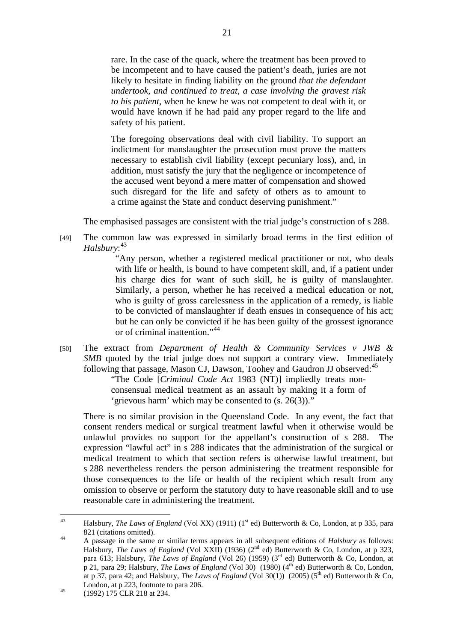rare. In the case of the quack, where the treatment has been proved to be incompetent and to have caused the patient's death, juries are not likely to hesitate in finding liability on the ground *that the defendant undertook, and continued to treat, a case involving the gravest risk to his patient*, when he knew he was not competent to deal with it, or would have known if he had paid any proper regard to the life and safety of his patient.

The foregoing observations deal with civil liability. To support an indictment for manslaughter the prosecution must prove the matters necessary to establish civil liability (except pecuniary loss), and, in addition, must satisfy the jury that the negligence or incompetence of the accused went beyond a mere matter of compensation and showed such disregard for the life and safety of others as to amount to a crime against the State and conduct deserving punishment."

The emphasised passages are consistent with the trial judge's construction of s 288.

[49] The common law was expressed in similarly broad terms in the first edition of *Halsbury*: 43

> "Any person, whether a registered medical practitioner or not, who deals with life or health, is bound to have competent skill, and, if a patient under his charge dies for want of such skill, he is guilty of manslaughter. Similarly, a person, whether he has received a medical education or not, who is guilty of gross carelessness in the application of a remedy, is liable to be convicted of manslaughter if death ensues in consequence of his act; but he can only be convicted if he has been guilty of the grossest ignorance or of criminal inattention."<sup>44</sup>

[50] The extract from *Department of Health & Community Services v JWB & SMB* quoted by the trial judge does not support a contrary view. Immediately following that passage, Mason CJ, Dawson, Toohey and Gaudron JJ observed:<sup>45</sup>

"The Code [*Criminal Code Act* 1983 (NT)] impliedly treats nonconsensual medical treatment as an assault by making it a form of 'grievous harm' which may be consented to (s. 26(3))."

There is no similar provision in the Queensland Code. In any event, the fact that consent renders medical or surgical treatment lawful when it otherwise would be unlawful provides no support for the appellant's construction of s 288. The expression "lawful act" in s 288 indicates that the administration of the surgical or medical treatment to which that section refers is otherwise lawful treatment, but s 288 nevertheless renders the person administering the treatment responsible for those consequences to the life or health of the recipient which result from any omission to observe or perform the statutory duty to have reasonable skill and to use reasonable care in administering the treatment.

 $43$ Halsbury, *The Laws of England* (Vol XX) (1911) (1<sup>st</sup> ed) Butterworth & Co, London, at p 335, para 821 (citations omitted).<br><sup>44</sup> A passage in the same or similar terms appears in all subsequent editions of *Halsbury* as follows:

Halsbury, *The Laws of England* (Vol XXII) (1936) (2<sup>nd</sup> ed) Butterworth & Co, London, at p 323, para 613; Halsbury, *The Laws of England* (Vol 26) (1959) (3<sup>rd</sup> ed) Butterworth & Co, London, at p 21, para 29; Halsbury, *The Laws of England* (Vol 30) (1980) (4<sup>th</sup> ed) Butterworth & Co, London, at p 37, para 42; and Halsbury, *The Laws of England* (Vol 30(1)) (2005) (5<sup>th</sup> ed) Butterworth & Co, London, at p 223, footnote to para 206.<br>
(1992) 175 CLR 218 at 234.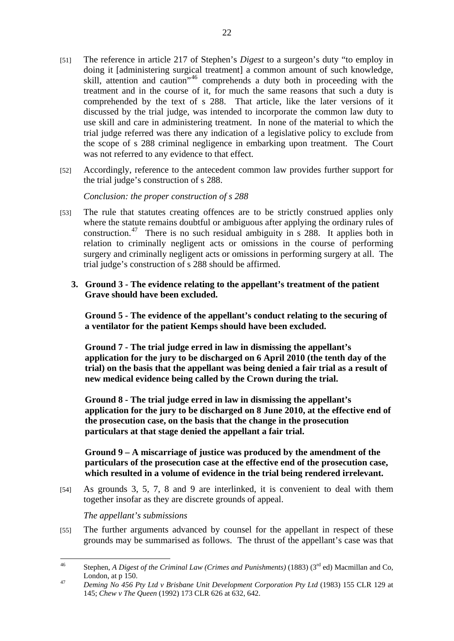- [51] The reference in article 217 of Stephen's *Digest* to a surgeon's duty "to employ in doing it [administering surgical treatment] a common amount of such knowledge, skill, attention and caution"46 comprehends a duty both in proceeding with the treatment and in the course of it, for much the same reasons that such a duty is comprehended by the text of s 288. That article, like the later versions of it discussed by the trial judge, was intended to incorporate the common law duty to use skill and care in administering treatment. In none of the material to which the trial judge referred was there any indication of a legislative policy to exclude from the scope of s 288 criminal negligence in embarking upon treatment. The Court was not referred to any evidence to that effect.
- [52] Accordingly, reference to the antecedent common law provides further support for the trial judge's construction of s 288.

*Conclusion: the proper construction of s 288* 

[53] The rule that statutes creating offences are to be strictly construed applies only where the statute remains doubtful or ambiguous after applying the ordinary rules of construction.<sup>47</sup> There is no such residual ambiguity in s  $288$ . It applies both in relation to criminally negligent acts or omissions in the course of performing surgery and criminally negligent acts or omissions in performing surgery at all. The trial judge's construction of s 288 should be affirmed.

# **3. Ground 3 - The evidence relating to the appellant's treatment of the patient Grave should have been excluded.**

**Ground 5 - The evidence of the appellant's conduct relating to the securing of a ventilator for the patient Kemps should have been excluded.** 

**Ground 7 - The trial judge erred in law in dismissing the appellant's application for the jury to be discharged on 6 April 2010 (the tenth day of the trial) on the basis that the appellant was being denied a fair trial as a result of new medical evidence being called by the Crown during the trial.** 

**Ground 8 - The trial judge erred in law in dismissing the appellant's application for the jury to be discharged on 8 June 2010, at the effective end of the prosecution case, on the basis that the change in the prosecution particulars at that stage denied the appellant a fair trial.** 

## **Ground 9 – A miscarriage of justice was produced by the amendment of the particulars of the prosecution case at the effective end of the prosecution case, which resulted in a volume of evidence in the trial being rendered irrelevant.**

[54] As grounds 3, 5, 7, 8 and 9 are interlinked, it is convenient to deal with them together insofar as they are discrete grounds of appeal.

*The appellant's submissions* 

[55] The further arguments advanced by counsel for the appellant in respect of these grounds may be summarised as follows. The thrust of the appellant's case was that

 $\overline{AB}$ Stephen, *A Digest of the Criminal Law (Crimes and Punishments)* (1883) (3<sup>rd</sup> ed) Macmillan and Co,

London, at p 150. 47 *Deming No 456 Pty Ltd v Brisbane Unit Development Corporation Pty Ltd* (1983) 155 CLR 129 at 145; *Chew v The Queen* (1992) 173 CLR 626 at 632, 642.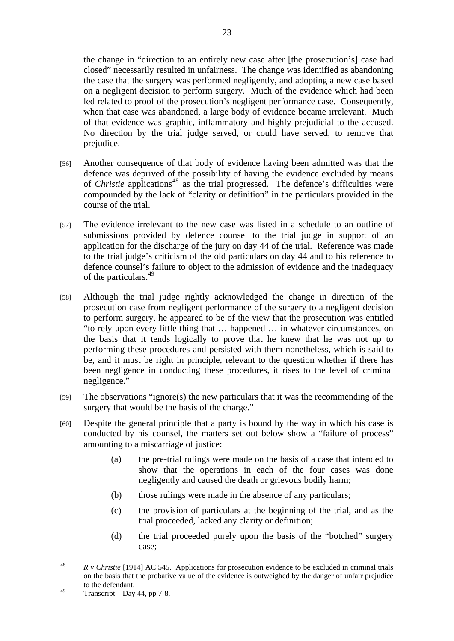the change in "direction to an entirely new case after [the prosecution's] case had closed" necessarily resulted in unfairness. The change was identified as abandoning the case that the surgery was performed negligently, and adopting a new case based on a negligent decision to perform surgery. Much of the evidence which had been led related to proof of the prosecution's negligent performance case. Consequently, when that case was abandoned, a large body of evidence became irrelevant. Much of that evidence was graphic, inflammatory and highly prejudicial to the accused. No direction by the trial judge served, or could have served, to remove that prejudice.

- [56] Another consequence of that body of evidence having been admitted was that the defence was deprived of the possibility of having the evidence excluded by means of *Christie* applications<sup>48</sup> as the trial progressed. The defence's difficulties were compounded by the lack of "clarity or definition" in the particulars provided in the course of the trial.
- [57] The evidence irrelevant to the new case was listed in a schedule to an outline of submissions provided by defence counsel to the trial judge in support of an application for the discharge of the jury on day 44 of the trial. Reference was made to the trial judge's criticism of the old particulars on day 44 and to his reference to defence counsel's failure to object to the admission of evidence and the inadequacy of the particulars.<sup>49</sup>
- [58] Although the trial judge rightly acknowledged the change in direction of the prosecution case from negligent performance of the surgery to a negligent decision to perform surgery, he appeared to be of the view that the prosecution was entitled "to rely upon every little thing that … happened … in whatever circumstances, on the basis that it tends logically to prove that he knew that he was not up to performing these procedures and persisted with them nonetheless, which is said to be, and it must be right in principle, relevant to the question whether if there has been negligence in conducting these procedures, it rises to the level of criminal negligence."
- [59] The observations "ignore(s) the new particulars that it was the recommending of the surgery that would be the basis of the charge."
- [60] Despite the general principle that a party is bound by the way in which his case is conducted by his counsel, the matters set out below show a "failure of process" amounting to a miscarriage of justice:
	- (a) the pre-trial rulings were made on the basis of a case that intended to show that the operations in each of the four cases was done negligently and caused the death or grievous bodily harm;
	- (b) those rulings were made in the absence of any particulars;
	- (c) the provision of particulars at the beginning of the trial, and as the trial proceeded, lacked any clarity or definition;
	- (d) the trial proceeded purely upon the basis of the "botched" surgery case;

 $\overline{AB}$ 48 *R v Christie* [1914] AC 545. Applications for prosecution evidence to be excluded in criminal trials on the basis that the probative value of the evidence is outweighed by the danger of unfair prejudice to the defendant.

 $^{49}$  Transcript – Day 44, pp 7-8.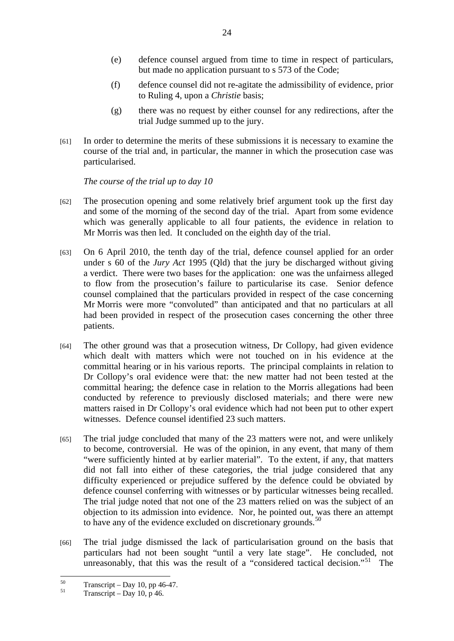- (e) defence counsel argued from time to time in respect of particulars, but made no application pursuant to s 573 of the Code;
- (f) defence counsel did not re-agitate the admissibility of evidence, prior to Ruling 4, upon a *Christie* basis;
- (g) there was no request by either counsel for any redirections, after the trial Judge summed up to the jury.
- [61] In order to determine the merits of these submissions it is necessary to examine the course of the trial and, in particular, the manner in which the prosecution case was particularised.

*The course of the trial up to day 10* 

- [62] The prosecution opening and some relatively brief argument took up the first day and some of the morning of the second day of the trial. Apart from some evidence which was generally applicable to all four patients, the evidence in relation to Mr Morris was then led. It concluded on the eighth day of the trial.
- [63] On 6 April 2010, the tenth day of the trial, defence counsel applied for an order under s 60 of the *Jury Act* 1995 (Qld) that the jury be discharged without giving a verdict. There were two bases for the application: one was the unfairness alleged to flow from the prosecution's failure to particularise its case. Senior defence counsel complained that the particulars provided in respect of the case concerning Mr Morris were more "convoluted" than anticipated and that no particulars at all had been provided in respect of the prosecution cases concerning the other three patients.
- [64] The other ground was that a prosecution witness, Dr Collopy, had given evidence which dealt with matters which were not touched on in his evidence at the committal hearing or in his various reports. The principal complaints in relation to Dr Collopy's oral evidence were that: the new matter had not been tested at the committal hearing; the defence case in relation to the Morris allegations had been conducted by reference to previously disclosed materials; and there were new matters raised in Dr Collopy's oral evidence which had not been put to other expert witnesses. Defence counsel identified 23 such matters.
- [65] The trial judge concluded that many of the 23 matters were not, and were unlikely to become, controversial. He was of the opinion, in any event, that many of them "were sufficiently hinted at by earlier material". To the extent, if any, that matters did not fall into either of these categories, the trial judge considered that any difficulty experienced or prejudice suffered by the defence could be obviated by defence counsel conferring with witnesses or by particular witnesses being recalled. The trial judge noted that not one of the 23 matters relied on was the subject of an objection to its admission into evidence. Nor, he pointed out, was there an attempt to have any of the evidence excluded on discretionary grounds.<sup>50</sup>
- [66] The trial judge dismissed the lack of particularisation ground on the basis that particulars had not been sought "until a very late stage". He concluded, not unreasonably, that this was the result of a "considered tactical decision."<sup>51</sup> The

 $50$  $^{50}$  Transcript – Day 10, pp 46-47.

Transcript – Day 10, p 46.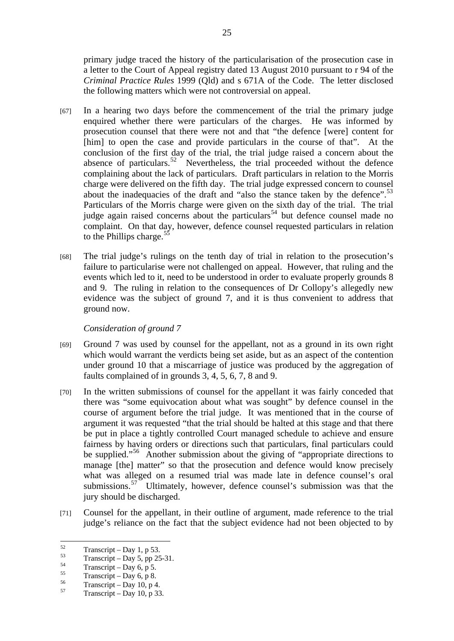primary judge traced the history of the particularisation of the prosecution case in a letter to the Court of Appeal registry dated 13 August 2010 pursuant to r 94 of the *Criminal Practice Rules* 1999 (Qld) and s 671A of the Code. The letter disclosed the following matters which were not controversial on appeal.

- [67] In a hearing two days before the commencement of the trial the primary judge enquired whether there were particulars of the charges. He was informed by prosecution counsel that there were not and that "the defence [were] content for [him] to open the case and provide particulars in the course of that". At the conclusion of the first day of the trial, the trial judge raised a concern about the absence of particulars.<sup>52</sup> Nevertheless, the trial proceeded without the defence complaining about the lack of particulars. Draft particulars in relation to the Morris charge were delivered on the fifth day. The trial judge expressed concern to counsel about the inadequacies of the draft and "also the stance taken by the defence".<sup>53</sup> Particulars of the Morris charge were given on the sixth day of the trial. The trial judge again raised concerns about the particulars<sup>54</sup> but defence counsel made no complaint. On that day, however, defence counsel requested particulars in relation to the Phillips charge.<sup>55</sup>
- [68] The trial judge's rulings on the tenth day of trial in relation to the prosecution's failure to particularise were not challenged on appeal. However, that ruling and the events which led to it, need to be understood in order to evaluate properly grounds 8 and 9. The ruling in relation to the consequences of Dr Collopy's allegedly new evidence was the subject of ground 7, and it is thus convenient to address that ground now.

## *Consideration of ground 7*

- [69] Ground 7 was used by counsel for the appellant, not as a ground in its own right which would warrant the verdicts being set aside, but as an aspect of the contention under ground 10 that a miscarriage of justice was produced by the aggregation of faults complained of in grounds 3, 4, 5, 6, 7, 8 and 9.
- [70] In the written submissions of counsel for the appellant it was fairly conceded that there was "some equivocation about what was sought" by defence counsel in the course of argument before the trial judge. It was mentioned that in the course of argument it was requested "that the trial should be halted at this stage and that there be put in place a tightly controlled Court managed schedule to achieve and ensure fairness by having orders or directions such that particulars, final particulars could be supplied."<sup>56</sup> Another submission about the giving of "appropriate directions to manage [the] matter" so that the prosecution and defence would know precisely what was alleged on a resumed trial was made late in defence counsel's oral submissions.<sup>57</sup> Ultimately, however, defence counsel's submission was that the jury should be discharged.
- [71] Counsel for the appellant, in their outline of argument, made reference to the trial judge's reliance on the fact that the subject evidence had not been objected to by

<sup>52</sup>  $\frac{52}{53}$  Transcript – Day 1, p 53.

 $^{53}$  Transcript – Day 5, pp 25-31.

 $\frac{54}{55}$  Transcript – Day 6, p 5.

 $\frac{55}{56}$  Transcript – Day 6, p 8.

 $^{56}$  Transcript – Day 10, p 4.

Transcript – Day 10, p 33.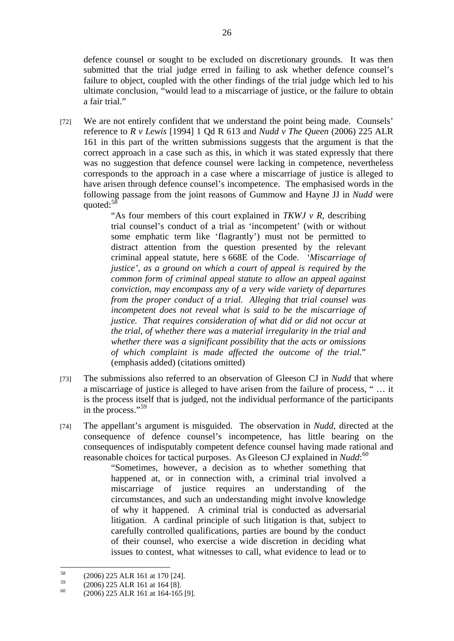defence counsel or sought to be excluded on discretionary grounds. It was then submitted that the trial judge erred in failing to ask whether defence counsel's failure to object, coupled with the other findings of the trial judge which led to his ultimate conclusion, "would lead to a miscarriage of justice, or the failure to obtain a fair trial."

[72] We are not entirely confident that we understand the point being made. Counsels' reference to *R v Lewis* [1994] 1 Qd R 613 and *Nudd v The Queen* (2006) 225 ALR 161 in this part of the written submissions suggests that the argument is that the correct approach in a case such as this, in which it was stated expressly that there was no suggestion that defence counsel were lacking in competence, nevertheless corresponds to the approach in a case where a miscarriage of justice is alleged to have arisen through defence counsel's incompetence. The emphasised words in the following passage from the joint reasons of Gummow and Hayne JJ in *Nudd* were quoted:<sup>58</sup>

> "As four members of this court explained in *TKWJ v R*, describing trial counsel's conduct of a trial as 'incompetent' (with or without some emphatic term like 'flagrantly') must not be permitted to distract attention from the question presented by the relevant criminal appeal statute, here s 668E of the Code. *'Miscarriage of justice', as a ground on which a court of appeal is required by the common form of criminal appeal statute to allow an appeal against conviction, may encompass any of a very wide variety of departures from the proper conduct of a trial. Alleging that trial counsel was incompetent does not reveal what is said to be the miscarriage of justice. That requires consideration of what did or did not occur at the trial, of whether there was a material irregularity in the trial and whether there was a significant possibility that the acts or omissions of which complaint is made affected the outcome of the trial.*" (emphasis added) (citations omitted)

- [73] The submissions also referred to an observation of Gleeson CJ in *Nudd* that where a miscarriage of justice is alleged to have arisen from the failure of process, " … it is the process itself that is judged, not the individual performance of the participants in the process."<sup>59</sup>
- [74] The appellant's argument is misguided. The observation in *Nudd*, directed at the consequence of defence counsel's incompetence, has little bearing on the consequences of indisputably competent defence counsel having made rational and reasonable choices for tactical purposes. As Gleeson CJ explained in *Nudd*:<sup>60</sup>

"Sometimes, however, a decision as to whether something that happened at, or in connection with, a criminal trial involved a miscarriage of justice requires an understanding of the circumstances, and such an understanding might involve knowledge of why it happened. A criminal trial is conducted as adversarial litigation. A cardinal principle of such litigation is that, subject to carefully controlled qualifications, parties are bound by the conduct of their counsel, who exercise a wide discretion in deciding what issues to contest, what witnesses to call, what evidence to lead or to

 $58$  $^{58}$  (2006) 225 ALR 161 at 170 [24].

 $^{59}$  (2006) 225 ALR 161 at 164 [8].

<sup>(2006) 225</sup> ALR 161 at 164-165 [9].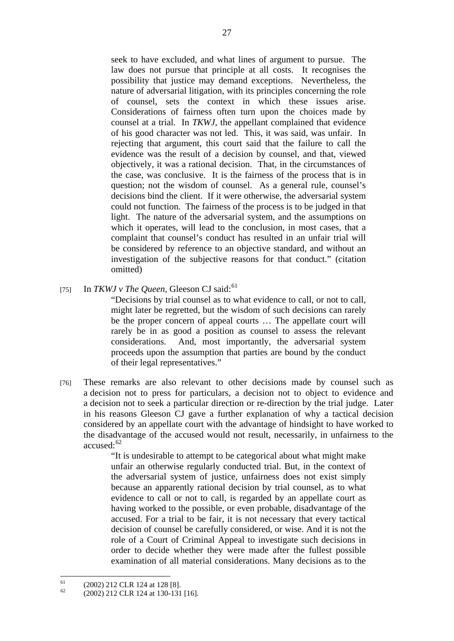seek to have excluded, and what lines of argument to pursue. The law does not pursue that principle at all costs. It recognises the possibility that justice may demand exceptions. Nevertheless, the nature of adversarial litigation, with its principles concerning the role of counsel, sets the context in which these issues arise. Considerations of fairness often turn upon the choices made by counsel at a trial. In *TKWJ*, the appellant complained that evidence of his good character was not led. This, it was said, was unfair. In rejecting that argument, this court said that the failure to call the evidence was the result of a decision by counsel, and that, viewed objectively, it was a rational decision. That, in the circumstances of the case, was conclusive. It is the fairness of the process that is in question; not the wisdom of counsel. As a general rule, counsel's decisions bind the client. If it were otherwise, the adversarial system could not function. The fairness of the process is to be judged in that light. The nature of the adversarial system, and the assumptions on which it operates, will lead to the conclusion, in most cases, that a complaint that counsel's conduct has resulted in an unfair trial will be considered by reference to an objective standard, and without an investigation of the subjective reasons for that conduct." (citation omitted)

[75] In *TKWJ v The Queen*, Gleeson CJ said:<sup>61</sup>

"Decisions by trial counsel as to what evidence to call, or not to call, might later be regretted, but the wisdom of such decisions can rarely be the proper concern of appeal courts … The appellate court will rarely be in as good a position as counsel to assess the relevant considerations. And, most importantly, the adversarial system proceeds upon the assumption that parties are bound by the conduct of their legal representatives."

[76] These remarks are also relevant to other decisions made by counsel such as a decision not to press for particulars, a decision not to object to evidence and a decision not to seek a particular direction or re-direction by the trial judge. Later in his reasons Gleeson CJ gave a further explanation of why a tactical decision considered by an appellate court with the advantage of hindsight to have worked to the disadvantage of the accused would not result, necessarily, in unfairness to the  $accused:62$ 

> "It is undesirable to attempt to be categorical about what might make unfair an otherwise regularly conducted trial. But, in the context of the adversarial system of justice, unfairness does not exist simply because an apparently rational decision by trial counsel, as to what evidence to call or not to call, is regarded by an appellate court as having worked to the possible, or even probable, disadvantage of the accused. For a trial to be fair, it is not necessary that every tactical decision of counsel be carefully considered, or wise. And it is not the role of a Court of Criminal Appeal to investigate such decisions in order to decide whether they were made after the fullest possible examination of all material considerations. Many decisions as to the

<sup>61</sup>  $^{61}$  (2002) 212 CLR 124 at 128 [8].

<sup>62 (2002) 212</sup> CLR 124 at 130-131 [16].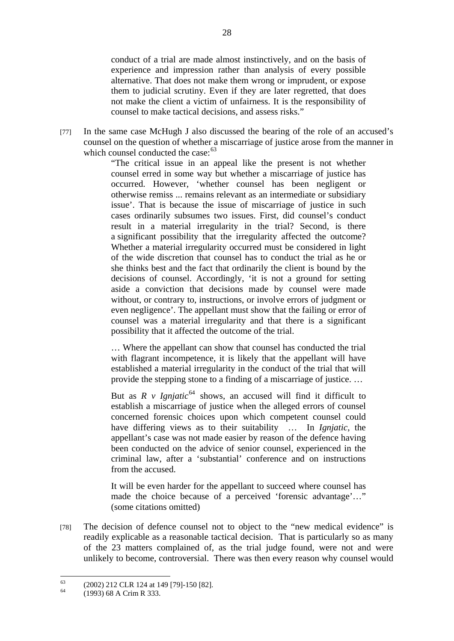conduct of a trial are made almost instinctively, and on the basis of experience and impression rather than analysis of every possible alternative. That does not make them wrong or imprudent, or expose them to judicial scrutiny. Even if they are later regretted, that does not make the client a victim of unfairness. It is the responsibility of counsel to make tactical decisions, and assess risks."

[77] In the same case McHugh J also discussed the bearing of the role of an accused's counsel on the question of whether a miscarriage of justice arose from the manner in which counsel conducted the case:  $63$ 

> "The critical issue in an appeal like the present is not whether counsel erred in some way but whether a miscarriage of justice has occurred. However, 'whether counsel has been negligent or otherwise remiss ... remains relevant as an intermediate or subsidiary issue'. That is because the issue of miscarriage of justice in such cases ordinarily subsumes two issues. First, did counsel's conduct result in a material irregularity in the trial? Second, is there a significant possibility that the irregularity affected the outcome? Whether a material irregularity occurred must be considered in light of the wide discretion that counsel has to conduct the trial as he or she thinks best and the fact that ordinarily the client is bound by the decisions of counsel. Accordingly, 'it is not a ground for setting aside a conviction that decisions made by counsel were made without, or contrary to, instructions, or involve errors of judgment or even negligence'. The appellant must show that the failing or error of counsel was a material irregularity and that there is a significant possibility that it affected the outcome of the trial.

> … Where the appellant can show that counsel has conducted the trial with flagrant incompetence, it is likely that the appellant will have established a material irregularity in the conduct of the trial that will provide the stepping stone to a finding of a miscarriage of justice. …

> But as  $R$  v *Igniatic*<sup>64</sup> shows, an accused will find it difficult to establish a miscarriage of justice when the alleged errors of counsel concerned forensic choices upon which competent counsel could have differing views as to their suitability … In *Ignjatic*, the appellant's case was not made easier by reason of the defence having been conducted on the advice of senior counsel, experienced in the criminal law, after a 'substantial' conference and on instructions from the accused.

> It will be even harder for the appellant to succeed where counsel has made the choice because of a perceived 'forensic advantage'…" (some citations omitted)

[78] The decision of defence counsel not to object to the "new medical evidence" is readily explicable as a reasonable tactical decision. That is particularly so as many of the 23 matters complained of, as the trial judge found, were not and were unlikely to become, controversial. There was then every reason why counsel would

 $\overline{a}$ 

 $^{63}$  (2002) 212 CLR 124 at 149 [79]-150 [82].

<sup>64 (1993) 68</sup> A Crim R 333.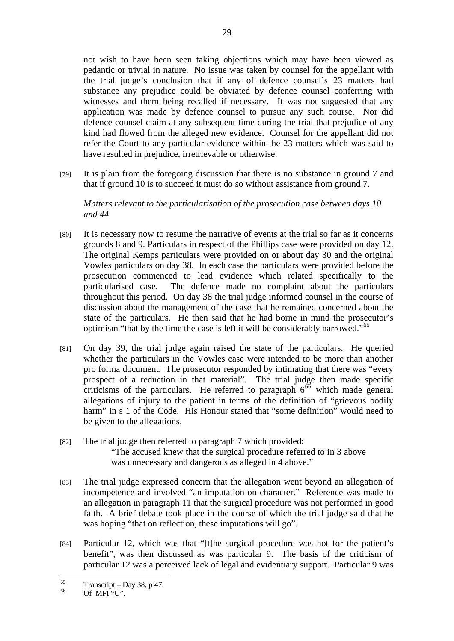not wish to have been seen taking objections which may have been viewed as pedantic or trivial in nature. No issue was taken by counsel for the appellant with the trial judge's conclusion that if any of defence counsel's 23 matters had substance any prejudice could be obviated by defence counsel conferring with witnesses and them being recalled if necessary. It was not suggested that any application was made by defence counsel to pursue any such course. Nor did defence counsel claim at any subsequent time during the trial that prejudice of any kind had flowed from the alleged new evidence. Counsel for the appellant did not refer the Court to any particular evidence within the 23 matters which was said to have resulted in prejudice, irretrievable or otherwise.

[79] It is plain from the foregoing discussion that there is no substance in ground 7 and that if ground 10 is to succeed it must do so without assistance from ground 7.

*Matters relevant to the particularisation of the prosecution case between days 10 and 44* 

- [80] It is necessary now to resume the narrative of events at the trial so far as it concerns grounds 8 and 9. Particulars in respect of the Phillips case were provided on day 12. The original Kemps particulars were provided on or about day 30 and the original Vowles particulars on day 38. In each case the particulars were provided before the prosecution commenced to lead evidence which related specifically to the particularised case. The defence made no complaint about the particulars throughout this period. On day 38 the trial judge informed counsel in the course of discussion about the management of the case that he remained concerned about the state of the particulars. He then said that he had borne in mind the prosecutor's optimism "that by the time the case is left it will be considerably narrowed."<sup>65</sup>
- [81] On day 39, the trial judge again raised the state of the particulars. He queried whether the particulars in the Vowles case were intended to be more than another pro forma document. The prosecutor responded by intimating that there was "every prospect of a reduction in that material". The trial judge then made specific criticisms of the particulars. He referred to paragraph  $6^{66}$  which made general allegations of injury to the patient in terms of the definition of "grievous bodily harm" in s 1 of the Code. His Honour stated that "some definition" would need to be given to the allegations.
- [82] The trial judge then referred to paragraph 7 which provided: "The accused knew that the surgical procedure referred to in 3 above was unnecessary and dangerous as alleged in 4 above."
- [83] The trial judge expressed concern that the allegation went beyond an allegation of incompetence and involved "an imputation on character." Reference was made to an allegation in paragraph 11 that the surgical procedure was not performed in good faith. A brief debate took place in the course of which the trial judge said that he was hoping "that on reflection, these imputations will go".
- [84] Particular 12, which was that "[t]he surgical procedure was not for the patient's benefit", was then discussed as was particular 9. The basis of the criticism of particular 12 was a perceived lack of legal and evidentiary support. Particular 9 was

<sup>65</sup>  $^{65}$  Transcript – Day 38, p 47.

<sup>66</sup> Of MFI "U".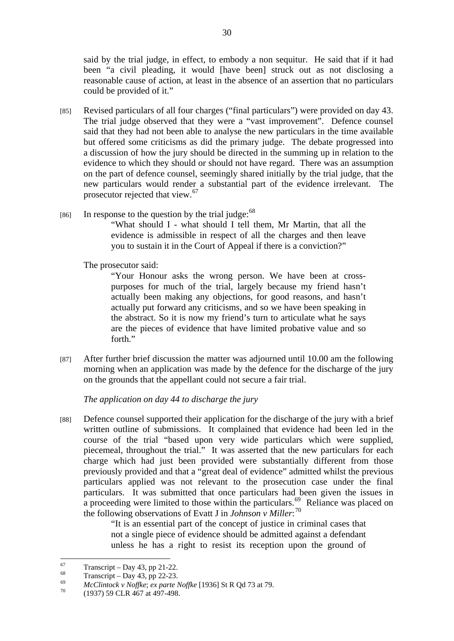said by the trial judge, in effect, to embody a non sequitur. He said that if it had been "a civil pleading, it would [have been] struck out as not disclosing a reasonable cause of action, at least in the absence of an assertion that no particulars could be provided of it."

- [85] Revised particulars of all four charges ("final particulars") were provided on day 43. The trial judge observed that they were a "vast improvement". Defence counsel said that they had not been able to analyse the new particulars in the time available but offered some criticisms as did the primary judge. The debate progressed into a discussion of how the jury should be directed in the summing up in relation to the evidence to which they should or should not have regard. There was an assumption on the part of defence counsel, seemingly shared initially by the trial judge, that the new particulars would render a substantial part of the evidence irrelevant. The prosecutor rejected that view.<sup>67</sup>
- [86] In response to the question by the trial judge:  $68$ "What should I - what should I tell them, Mr Martin, that all the evidence is admissible in respect of all the charges and then leave you to sustain it in the Court of Appeal if there is a conviction?"

The prosecutor said:

"Your Honour asks the wrong person. We have been at crosspurposes for much of the trial, largely because my friend hasn't actually been making any objections, for good reasons, and hasn't actually put forward any criticisms, and so we have been speaking in the abstract. So it is now my friend's turn to articulate what he says are the pieces of evidence that have limited probative value and so forth."

[87] After further brief discussion the matter was adjourned until 10.00 am the following morning when an application was made by the defence for the discharge of the jury on the grounds that the appellant could not secure a fair trial.

*The application on day 44 to discharge the jury* 

[88] Defence counsel supported their application for the discharge of the jury with a brief written outline of submissions. It complained that evidence had been led in the course of the trial "based upon very wide particulars which were supplied, piecemeal, throughout the trial." It was asserted that the new particulars for each charge which had just been provided were substantially different from those previously provided and that a "great deal of evidence" admitted whilst the previous particulars applied was not relevant to the prosecution case under the final particulars. It was submitted that once particulars had been given the issues in a proceeding were limited to those within the particulars.<sup>69</sup> Reliance was placed on the following observations of Evatt J in *Johnson v Miller*: 70

> "It is an essential part of the concept of justice in criminal cases that not a single piece of evidence should be admitted against a defendant unless he has a right to resist its reception upon the ground of

 $67$  $^{67}$  Transcript – Day 43, pp 21-22.

 $^{68}$  Transcript – Day 43, pp 22-23.

<sup>69</sup> *McClintock v Noffke*; *ex parte Noffke* [1936] St R Qd 73 at 79. 70 (1937) 59 CLR 467 at 497-498.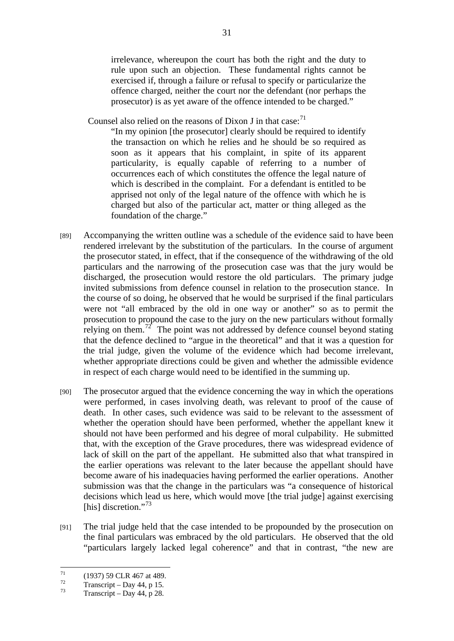irrelevance, whereupon the court has both the right and the duty to rule upon such an objection. These fundamental rights cannot be exercised if, through a failure or refusal to specify or particularize the offence charged, neither the court nor the defendant (nor perhaps the prosecutor) is as yet aware of the offence intended to be charged."

Counsel also relied on the reasons of Dixon J in that case: $71$ 

"In my opinion [the prosecutor] clearly should be required to identify the transaction on which he relies and he should be so required as soon as it appears that his complaint, in spite of its apparent particularity, is equally capable of referring to a number of occurrences each of which constitutes the offence the legal nature of which is described in the complaint. For a defendant is entitled to be apprised not only of the legal nature of the offence with which he is charged but also of the particular act, matter or thing alleged as the foundation of the charge."

- [89] Accompanying the written outline was a schedule of the evidence said to have been rendered irrelevant by the substitution of the particulars. In the course of argument the prosecutor stated, in effect, that if the consequence of the withdrawing of the old particulars and the narrowing of the prosecution case was that the jury would be discharged, the prosecution would restore the old particulars. The primary judge invited submissions from defence counsel in relation to the prosecution stance. In the course of so doing, he observed that he would be surprised if the final particulars were not "all embraced by the old in one way or another" so as to permit the prosecution to propound the case to the jury on the new particulars without formally relying on them.<sup>72</sup> The point was not addressed by defence counsel beyond stating that the defence declined to "argue in the theoretical" and that it was a question for the trial judge, given the volume of the evidence which had become irrelevant, whether appropriate directions could be given and whether the admissible evidence in respect of each charge would need to be identified in the summing up.
- [90] The prosecutor argued that the evidence concerning the way in which the operations were performed, in cases involving death, was relevant to proof of the cause of death. In other cases, such evidence was said to be relevant to the assessment of whether the operation should have been performed, whether the appellant knew it should not have been performed and his degree of moral culpability. He submitted that, with the exception of the Grave procedures, there was widespread evidence of lack of skill on the part of the appellant. He submitted also that what transpired in the earlier operations was relevant to the later because the appellant should have become aware of his inadequacies having performed the earlier operations. Another submission was that the change in the particulars was "a consequence of historical decisions which lead us here, which would move [the trial judge] against exercising [his] discretion."<sup>73</sup>
- [91] The trial judge held that the case intended to be propounded by the prosecution on the final particulars was embraced by the old particulars. He observed that the old "particulars largely lacked legal coherence" and that in contrast, "the new are

<sup>71</sup>  $^{71}$  (1937) 59 CLR 467 at 489.

 $\frac{72}{73}$  Transcript – Day 44, p 15.

Transcript – Day 44, p 28.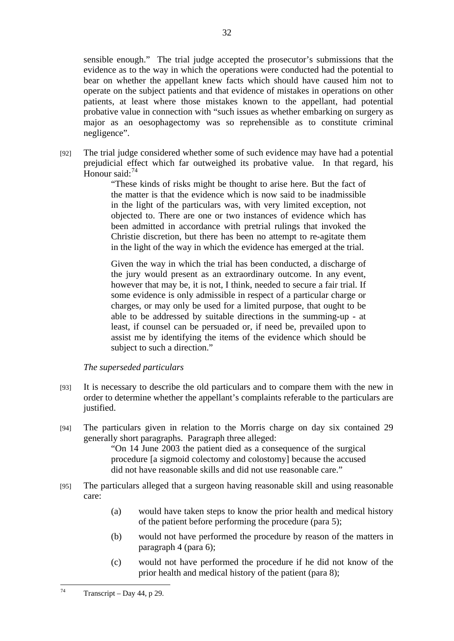sensible enough." The trial judge accepted the prosecutor's submissions that the evidence as to the way in which the operations were conducted had the potential to bear on whether the appellant knew facts which should have caused him not to operate on the subject patients and that evidence of mistakes in operations on other patients, at least where those mistakes known to the appellant, had potential probative value in connection with "such issues as whether embarking on surgery as major as an oesophagectomy was so reprehensible as to constitute criminal negligence".

[92] The trial judge considered whether some of such evidence may have had a potential prejudicial effect which far outweighed its probative value. In that regard, his Honour said<sup>-74</sup>

> "These kinds of risks might be thought to arise here. But the fact of the matter is that the evidence which is now said to be inadmissible in the light of the particulars was, with very limited exception, not objected to. There are one or two instances of evidence which has been admitted in accordance with pretrial rulings that invoked the Christie discretion, but there has been no attempt to re-agitate them in the light of the way in which the evidence has emerged at the trial.

> Given the way in which the trial has been conducted, a discharge of the jury would present as an extraordinary outcome. In any event, however that may be, it is not, I think, needed to secure a fair trial. If some evidence is only admissible in respect of a particular charge or charges, or may only be used for a limited purpose, that ought to be able to be addressed by suitable directions in the summing-up - at least, if counsel can be persuaded or, if need be, prevailed upon to assist me by identifying the items of the evidence which should be subject to such a direction."

## *The superseded particulars*

- [93] It is necessary to describe the old particulars and to compare them with the new in order to determine whether the appellant's complaints referable to the particulars are justified.
- [94] The particulars given in relation to the Morris charge on day six contained 29 generally short paragraphs. Paragraph three alleged:

"On 14 June 2003 the patient died as a consequence of the surgical procedure [a sigmoid colectomy and colostomy] because the accused did not have reasonable skills and did not use reasonable care."

- [95] The particulars alleged that a surgeon having reasonable skill and using reasonable care:
	- (a) would have taken steps to know the prior health and medical history of the patient before performing the procedure (para 5);
	- (b) would not have performed the procedure by reason of the matters in paragraph 4 (para 6);
	- (c) would not have performed the procedure if he did not know of the prior health and medical history of the patient (para 8);

 $74$ Transcript – Day 44, p 29.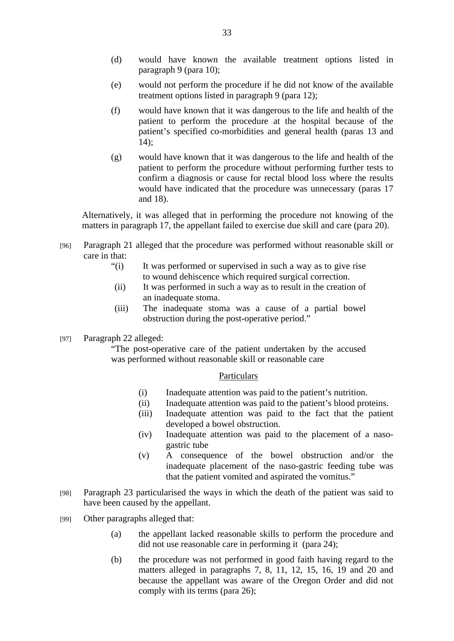- (d) would have known the available treatment options listed in paragraph 9 (para 10);
- (e) would not perform the procedure if he did not know of the available treatment options listed in paragraph 9 (para 12);
- (f) would have known that it was dangerous to the life and health of the patient to perform the procedure at the hospital because of the patient's specified co-morbidities and general health (paras 13 and 14);
- (g) would have known that it was dangerous to the life and health of the patient to perform the procedure without performing further tests to confirm a diagnosis or cause for rectal blood loss where the results would have indicated that the procedure was unnecessary (paras 17 and 18).

Alternatively, it was alleged that in performing the procedure not knowing of the matters in paragraph 17, the appellant failed to exercise due skill and care (para 20).

- [96] Paragraph 21 alleged that the procedure was performed without reasonable skill or care in that:
	- "(i) It was performed or supervised in such a way as to give rise to wound dehiscence which required surgical correction.
	- (ii) It was performed in such a way as to result in the creation of an inadequate stoma.
	- (iii) The inadequate stoma was a cause of a partial bowel obstruction during the post-operative period."
- [97] Paragraph 22 alleged:

"The post-operative care of the patient undertaken by the accused was performed without reasonable skill or reasonable care

#### Particulars

- (i) Inadequate attention was paid to the patient's nutrition.
- (ii) Inadequate attention was paid to the patient's blood proteins.
- (iii) Inadequate attention was paid to the fact that the patient developed a bowel obstruction.
- (iv) Inadequate attention was paid to the placement of a nasogastric tube
- (v) A consequence of the bowel obstruction and/or the inadequate placement of the naso-gastric feeding tube was that the patient vomited and aspirated the vomitus."
- [98] Paragraph 23 particularised the ways in which the death of the patient was said to have been caused by the appellant.
- [99] Other paragraphs alleged that:
	- (a) the appellant lacked reasonable skills to perform the procedure and did not use reasonable care in performing it (para 24);
	- (b) the procedure was not performed in good faith having regard to the matters alleged in paragraphs 7, 8, 11, 12, 15, 16, 19 and 20 and because the appellant was aware of the Oregon Order and did not comply with its terms (para 26);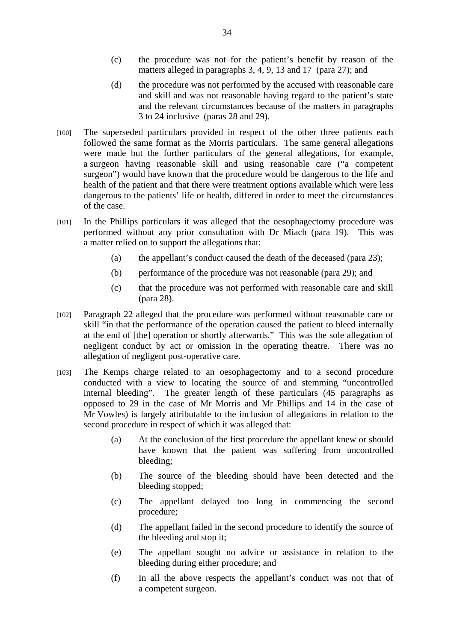- (c) the procedure was not for the patient's benefit by reason of the matters alleged in paragraphs 3, 4, 9, 13 and 17 (para 27); and
- (d) the procedure was not performed by the accused with reasonable care and skill and was not reasonable having regard to the patient's state and the relevant circumstances because of the matters in paragraphs 3 to 24 inclusive (paras 28 and 29).
- [100] The superseded particulars provided in respect of the other three patients each followed the same format as the Morris particulars. The same general allegations were made but the further particulars of the general allegations, for example, a surgeon having reasonable skill and using reasonable care ("a competent surgeon") would have known that the procedure would be dangerous to the life and health of the patient and that there were treatment options available which were less dangerous to the patients' life or health, differed in order to meet the circumstances of the case.
- [101] In the Phillips particulars it was alleged that the oesophagectomy procedure was performed without any prior consultation with Dr Miach (para 19). This was a matter relied on to support the allegations that:
	- (a) the appellant's conduct caused the death of the deceased (para 23);
	- (b) performance of the procedure was not reasonable (para 29); and
	- (c) that the procedure was not performed with reasonable care and skill (para 28).
- [102] Paragraph 22 alleged that the procedure was performed without reasonable care or skill "in that the performance of the operation caused the patient to bleed internally at the end of [the] operation or shortly afterwards." This was the sole allegation of negligent conduct by act or omission in the operating theatre. There was no allegation of negligent post-operative care.
- [103] The Kemps charge related to an oesophagectomy and to a second procedure conducted with a view to locating the source of and stemming "uncontrolled internal bleeding". The greater length of these particulars (45 paragraphs as opposed to 29 in the case of Mr Morris and Mr Phillips and 14 in the case of Mr Vowles) is largely attributable to the inclusion of allegations in relation to the second procedure in respect of which it was alleged that:
	- (a) At the conclusion of the first procedure the appellant knew or should have known that the patient was suffering from uncontrolled bleeding;
	- (b) The source of the bleeding should have been detected and the bleeding stopped;
	- (c) The appellant delayed too long in commencing the second procedure;
	- (d) The appellant failed in the second procedure to identify the source of the bleeding and stop it;
	- (e) The appellant sought no advice or assistance in relation to the bleeding during either procedure; and
	- (f) In all the above respects the appellant's conduct was not that of a competent surgeon.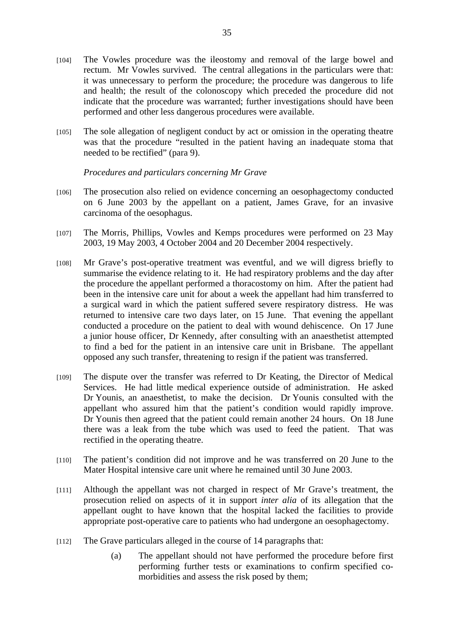- [104] The Vowles procedure was the ileostomy and removal of the large bowel and rectum. Mr Vowles survived. The central allegations in the particulars were that: it was unnecessary to perform the procedure; the procedure was dangerous to life and health; the result of the colonoscopy which preceded the procedure did not indicate that the procedure was warranted; further investigations should have been performed and other less dangerous procedures were available.
- [105] The sole allegation of negligent conduct by act or omission in the operating theatre was that the procedure "resulted in the patient having an inadequate stoma that needed to be rectified" (para 9).

*Procedures and particulars concerning Mr Grave* 

- [106] The prosecution also relied on evidence concerning an oesophagectomy conducted on 6 June 2003 by the appellant on a patient, James Grave, for an invasive carcinoma of the oesophagus.
- [107] The Morris, Phillips, Vowles and Kemps procedures were performed on 23 May 2003, 19 May 2003, 4 October 2004 and 20 December 2004 respectively.
- [108] Mr Grave's post-operative treatment was eventful, and we will digress briefly to summarise the evidence relating to it. He had respiratory problems and the day after the procedure the appellant performed a thoracostomy on him. After the patient had been in the intensive care unit for about a week the appellant had him transferred to a surgical ward in which the patient suffered severe respiratory distress. He was returned to intensive care two days later, on 15 June. That evening the appellant conducted a procedure on the patient to deal with wound dehiscence. On 17 June a junior house officer, Dr Kennedy, after consulting with an anaesthetist attempted to find a bed for the patient in an intensive care unit in Brisbane. The appellant opposed any such transfer, threatening to resign if the patient was transferred.
- [109] The dispute over the transfer was referred to Dr Keating, the Director of Medical Services. He had little medical experience outside of administration. He asked Dr Younis, an anaesthetist, to make the decision. Dr Younis consulted with the appellant who assured him that the patient's condition would rapidly improve. Dr Younis then agreed that the patient could remain another 24 hours. On 18 June there was a leak from the tube which was used to feed the patient. That was rectified in the operating theatre.
- [110] The patient's condition did not improve and he was transferred on 20 June to the Mater Hospital intensive care unit where he remained until 30 June 2003.
- [111] Although the appellant was not charged in respect of Mr Grave's treatment, the prosecution relied on aspects of it in support *inter alia* of its allegation that the appellant ought to have known that the hospital lacked the facilities to provide appropriate post-operative care to patients who had undergone an oesophagectomy.
- [112] The Grave particulars alleged in the course of 14 paragraphs that:
	- (a) The appellant should not have performed the procedure before first performing further tests or examinations to confirm specified comorbidities and assess the risk posed by them;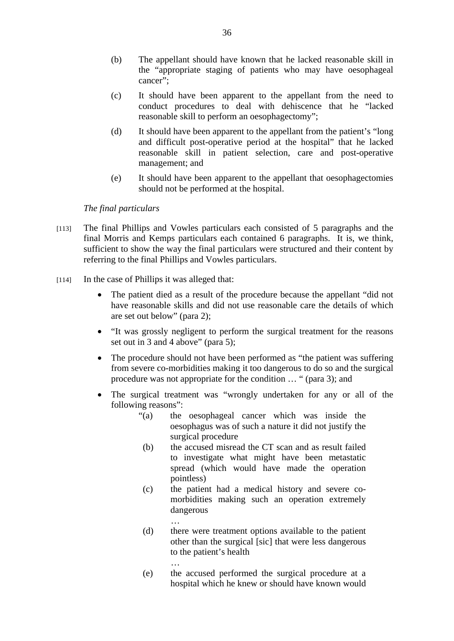- (b) The appellant should have known that he lacked reasonable skill in the "appropriate staging of patients who may have oesophageal cancer";
- (c) It should have been apparent to the appellant from the need to conduct procedures to deal with dehiscence that he "lacked reasonable skill to perform an oesophagectomy";
- (d) It should have been apparent to the appellant from the patient's "long and difficult post-operative period at the hospital" that he lacked reasonable skill in patient selection, care and post-operative management; and
- (e) It should have been apparent to the appellant that oesophagectomies should not be performed at the hospital.

## *The final particulars*

- [113] The final Phillips and Vowles particulars each consisted of 5 paragraphs and the final Morris and Kemps particulars each contained 6 paragraphs. It is, we think, sufficient to show the way the final particulars were structured and their content by referring to the final Phillips and Vowles particulars.
- [114] In the case of Phillips it was alleged that:

…

…

- The patient died as a result of the procedure because the appellant "did not have reasonable skills and did not use reasonable care the details of which are set out below" (para 2);
- "It was grossly negligent to perform the surgical treatment for the reasons set out in 3 and 4 above" (para 5);
- The procedure should not have been performed as "the patient was suffering from severe co-morbidities making it too dangerous to do so and the surgical procedure was not appropriate for the condition … " (para 3); and
- The surgical treatment was "wrongly undertaken for any or all of the following reasons":
	- "(a) the oesophageal cancer which was inside the oesophagus was of such a nature it did not justify the surgical procedure
	- (b) the accused misread the CT scan and as result failed to investigate what might have been metastatic spread (which would have made the operation pointless)
	- (c) the patient had a medical history and severe comorbidities making such an operation extremely dangerous
	- (d) there were treatment options available to the patient other than the surgical [sic] that were less dangerous to the patient's health
	- (e) the accused performed the surgical procedure at a hospital which he knew or should have known would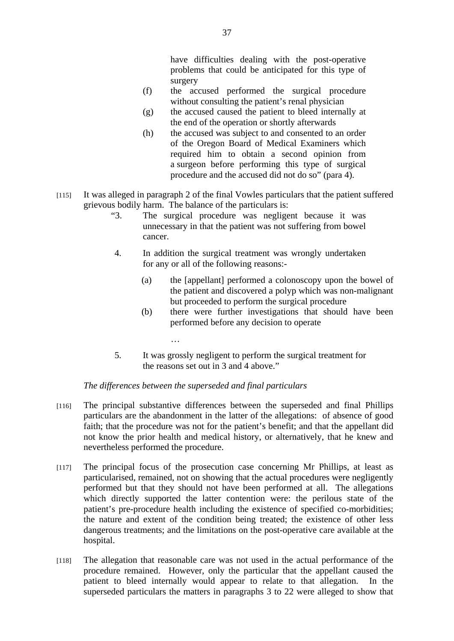have difficulties dealing with the post-operative problems that could be anticipated for this type of surgery

- (f) the accused performed the surgical procedure without consulting the patient's renal physician
- (g) the accused caused the patient to bleed internally at the end of the operation or shortly afterwards
- (h) the accused was subject to and consented to an order of the Oregon Board of Medical Examiners which required him to obtain a second opinion from a surgeon before performing this type of surgical procedure and the accused did not do so" (para 4).
- [115] It was alleged in paragraph 2 of the final Vowles particulars that the patient suffered grievous bodily harm. The balance of the particulars is:
	- "3. The surgical procedure was negligent because it was unnecessary in that the patient was not suffering from bowel cancer.
	- 4. In addition the surgical treatment was wrongly undertaken for any or all of the following reasons:-
		- (a) the [appellant] performed a colonoscopy upon the bowel of the patient and discovered a polyp which was non-malignant but proceeded to perform the surgical procedure
		- (b) there were further investigations that should have been performed before any decision to operate
	- 5. It was grossly negligent to perform the surgical treatment for the reasons set out in 3 and 4 above."

## *The differences between the superseded and final particulars*

…

- [116] The principal substantive differences between the superseded and final Phillips particulars are the abandonment in the latter of the allegations: of absence of good faith; that the procedure was not for the patient's benefit; and that the appellant did not know the prior health and medical history, or alternatively, that he knew and nevertheless performed the procedure.
- [117] The principal focus of the prosecution case concerning Mr Phillips, at least as particularised, remained, not on showing that the actual procedures were negligently performed but that they should not have been performed at all. The allegations which directly supported the latter contention were: the perilous state of the patient's pre-procedure health including the existence of specified co-morbidities; the nature and extent of the condition being treated; the existence of other less dangerous treatments; and the limitations on the post-operative care available at the hospital.
- [118] The allegation that reasonable care was not used in the actual performance of the procedure remained. However, only the particular that the appellant caused the patient to bleed internally would appear to relate to that allegation. In the superseded particulars the matters in paragraphs 3 to 22 were alleged to show that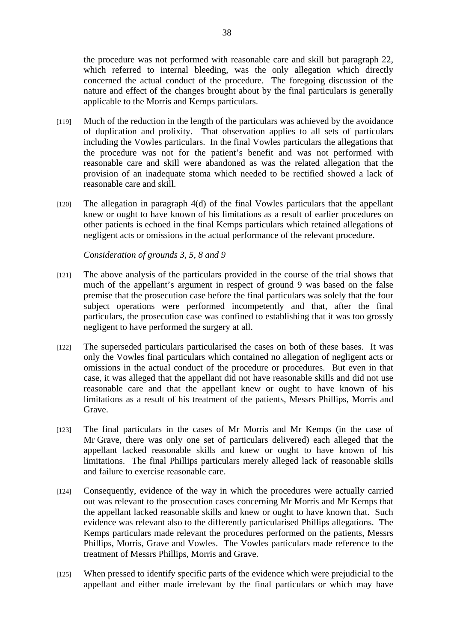the procedure was not performed with reasonable care and skill but paragraph 22, which referred to internal bleeding, was the only allegation which directly concerned the actual conduct of the procedure. The foregoing discussion of the nature and effect of the changes brought about by the final particulars is generally applicable to the Morris and Kemps particulars.

- [119] Much of the reduction in the length of the particulars was achieved by the avoidance of duplication and prolixity. That observation applies to all sets of particulars including the Vowles particulars. In the final Vowles particulars the allegations that the procedure was not for the patient's benefit and was not performed with reasonable care and skill were abandoned as was the related allegation that the provision of an inadequate stoma which needed to be rectified showed a lack of reasonable care and skill.
- [120] The allegation in paragraph 4(d) of the final Vowles particulars that the appellant knew or ought to have known of his limitations as a result of earlier procedures on other patients is echoed in the final Kemps particulars which retained allegations of negligent acts or omissions in the actual performance of the relevant procedure.

*Consideration of grounds 3, 5, 8 and 9* 

- [121] The above analysis of the particulars provided in the course of the trial shows that much of the appellant's argument in respect of ground 9 was based on the false premise that the prosecution case before the final particulars was solely that the four subject operations were performed incompetently and that, after the final particulars, the prosecution case was confined to establishing that it was too grossly negligent to have performed the surgery at all.
- [122] The superseded particulars particularised the cases on both of these bases. It was only the Vowles final particulars which contained no allegation of negligent acts or omissions in the actual conduct of the procedure or procedures. But even in that case, it was alleged that the appellant did not have reasonable skills and did not use reasonable care and that the appellant knew or ought to have known of his limitations as a result of his treatment of the patients, Messrs Phillips, Morris and Grave.
- [123] The final particulars in the cases of Mr Morris and Mr Kemps (in the case of Mr Grave, there was only one set of particulars delivered) each alleged that the appellant lacked reasonable skills and knew or ought to have known of his limitations. The final Phillips particulars merely alleged lack of reasonable skills and failure to exercise reasonable care.
- [124] Consequently, evidence of the way in which the procedures were actually carried out was relevant to the prosecution cases concerning Mr Morris and Mr Kemps that the appellant lacked reasonable skills and knew or ought to have known that. Such evidence was relevant also to the differently particularised Phillips allegations. The Kemps particulars made relevant the procedures performed on the patients, Messrs Phillips, Morris, Grave and Vowles. The Vowles particulars made reference to the treatment of Messrs Phillips, Morris and Grave.
- [125] When pressed to identify specific parts of the evidence which were prejudicial to the appellant and either made irrelevant by the final particulars or which may have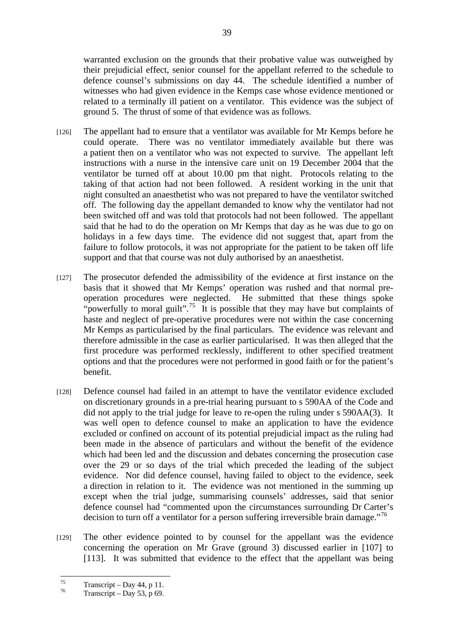warranted exclusion on the grounds that their probative value was outweighed by their prejudicial effect, senior counsel for the appellant referred to the schedule to defence counsel's submissions on day 44. The schedule identified a number of witnesses who had given evidence in the Kemps case whose evidence mentioned or related to a terminally ill patient on a ventilator. This evidence was the subject of ground 5.The thrust of some of that evidence was as follows.

- [126] The appellant had to ensure that a ventilator was available for Mr Kemps before he could operate. There was no ventilator immediately available but there was a patient then on a ventilator who was not expected to survive. The appellant left instructions with a nurse in the intensive care unit on 19 December 2004 that the ventilator be turned off at about 10.00 pm that night. Protocols relating to the taking of that action had not been followed. A resident working in the unit that night consulted an anaesthetist who was not prepared to have the ventilator switched off. The following day the appellant demanded to know why the ventilator had not been switched off and was told that protocols had not been followed. The appellant said that he had to do the operation on Mr Kemps that day as he was due to go on holidays in a few days time. The evidence did not suggest that, apart from the failure to follow protocols, it was not appropriate for the patient to be taken off life support and that that course was not duly authorised by an anaesthetist.
- [127] The prosecutor defended the admissibility of the evidence at first instance on the basis that it showed that Mr Kemps' operation was rushed and that normal preoperation procedures were neglected. He submitted that these things spoke "powerfully to moral guilt".<sup>75</sup> It is possible that they may have but complaints of haste and neglect of pre-operative procedures were not within the case concerning Mr Kemps as particularised by the final particulars. The evidence was relevant and therefore admissible in the case as earlier particularised. It was then alleged that the first procedure was performed recklessly, indifferent to other specified treatment options and that the procedures were not performed in good faith or for the patient's benefit.
- [128] Defence counsel had failed in an attempt to have the ventilator evidence excluded on discretionary grounds in a pre-trial hearing pursuant to s 590AA of the Code and did not apply to the trial judge for leave to re-open the ruling under s 590AA(3). It was well open to defence counsel to make an application to have the evidence excluded or confined on account of its potential prejudicial impact as the ruling had been made in the absence of particulars and without the benefit of the evidence which had been led and the discussion and debates concerning the prosecution case over the 29 or so days of the trial which preceded the leading of the subject evidence. Nor did defence counsel, having failed to object to the evidence, seek a direction in relation to it. The evidence was not mentioned in the summing up except when the trial judge, summarising counsels' addresses, said that senior defence counsel had "commented upon the circumstances surrounding Dr Carter's decision to turn off a ventilator for a person suffering irreversible brain damage."<sup>76</sup>
- [129] The other evidence pointed to by counsel for the appellant was the evidence concerning the operation on Mr Grave (ground 3) discussed earlier in [107] to [113]. It was submitted that evidence to the effect that the appellant was being

<sup>75</sup>  $^{75}$  Transcript – Day 44, p 11.

Transcript – Day 53, p 69.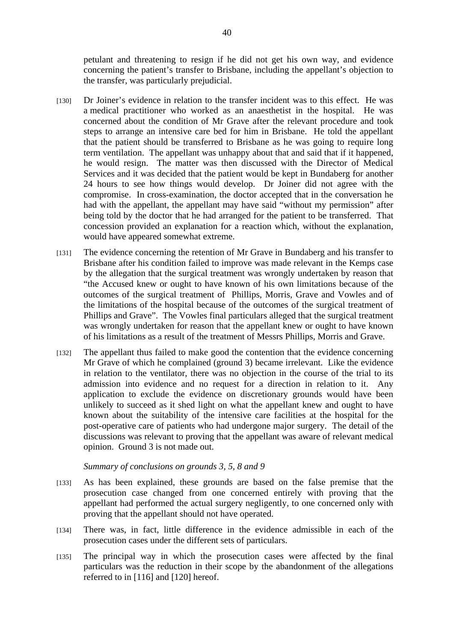petulant and threatening to resign if he did not get his own way, and evidence concerning the patient's transfer to Brisbane, including the appellant's objection to the transfer, was particularly prejudicial.

- [130] Dr Joiner's evidence in relation to the transfer incident was to this effect. He was a medical practitioner who worked as an anaesthetist in the hospital. He was concerned about the condition of Mr Grave after the relevant procedure and took steps to arrange an intensive care bed for him in Brisbane. He told the appellant that the patient should be transferred to Brisbane as he was going to require long term ventilation. The appellant was unhappy about that and said that if it happened, he would resign. The matter was then discussed with the Director of Medical Services and it was decided that the patient would be kept in Bundaberg for another 24 hours to see how things would develop. Dr Joiner did not agree with the compromise. In cross-examination, the doctor accepted that in the conversation he had with the appellant, the appellant may have said "without my permission" after being told by the doctor that he had arranged for the patient to be transferred. That concession provided an explanation for a reaction which, without the explanation, would have appeared somewhat extreme.
- [131] The evidence concerning the retention of Mr Grave in Bundaberg and his transfer to Brisbane after his condition failed to improve was made relevant in the Kemps case by the allegation that the surgical treatment was wrongly undertaken by reason that "the Accused knew or ought to have known of his own limitations because of the outcomes of the surgical treatment of Phillips, Morris, Grave and Vowles and of the limitations of the hospital because of the outcomes of the surgical treatment of Phillips and Grave". The Vowles final particulars alleged that the surgical treatment was wrongly undertaken for reason that the appellant knew or ought to have known of his limitations as a result of the treatment of Messrs Phillips, Morris and Grave.
- [132] The appellant thus failed to make good the contention that the evidence concerning Mr Grave of which he complained (ground 3) became irrelevant. Like the evidence in relation to the ventilator, there was no objection in the course of the trial to its admission into evidence and no request for a direction in relation to it. Any application to exclude the evidence on discretionary grounds would have been unlikely to succeed as it shed light on what the appellant knew and ought to have known about the suitability of the intensive care facilities at the hospital for the post-operative care of patients who had undergone major surgery. The detail of the discussions was relevant to proving that the appellant was aware of relevant medical opinion. Ground 3 is not made out.

#### *Summary of conclusions on grounds 3, 5, 8 and 9*

- [133] As has been explained, these grounds are based on the false premise that the prosecution case changed from one concerned entirely with proving that the appellant had performed the actual surgery negligently, to one concerned only with proving that the appellant should not have operated.
- [134] There was, in fact, little difference in the evidence admissible in each of the prosecution cases under the different sets of particulars.
- [135] The principal way in which the prosecution cases were affected by the final particulars was the reduction in their scope by the abandonment of the allegations referred to in [116] and [120] hereof.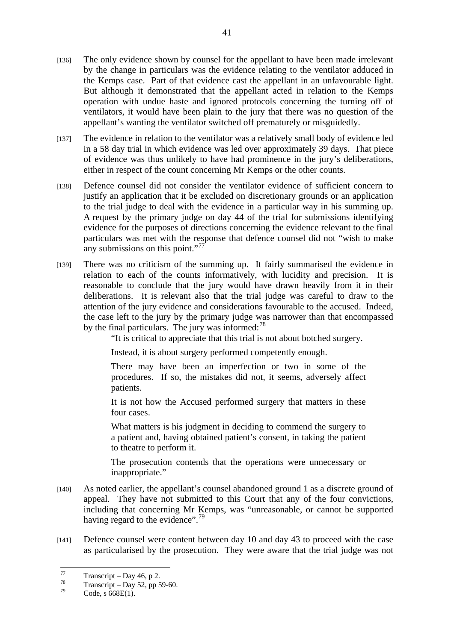- [137] The evidence in relation to the ventilator was a relatively small body of evidence led in a 58 day trial in which evidence was led over approximately 39 days. That piece of evidence was thus unlikely to have had prominence in the jury's deliberations, either in respect of the count concerning Mr Kemps or the other counts.
- [138] Defence counsel did not consider the ventilator evidence of sufficient concern to justify an application that it be excluded on discretionary grounds or an application to the trial judge to deal with the evidence in a particular way in his summing up. A request by the primary judge on day 44 of the trial for submissions identifying evidence for the purposes of directions concerning the evidence relevant to the final particulars was met with the response that defence counsel did not "wish to make any submissions on this point."<sup>77</sup>
- [139] There was no criticism of the summing up. It fairly summarised the evidence in relation to each of the counts informatively, with lucidity and precision. It is reasonable to conclude that the jury would have drawn heavily from it in their deliberations. It is relevant also that the trial judge was careful to draw to the attention of the jury evidence and considerations favourable to the accused. Indeed, the case left to the jury by the primary judge was narrower than that encompassed by the final particulars. The jury was informed: $^{78}$

"It is critical to appreciate that this trial is not about botched surgery.

Instead, it is about surgery performed competently enough.

There may have been an imperfection or two in some of the procedures. If so, the mistakes did not, it seems, adversely affect patients.

It is not how the Accused performed surgery that matters in these four cases.

What matters is his judgment in deciding to commend the surgery to a patient and, having obtained patient's consent, in taking the patient to theatre to perform it.

The prosecution contends that the operations were unnecessary or inappropriate."

- [140] As noted earlier, the appellant's counsel abandoned ground 1 as a discrete ground of appeal. They have not submitted to this Court that any of the four convictions, including that concerning Mr Kemps, was "unreasonable, or cannot be supported having regard to the evidence".<sup>79</sup>
- [141] Defence counsel were content between day 10 and day 43 to proceed with the case as particularised by the prosecution. They were aware that the trial judge was not

<sup>77</sup>  $\frac{77}{78}$  Transcript – Day 46, p 2.

 $^{78}$  Transcript – Day 52, pp 59-60.

Code, s 668E(1).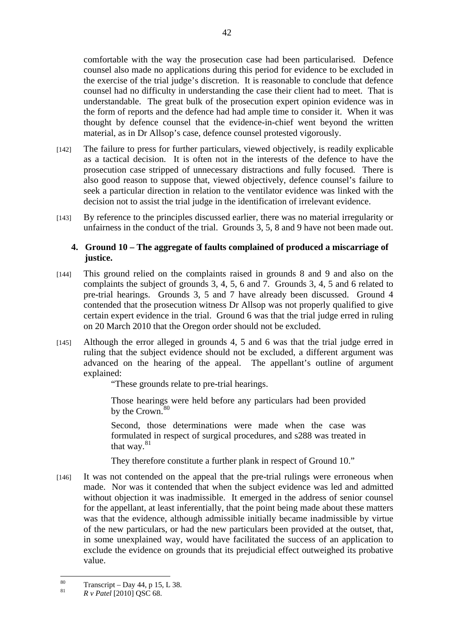comfortable with the way the prosecution case had been particularised. Defence counsel also made no applications during this period for evidence to be excluded in the exercise of the trial judge's discretion. It is reasonable to conclude that defence counsel had no difficulty in understanding the case their client had to meet. That is understandable. The great bulk of the prosecution expert opinion evidence was in the form of reports and the defence had had ample time to consider it. When it was thought by defence counsel that the evidence-in-chief went beyond the written material, as in Dr Allsop's case, defence counsel protested vigorously.

- [142] The failure to press for further particulars, viewed objectively, is readily explicable as a tactical decision. It is often not in the interests of the defence to have the prosecution case stripped of unnecessary distractions and fully focused. There is also good reason to suppose that, viewed objectively, defence counsel's failure to seek a particular direction in relation to the ventilator evidence was linked with the decision not to assist the trial judge in the identification of irrelevant evidence.
- [143] By reference to the principles discussed earlier, there was no material irregularity or unfairness in the conduct of the trial. Grounds 3, 5, 8 and 9 have not been made out.

## **4. Ground 10 – The aggregate of faults complained of produced a miscarriage of justice.**

- [144] This ground relied on the complaints raised in grounds 8 and 9 and also on the complaints the subject of grounds 3, 4, 5, 6 and 7. Grounds 3, 4, 5 and 6 related to pre-trial hearings. Grounds 3, 5 and 7 have already been discussed. Ground 4 contended that the prosecution witness Dr Allsop was not properly qualified to give certain expert evidence in the trial. Ground 6 was that the trial judge erred in ruling on 20 March 2010 that the Oregon order should not be excluded.
- [145] Although the error alleged in grounds 4, 5 and 6 was that the trial judge erred in ruling that the subject evidence should not be excluded, a different argument was advanced on the hearing of the appeal. The appellant's outline of argument explained:

"These grounds relate to pre-trial hearings.

Those hearings were held before any particulars had been provided by the Crown.<sup>80</sup>

Second, those determinations were made when the case was formulated in respect of surgical procedures, and s288 was treated in that way. $81$ 

They therefore constitute a further plank in respect of Ground 10."

[146] It was not contended on the appeal that the pre-trial rulings were erroneous when made. Nor was it contended that when the subject evidence was led and admitted without objection it was inadmissible. It emerged in the address of senior counsel for the appellant, at least inferentially, that the point being made about these matters was that the evidence, although admissible initially became inadmissible by virtue of the new particulars, or had the new particulars been provided at the outset, that, in some unexplained way, would have facilitated the success of an application to exclude the evidence on grounds that its prejudicial effect outweighed its probative value.

<sup>80</sup>  $\frac{80}{81}$  Transcript – Day 44, p 15, L 38.

<sup>81</sup> *R v Patel* [2010] QSC 68.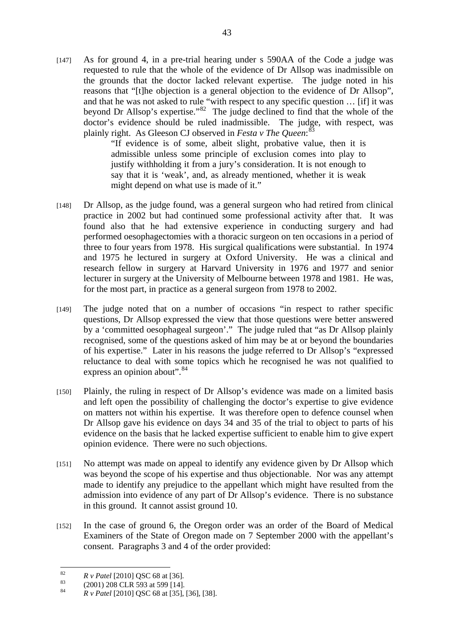[147] As for ground 4, in a pre-trial hearing under s 590AA of the Code a judge was requested to rule that the whole of the evidence of Dr Allsop was inadmissible on the grounds that the doctor lacked relevant expertise. The judge noted in his reasons that "[t]he objection is a general objection to the evidence of Dr Allsop", and that he was not asked to rule "with respect to any specific question … [if] it was beyond Dr Allsop's expertise."<sup>82</sup> The judge declined to find that the whole of the doctor's evidence should be ruled inadmissible. The judge, with respect, was plainly right. As Gleeson CJ observed in *Festa v The Queen*: 83

"If evidence is of some, albeit slight, probative value, then it is admissible unless some principle of exclusion comes into play to justify withholding it from a jury's consideration. It is not enough to say that it is 'weak', and, as already mentioned, whether it is weak might depend on what use is made of it."

- [148] Dr Allsop, as the judge found, was a general surgeon who had retired from clinical practice in 2002 but had continued some professional activity after that. It was found also that he had extensive experience in conducting surgery and had performed oesophagectomies with a thoracic surgeon on ten occasions in a period of three to four years from 1978. His surgical qualifications were substantial. In 1974 and 1975 he lectured in surgery at Oxford University. He was a clinical and research fellow in surgery at Harvard University in 1976 and 1977 and senior lecturer in surgery at the University of Melbourne between 1978 and 1981. He was, for the most part, in practice as a general surgeon from 1978 to 2002.
- [149] The judge noted that on a number of occasions "in respect to rather specific questions, Dr Allsop expressed the view that those questions were better answered by a 'committed oesophageal surgeon'." The judge ruled that "as Dr Allsop plainly recognised, some of the questions asked of him may be at or beyond the boundaries of his expertise." Later in his reasons the judge referred to Dr Allsop's "expressed reluctance to deal with some topics which he recognised he was not qualified to express an opinion about".<sup>84</sup>
- [150] Plainly, the ruling in respect of Dr Allsop's evidence was made on a limited basis and left open the possibility of challenging the doctor's expertise to give evidence on matters not within his expertise. It was therefore open to defence counsel when Dr Allsop gave his evidence on days 34 and 35 of the trial to object to parts of his evidence on the basis that he lacked expertise sufficient to enable him to give expert opinion evidence. There were no such objections.
- [151] No attempt was made on appeal to identify any evidence given by Dr Allsop which was beyond the scope of his expertise and thus objectionable. Nor was any attempt made to identify any prejudice to the appellant which might have resulted from the admission into evidence of any part of Dr Allsop's evidence. There is no substance in this ground. It cannot assist ground 10.
- [152] In the case of ground 6, the Oregon order was an order of the Board of Medical Examiners of the State of Oregon made on 7 September 2000 with the appellant's consent. Paragraphs 3 and 4 of the order provided:

<sup>82</sup> 

<sup>&</sup>lt;sup>82</sup><br><sup>83</sup> *R v Patel* [2010] QSC 68 at [36].<br>(2001) 208 CLR 593 at 599 [14].

<sup>84</sup> *R v Patel* [2010] QSC 68 at [35], [36], [38].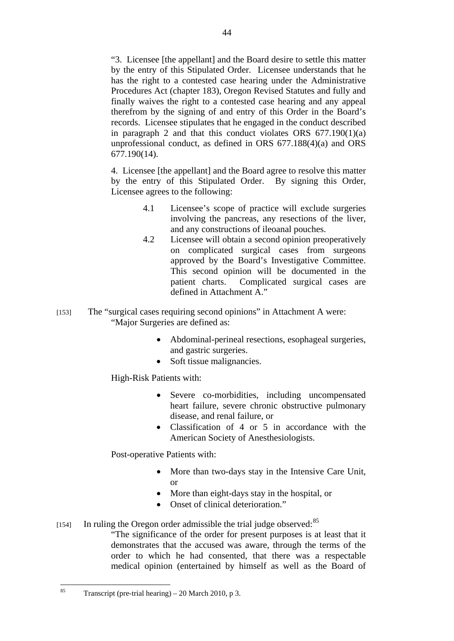"3. Licensee [the appellant] and the Board desire to settle this matter by the entry of this Stipulated Order. Licensee understands that he has the right to a contested case hearing under the Administrative Procedures Act (chapter 183), Oregon Revised Statutes and fully and finally waives the right to a contested case hearing and any appeal therefrom by the signing of and entry of this Order in the Board's records. Licensee stipulates that he engaged in the conduct described in paragraph 2 and that this conduct violates ORS  $677.190(1)(a)$ unprofessional conduct, as defined in ORS 677.188(4)(a) and ORS 677.190(14).

4. Licensee [the appellant] and the Board agree to resolve this matter by the entry of this Stipulated Order. By signing this Order, Licensee agrees to the following:

- 4.1 Licensee's scope of practice will exclude surgeries involving the pancreas, any resections of the liver, and any constructions of ileoanal pouches.
- 4.2 Licensee will obtain a second opinion preoperatively on complicated surgical cases from surgeons approved by the Board's Investigative Committee. This second opinion will be documented in the patient charts. Complicated surgical cases are defined in Attachment A."
- [153] The "surgical cases requiring second opinions" in Attachment A were: "Major Surgeries are defined as:
	- Abdominal-perineal resections, esophageal surgeries, and gastric surgeries.
	- Soft tissue malignancies.

High-Risk Patients with:

- Severe co-morbidities, including uncompensated heart failure, severe chronic obstructive pulmonary disease, and renal failure, or
- Classification of 4 or 5 in accordance with the American Society of Anesthesiologists.

Post-operative Patients with:

- More than two-days stay in the Intensive Care Unit, or
- More than eight-days stay in the hospital, or
- Onset of clinical deterioration."
- [154] In ruling the Oregon order admissible the trial judge observed:<sup>85</sup>
	- "The significance of the order for present purposes is at least that it demonstrates that the accused was aware, through the terms of the order to which he had consented, that there was a respectable medical opinion (entertained by himself as well as the Board of

 $\overline{85}$ Transcript (pre-trial hearing) – 20 March 2010, p 3.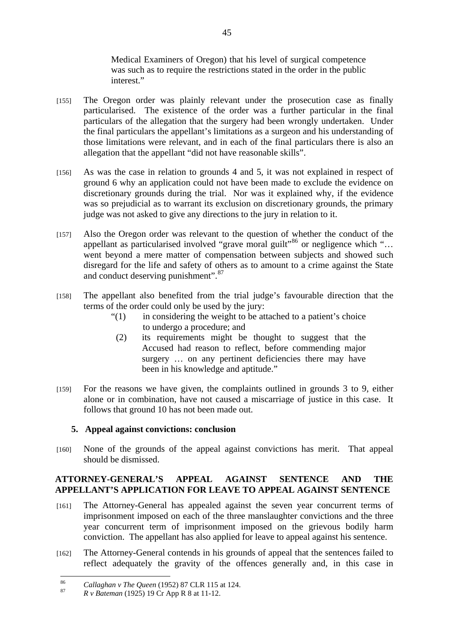Medical Examiners of Oregon) that his level of surgical competence was such as to require the restrictions stated in the order in the public interest."

- [155] The Oregon order was plainly relevant under the prosecution case as finally particularised. The existence of the order was a further particular in the final particulars of the allegation that the surgery had been wrongly undertaken. Under the final particulars the appellant's limitations as a surgeon and his understanding of those limitations were relevant, and in each of the final particulars there is also an allegation that the appellant "did not have reasonable skills".
- [156] As was the case in relation to grounds 4 and 5, it was not explained in respect of ground 6 why an application could not have been made to exclude the evidence on discretionary grounds during the trial. Nor was it explained why, if the evidence was so prejudicial as to warrant its exclusion on discretionary grounds, the primary judge was not asked to give any directions to the jury in relation to it.
- [157] Also the Oregon order was relevant to the question of whether the conduct of the appellant as particularised involved "grave moral guilt"<sup>86</sup> or negligence which "... went beyond a mere matter of compensation between subjects and showed such disregard for the life and safety of others as to amount to a crime against the State and conduct deserving punishment".<sup>87</sup>
- [158] The appellant also benefited from the trial judge's favourable direction that the terms of the order could only be used by the jury:
	- $\ddot{ }$  (1) in considering the weight to be attached to a patient's choice to undergo a procedure; and
		- (2) its requirements might be thought to suggest that the Accused had reason to reflect, before commending major surgery … on any pertinent deficiencies there may have been in his knowledge and aptitude."
- [159] For the reasons we have given, the complaints outlined in grounds 3 to 9, either alone or in combination, have not caused a miscarriage of justice in this case. It follows that ground 10 has not been made out.

## **5. Appeal against convictions: conclusion**

[160] None of the grounds of the appeal against convictions has merit. That appeal should be dismissed.

## **ATTORNEY-GENERAL'S APPEAL AGAINST SENTENCE AND THE APPELLANT'S APPLICATION FOR LEAVE TO APPEAL AGAINST SENTENCE**

- [161] The Attorney-General has appealed against the seven year concurrent terms of imprisonment imposed on each of the three manslaughter convictions and the three year concurrent term of imprisonment imposed on the grievous bodily harm conviction. The appellant has also applied for leave to appeal against his sentence.
- [162] The Attorney-General contends in his grounds of appeal that the sentences failed to reflect adequately the gravity of the offences generally and, in this case in

<sup>86</sup> <sup>86</sup>*Callaghan v The Queen* (1952) 87 CLR 115 at 124. 87 *R v Bateman* (1925) 19 Cr App R 8 at 11-12.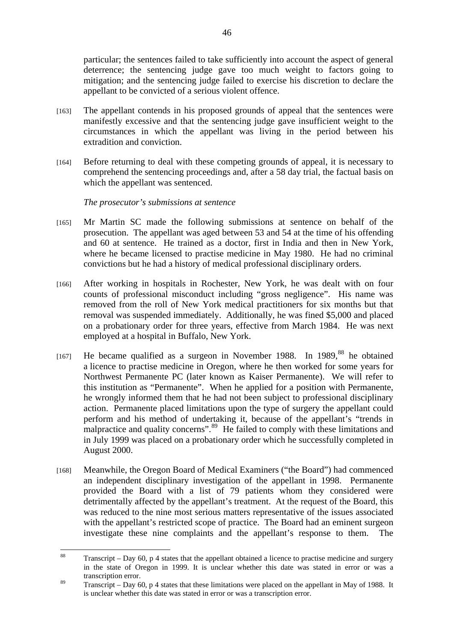particular; the sentences failed to take sufficiently into account the aspect of general deterrence; the sentencing judge gave too much weight to factors going to mitigation; and the sentencing judge failed to exercise his discretion to declare the appellant to be convicted of a serious violent offence.

- [163] The appellant contends in his proposed grounds of appeal that the sentences were manifestly excessive and that the sentencing judge gave insufficient weight to the circumstances in which the appellant was living in the period between his extradition and conviction.
- [164] Before returning to deal with these competing grounds of appeal, it is necessary to comprehend the sentencing proceedings and, after a 58 day trial, the factual basis on which the appellant was sentenced.

## *The prosecutor's submissions at sentence*

- [165] Mr Martin SC made the following submissions at sentence on behalf of the prosecution. The appellant was aged between 53 and 54 at the time of his offending and 60 at sentence. He trained as a doctor, first in India and then in New York, where he became licensed to practise medicine in May 1980. He had no criminal convictions but he had a history of medical professional disciplinary orders.
- [166] After working in hospitals in Rochester, New York, he was dealt with on four counts of professional misconduct including "gross negligence". His name was removed from the roll of New York medical practitioners for six months but that removal was suspended immediately. Additionally, he was fined \$5,000 and placed on a probationary order for three years, effective from March 1984. He was next employed at a hospital in Buffalo, New York.
- [167] He became qualified as a surgeon in November 1988. In 1989,  $88$  he obtained a licence to practise medicine in Oregon, where he then worked for some years for Northwest Permanente PC (later known as Kaiser Permanente). We will refer to this institution as "Permanente". When he applied for a position with Permanente, he wrongly informed them that he had not been subject to professional disciplinary action. Permanente placed limitations upon the type of surgery the appellant could perform and his method of undertaking it, because of the appellant's "trends in malpractice and quality concerns".<sup>89</sup> He failed to comply with these limitations and in July 1999 was placed on a probationary order which he successfully completed in August 2000.
- [168] Meanwhile, the Oregon Board of Medical Examiners ("the Board") had commenced an independent disciplinary investigation of the appellant in 1998. Permanente provided the Board with a list of 79 patients whom they considered were detrimentally affected by the appellant's treatment. At the request of the Board, this was reduced to the nine most serious matters representative of the issues associated with the appellant's restricted scope of practice. The Board had an eminent surgeon investigate these nine complaints and the appellant's response to them. The

<sup>88</sup> 88 Transcript – Day 60, p 4 states that the appellant obtained a licence to practise medicine and surgery in the state of Oregon in 1999. It is unclear whether this date was stated in error or was a transcription error.

 $89$  Transcript – Day 60, p 4 states that these limitations were placed on the appellant in May of 1988. It is unclear whether this date was stated in error or was a transcription error.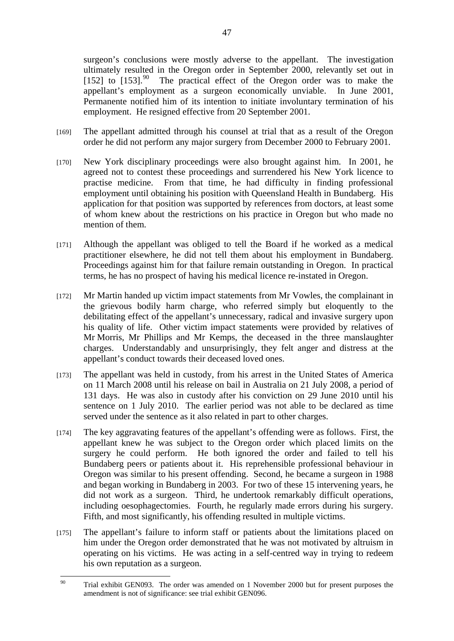surgeon's conclusions were mostly adverse to the appellant. The investigation ultimately resulted in the Oregon order in September 2000, relevantly set out in [152] to  $[153]$ .<sup>90</sup> The practical effect of the Oregon order was to make the appellant's employment as a surgeon economically unviable. In June 2001, Permanente notified him of its intention to initiate involuntary termination of his employment. He resigned effective from 20 September 2001.

- [169] The appellant admitted through his counsel at trial that as a result of the Oregon order he did not perform any major surgery from December 2000 to February 2001.
- [170] New York disciplinary proceedings were also brought against him. In 2001, he agreed not to contest these proceedings and surrendered his New York licence to practise medicine. From that time, he had difficulty in finding professional employment until obtaining his position with Queensland Health in Bundaberg. His application for that position was supported by references from doctors, at least some of whom knew about the restrictions on his practice in Oregon but who made no mention of them.
- [171] Although the appellant was obliged to tell the Board if he worked as a medical practitioner elsewhere, he did not tell them about his employment in Bundaberg. Proceedings against him for that failure remain outstanding in Oregon. In practical terms, he has no prospect of having his medical licence re-instated in Oregon.
- [172] Mr Martin handed up victim impact statements from Mr Vowles, the complainant in the grievous bodily harm charge, who referred simply but eloquently to the debilitating effect of the appellant's unnecessary, radical and invasive surgery upon his quality of life. Other victim impact statements were provided by relatives of Mr Morris, Mr Phillips and Mr Kemps, the deceased in the three manslaughter charges. Understandably and unsurprisingly, they felt anger and distress at the appellant's conduct towards their deceased loved ones.
- [173] The appellant was held in custody, from his arrest in the United States of America on 11 March 2008 until his release on bail in Australia on 21 July 2008, a period of 131 days. He was also in custody after his conviction on 29 June 2010 until his sentence on 1 July 2010. The earlier period was not able to be declared as time served under the sentence as it also related in part to other charges.
- [174] The key aggravating features of the appellant's offending were as follows. First, the appellant knew he was subject to the Oregon order which placed limits on the surgery he could perform. He both ignored the order and failed to tell his Bundaberg peers or patients about it. His reprehensible professional behaviour in Oregon was similar to his present offending. Second, he became a surgeon in 1988 and began working in Bundaberg in 2003. For two of these 15 intervening years, he did not work as a surgeon. Third, he undertook remarkably difficult operations, including oesophagectomies. Fourth, he regularly made errors during his surgery. Fifth, and most significantly, his offending resulted in multiple victims.
- [175] The appellant's failure to inform staff or patients about the limitations placed on him under the Oregon order demonstrated that he was not motivated by altruism in operating on his victims. He was acting in a self-centred way in trying to redeem his own reputation as a surgeon.

 $90^{\circ}$ Trial exhibit GEN093. The order was amended on 1 November 2000 but for present purposes the amendment is not of significance: see trial exhibit GEN096.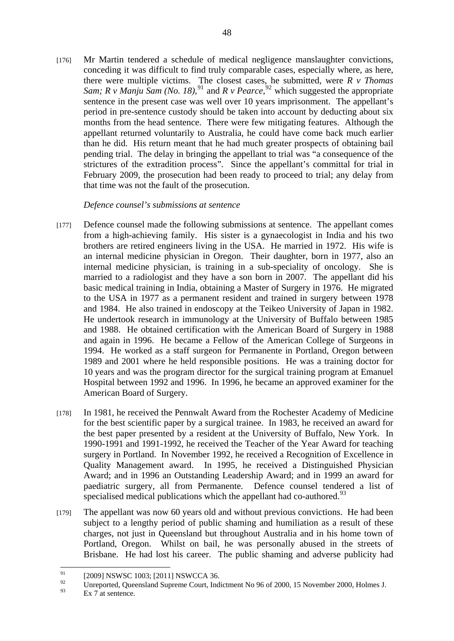[176] Mr Martin tendered a schedule of medical negligence manslaughter convictions, conceding it was difficult to find truly comparable cases, especially where, as here, there were multiple victims. The closest cases, he submitted, were *R v Thomas Sam; R v Manju Sam (No. 18)*,<sup>91</sup> and *R v Pearce*,  $92$  which suggested the appropriate sentence in the present case was well over 10 years imprisonment. The appellant's period in pre-sentence custody should be taken into account by deducting about six months from the head sentence. There were few mitigating features. Although the appellant returned voluntarily to Australia, he could have come back much earlier than he did. His return meant that he had much greater prospects of obtaining bail pending trial. The delay in bringing the appellant to trial was "a consequence of the strictures of the extradition process". Since the appellant's committal for trial in February 2009, the prosecution had been ready to proceed to trial; any delay from that time was not the fault of the prosecution.

## *Defence counsel's submissions at sentence*

- [177] Defence counsel made the following submissions at sentence. The appellant comes from a high-achieving family. His sister is a gynaecologist in India and his two brothers are retired engineers living in the USA. He married in 1972. His wife is an internal medicine physician in Oregon. Their daughter, born in 1977, also an internal medicine physician, is training in a sub-speciality of oncology. She is married to a radiologist and they have a son born in 2007. The appellant did his basic medical training in India, obtaining a Master of Surgery in 1976. He migrated to the USA in 1977 as a permanent resident and trained in surgery between 1978 and 1984. He also trained in endoscopy at the Teikeo University of Japan in 1982. He undertook research in immunology at the University of Buffalo between 1985 and 1988. He obtained certification with the American Board of Surgery in 1988 and again in 1996. He became a Fellow of the American College of Surgeons in 1994. He worked as a staff surgeon for Permanente in Portland, Oregon between 1989 and 2001 where he held responsible positions. He was a training doctor for 10 years and was the program director for the surgical training program at Emanuel Hospital between 1992 and 1996. In 1996, he became an approved examiner for the American Board of Surgery.
- [178] In 1981, he received the Pennwalt Award from the Rochester Academy of Medicine for the best scientific paper by a surgical trainee. In 1983, he received an award for the best paper presented by a resident at the University of Buffalo, New York. In 1990-1991 and 1991-1992, he received the Teacher of the Year Award for teaching surgery in Portland. In November 1992, he received a Recognition of Excellence in Quality Management award. In 1995, he received a Distinguished Physician Award; and in 1996 an Outstanding Leadership Award; and in 1999 an award for paediatric surgery, all from Permanente. Defence counsel tendered a list of specialised medical publications which the appellant had co-authored.<sup>93</sup>
- [179] The appellant was now 60 years old and without previous convictions. He had been subject to a lengthy period of public shaming and humiliation as a result of these charges, not just in Queensland but throughout Australia and in his home town of Portland, Oregon. Whilst on bail, he was personally abused in the streets of Brisbane. He had lost his career. The public shaming and adverse publicity had

Ex 7 at sentence.

 $91$  $^{91}$  [2009] NSWSC 1003; [2011] NSWCCA 36.

Unreported, Queensland Supreme Court, Indictment No 96 of 2000, 15 November 2000, Holmes J.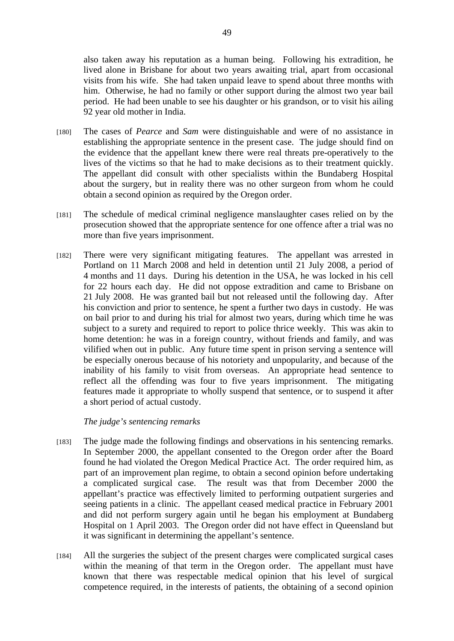also taken away his reputation as a human being. Following his extradition, he lived alone in Brisbane for about two years awaiting trial, apart from occasional visits from his wife. She had taken unpaid leave to spend about three months with him. Otherwise, he had no family or other support during the almost two year bail period. He had been unable to see his daughter or his grandson, or to visit his ailing 92 year old mother in India.

- [180] The cases of *Pearce* and *Sam* were distinguishable and were of no assistance in establishing the appropriate sentence in the present case. The judge should find on the evidence that the appellant knew there were real threats pre-operatively to the lives of the victims so that he had to make decisions as to their treatment quickly. The appellant did consult with other specialists within the Bundaberg Hospital about the surgery, but in reality there was no other surgeon from whom he could obtain a second opinion as required by the Oregon order.
- [181] The schedule of medical criminal negligence manslaughter cases relied on by the prosecution showed that the appropriate sentence for one offence after a trial was no more than five years imprisonment.
- [182] There were very significant mitigating features. The appellant was arrested in Portland on 11 March 2008 and held in detention until 21 July 2008, a period of 4 months and 11 days. During his detention in the USA, he was locked in his cell for 22 hours each day. He did not oppose extradition and came to Brisbane on 21 July 2008. He was granted bail but not released until the following day. After his conviction and prior to sentence, he spent a further two days in custody. He was on bail prior to and during his trial for almost two years, during which time he was subject to a surety and required to report to police thrice weekly. This was akin to home detention: he was in a foreign country, without friends and family, and was vilified when out in public. Any future time spent in prison serving a sentence will be especially onerous because of his notoriety and unpopularity, and because of the inability of his family to visit from overseas. An appropriate head sentence to reflect all the offending was four to five years imprisonment. The mitigating features made it appropriate to wholly suspend that sentence, or to suspend it after a short period of actual custody.

*The judge's sentencing remarks* 

- [183] The judge made the following findings and observations in his sentencing remarks. In September 2000, the appellant consented to the Oregon order after the Board found he had violated the Oregon Medical Practice Act. The order required him, as part of an improvement plan regime, to obtain a second opinion before undertaking a complicated surgical case. The result was that from December 2000 the appellant's practice was effectively limited to performing outpatient surgeries and seeing patients in a clinic. The appellant ceased medical practice in February 2001 and did not perform surgery again until he began his employment at Bundaberg Hospital on 1 April 2003. The Oregon order did not have effect in Queensland but it was significant in determining the appellant's sentence.
- [184] All the surgeries the subject of the present charges were complicated surgical cases within the meaning of that term in the Oregon order. The appellant must have known that there was respectable medical opinion that his level of surgical competence required, in the interests of patients, the obtaining of a second opinion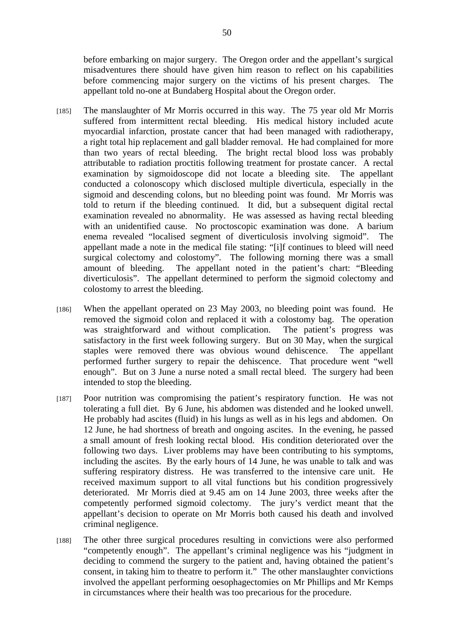before embarking on major surgery. The Oregon order and the appellant's surgical misadventures there should have given him reason to reflect on his capabilities before commencing major surgery on the victims of his present charges. The appellant told no-one at Bundaberg Hospital about the Oregon order.

- [185] The manslaughter of Mr Morris occurred in this way. The 75 year old Mr Morris suffered from intermittent rectal bleeding. His medical history included acute myocardial infarction, prostate cancer that had been managed with radiotherapy, a right total hip replacement and gall bladder removal. He had complained for more than two years of rectal bleeding. The bright rectal blood loss was probably attributable to radiation proctitis following treatment for prostate cancer. A rectal examination by sigmoidoscope did not locate a bleeding site. The appellant conducted a colonoscopy which disclosed multiple diverticula, especially in the sigmoid and descending colons, but no bleeding point was found. Mr Morris was told to return if the bleeding continued. It did, but a subsequent digital rectal examination revealed no abnormality. He was assessed as having rectal bleeding with an unidentified cause. No proctoscopic examination was done. A barium enema revealed "localised segment of diverticulosis involving sigmoid". The appellant made a note in the medical file stating: "[i]f continues to bleed will need surgical colectomy and colostomy". The following morning there was a small amount of bleeding. The appellant noted in the patient's chart: "Bleeding diverticulosis". The appellant determined to perform the sigmoid colectomy and colostomy to arrest the bleeding.
- [186] When the appellant operated on 23 May 2003, no bleeding point was found. He removed the sigmoid colon and replaced it with a colostomy bag. The operation was straightforward and without complication. The patient's progress was satisfactory in the first week following surgery. But on 30 May, when the surgical staples were removed there was obvious wound dehiscence. The appellant performed further surgery to repair the dehiscence. That procedure went "well enough". But on 3 June a nurse noted a small rectal bleed. The surgery had been intended to stop the bleeding.
- [187] Poor nutrition was compromising the patient's respiratory function. He was not tolerating a full diet. By 6 June, his abdomen was distended and he looked unwell. He probably had ascites (fluid) in his lungs as well as in his legs and abdomen. On 12 June, he had shortness of breath and ongoing ascites. In the evening, he passed a small amount of fresh looking rectal blood. His condition deteriorated over the following two days. Liver problems may have been contributing to his symptoms, including the ascites. By the early hours of 14 June, he was unable to talk and was suffering respiratory distress. He was transferred to the intensive care unit. He received maximum support to all vital functions but his condition progressively deteriorated. Mr Morris died at 9.45 am on 14 June 2003, three weeks after the competently performed sigmoid colectomy. The jury's verdict meant that the appellant's decision to operate on Mr Morris both caused his death and involved criminal negligence.
- [188] The other three surgical procedures resulting in convictions were also performed "competently enough". The appellant's criminal negligence was his "judgment in deciding to commend the surgery to the patient and, having obtained the patient's consent, in taking him to theatre to perform it." The other manslaughter convictions involved the appellant performing oesophagectomies on Mr Phillips and Mr Kemps in circumstances where their health was too precarious for the procedure.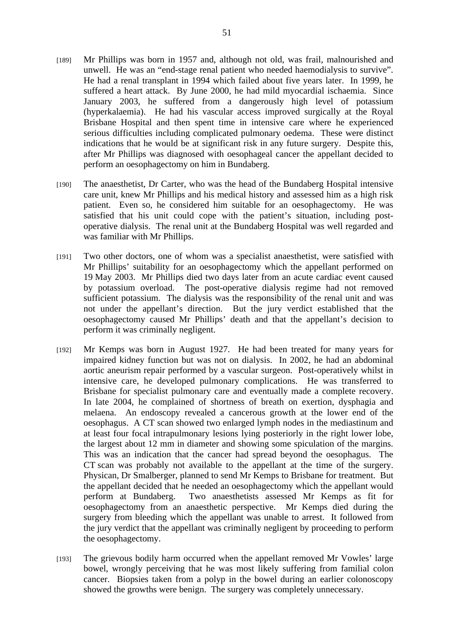- [189] Mr Phillips was born in 1957 and, although not old, was frail, malnourished and unwell. He was an "end-stage renal patient who needed haemodialysis to survive". He had a renal transplant in 1994 which failed about five years later. In 1999, he suffered a heart attack. By June 2000, he had mild myocardial ischaemia. Since January 2003, he suffered from a dangerously high level of potassium (hyperkalaemia). He had his vascular access improved surgically at the Royal Brisbane Hospital and then spent time in intensive care where he experienced serious difficulties including complicated pulmonary oedema. These were distinct indications that he would be at significant risk in any future surgery. Despite this, after Mr Phillips was diagnosed with oesophageal cancer the appellant decided to perform an oesophagectomy on him in Bundaberg.
- [190] The anaesthetist, Dr Carter, who was the head of the Bundaberg Hospital intensive care unit, knew Mr Phillips and his medical history and assessed him as a high risk patient. Even so, he considered him suitable for an oesophagectomy. He was satisfied that his unit could cope with the patient's situation, including postoperative dialysis. The renal unit at the Bundaberg Hospital was well regarded and was familiar with Mr Phillips.
- [191] Two other doctors, one of whom was a specialist anaesthetist, were satisfied with Mr Phillips' suitability for an oesophagectomy which the appellant performed on 19 May 2003. Mr Phillips died two days later from an acute cardiac event caused by potassium overload. The post-operative dialysis regime had not removed sufficient potassium. The dialysis was the responsibility of the renal unit and was not under the appellant's direction. But the jury verdict established that the oesophagectomy caused Mr Phillips' death and that the appellant's decision to perform it was criminally negligent.
- [192] Mr Kemps was born in August 1927. He had been treated for many years for impaired kidney function but was not on dialysis. In 2002, he had an abdominal aortic aneurism repair performed by a vascular surgeon. Post-operatively whilst in intensive care, he developed pulmonary complications. He was transferred to Brisbane for specialist pulmonary care and eventually made a complete recovery. In late 2004, he complained of shortness of breath on exertion, dysphagia and melaena. An endoscopy revealed a cancerous growth at the lower end of the oesophagus. A CT scan showed two enlarged lymph nodes in the mediastinum and at least four focal intrapulmonary lesions lying posteriorly in the right lower lobe, the largest about 12 mm in diameter and showing some spiculation of the margins. This was an indication that the cancer had spread beyond the oesophagus. The CT scan was probably not available to the appellant at the time of the surgery. Physican, Dr Smalberger, planned to send Mr Kemps to Brisbane for treatment. But the appellant decided that he needed an oesophagectomy which the appellant would perform at Bundaberg. Two anaesthetists assessed Mr Kemps as fit for oesophagectomy from an anaesthetic perspective. Mr Kemps died during the surgery from bleeding which the appellant was unable to arrest. It followed from the jury verdict that the appellant was criminally negligent by proceeding to perform the oesophagectomy.
- [193] The grievous bodily harm occurred when the appellant removed Mr Vowles' large bowel, wrongly perceiving that he was most likely suffering from familial colon cancer. Biopsies taken from a polyp in the bowel during an earlier colonoscopy showed the growths were benign. The surgery was completely unnecessary.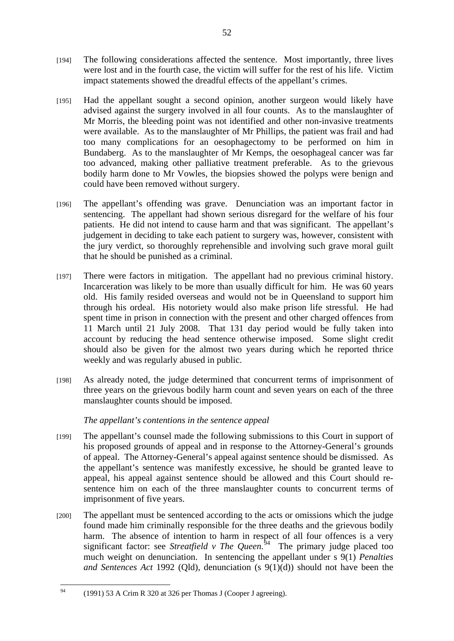- [194] The following considerations affected the sentence. Most importantly, three lives were lost and in the fourth case, the victim will suffer for the rest of his life. Victim impact statements showed the dreadful effects of the appellant's crimes.
- [195] Had the appellant sought a second opinion, another surgeon would likely have advised against the surgery involved in all four counts. As to the manslaughter of Mr Morris, the bleeding point was not identified and other non-invasive treatments were available. As to the manslaughter of Mr Phillips, the patient was frail and had too many complications for an oesophagectomy to be performed on him in Bundaberg. As to the manslaughter of Mr Kemps, the oesophageal cancer was far too advanced, making other palliative treatment preferable. As to the grievous bodily harm done to Mr Vowles, the biopsies showed the polyps were benign and could have been removed without surgery.
- [196] The appellant's offending was grave. Denunciation was an important factor in sentencing. The appellant had shown serious disregard for the welfare of his four patients. He did not intend to cause harm and that was significant. The appellant's judgement in deciding to take each patient to surgery was, however, consistent with the jury verdict, so thoroughly reprehensible and involving such grave moral guilt that he should be punished as a criminal.
- [197] There were factors in mitigation. The appellant had no previous criminal history. Incarceration was likely to be more than usually difficult for him. He was 60 years old. His family resided overseas and would not be in Queensland to support him through his ordeal. His notoriety would also make prison life stressful. He had spent time in prison in connection with the present and other charged offences from 11 March until 21 July 2008. That 131 day period would be fully taken into account by reducing the head sentence otherwise imposed. Some slight credit should also be given for the almost two years during which he reported thrice weekly and was regularly abused in public.
- [198] As already noted, the judge determined that concurrent terms of imprisonment of three years on the grievous bodily harm count and seven years on each of the three manslaughter counts should be imposed.

# *The appellant's contentions in the sentence appeal*

- [199] The appellant's counsel made the following submissions to this Court in support of his proposed grounds of appeal and in response to the Attorney-General's grounds of appeal. The Attorney-General's appeal against sentence should be dismissed. As the appellant's sentence was manifestly excessive, he should be granted leave to appeal, his appeal against sentence should be allowed and this Court should resentence him on each of the three manslaughter counts to concurrent terms of imprisonment of five years.
- [200] The appellant must be sentenced according to the acts or omissions which the judge found made him criminally responsible for the three deaths and the grievous bodily harm. The absence of intention to harm in respect of all four offences is a very significant factor: see *Streatfield v The Queen*.<sup>94</sup> The primary judge placed too much weight on denunciation. In sentencing the appellant under s 9(1) *Penalties and Sentences Act* 1992 (Qld), denunciation (s 9(1)(d)) should not have been the

 $QA$ 94 (1991) 53 A Crim R 320 at 326 per Thomas J (Cooper J agreeing).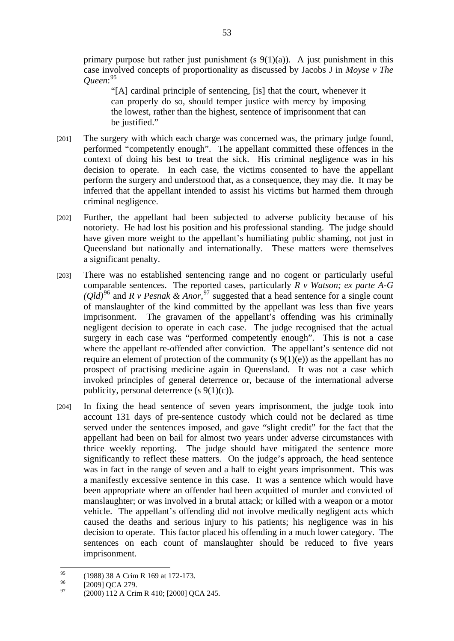primary purpose but rather just punishment (s  $9(1)(a)$ ). A just punishment in this case involved concepts of proportionality as discussed by Jacobs J in *Moyse v The Queen*: 95

"[A] cardinal principle of sentencing, [is] that the court, whenever it can properly do so, should temper justice with mercy by imposing the lowest, rather than the highest, sentence of imprisonment that can be justified."

- [201] The surgery with which each charge was concerned was, the primary judge found, performed "competently enough". The appellant committed these offences in the context of doing his best to treat the sick. His criminal negligence was in his decision to operate. In each case, the victims consented to have the appellant perform the surgery and understood that, as a consequence, they may die. It may be inferred that the appellant intended to assist his victims but harmed them through criminal negligence.
- [202] Further, the appellant had been subjected to adverse publicity because of his notoriety. He had lost his position and his professional standing. The judge should have given more weight to the appellant's humiliating public shaming, not just in Queensland but nationally and internationally. These matters were themselves a significant penalty.
- [203] There was no established sentencing range and no cogent or particularly useful comparable sentences. The reported cases, particularly *R v Watson; ex parte A-G*   $(Qld)^{96}$  and *R v Pesnak & Anor*,<sup>97</sup> suggested that a head sentence for a single count of manslaughter of the kind committed by the appellant was less than five years imprisonment. The gravamen of the appellant's offending was his criminally negligent decision to operate in each case. The judge recognised that the actual surgery in each case was "performed competently enough". This is not a case where the appellant re-offended after conviction. The appellant's sentence did not require an element of protection of the community (s  $9(1)(e)$ ) as the appellant has no prospect of practising medicine again in Queensland. It was not a case which invoked principles of general deterrence or, because of the international adverse publicity, personal deterrence  $(s 9(1)(c))$ .
- [204] In fixing the head sentence of seven years imprisonment, the judge took into account 131 days of pre-sentence custody which could not be declared as time served under the sentences imposed, and gave "slight credit" for the fact that the appellant had been on bail for almost two years under adverse circumstances with thrice weekly reporting. The judge should have mitigated the sentence more significantly to reflect these matters. On the judge's approach, the head sentence was in fact in the range of seven and a half to eight years imprisonment. This was a manifestly excessive sentence in this case. It was a sentence which would have been appropriate where an offender had been acquitted of murder and convicted of manslaughter; or was involved in a brutal attack; or killed with a weapon or a motor vehicle. The appellant's offending did not involve medically negligent acts which caused the deaths and serious injury to his patients; his negligence was in his decision to operate. This factor placed his offending in a much lower category. The sentences on each count of manslaughter should be reduced to five years imprisonment.

<sup>95</sup>  $^{95}$  (1988) 38 A Crim R 169 at 172-173.

 $^{96}$  [2009] QCA 279.

<sup>97 (2000) 112</sup> A Crim R 410; [2000] QCA 245.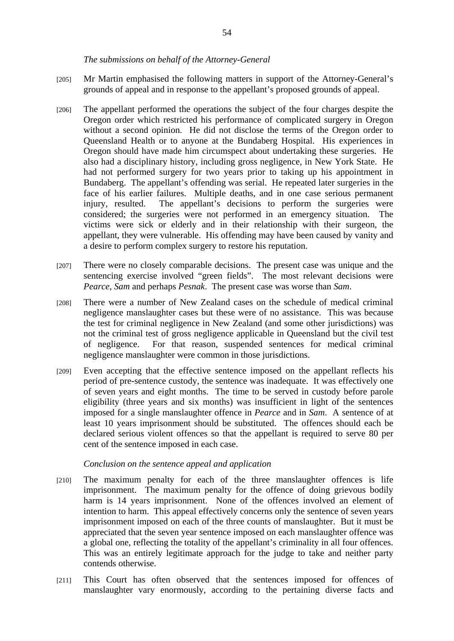#### *The submissions on behalf of the Attorney-General*

- [205] Mr Martin emphasised the following matters in support of the Attorney-General's grounds of appeal and in response to the appellant's proposed grounds of appeal.
- [206] The appellant performed the operations the subject of the four charges despite the Oregon order which restricted his performance of complicated surgery in Oregon without a second opinion. He did not disclose the terms of the Oregon order to Queensland Health or to anyone at the Bundaberg Hospital. His experiences in Oregon should have made him circumspect about undertaking these surgeries. He also had a disciplinary history, including gross negligence, in New York State. He had not performed surgery for two years prior to taking up his appointment in Bundaberg. The appellant's offending was serial. He repeated later surgeries in the face of his earlier failures. Multiple deaths, and in one case serious permanent injury, resulted. The appellant's decisions to perform the surgeries were considered; the surgeries were not performed in an emergency situation. The victims were sick or elderly and in their relationship with their surgeon, the appellant, they were vulnerable. His offending may have been caused by vanity and a desire to perform complex surgery to restore his reputation.
- [207] There were no closely comparable decisions. The present case was unique and the sentencing exercise involved "green fields". The most relevant decisions were *Pearce*, *Sam* and perhaps *Pesnak*. The present case was worse than *Sam*.
- [208] There were a number of New Zealand cases on the schedule of medical criminal negligence manslaughter cases but these were of no assistance. This was because the test for criminal negligence in New Zealand (and some other jurisdictions) was not the criminal test of gross negligence applicable in Queensland but the civil test of negligence. For that reason, suspended sentences for medical criminal negligence manslaughter were common in those jurisdictions.
- [209] Even accepting that the effective sentence imposed on the appellant reflects his period of pre-sentence custody, the sentence was inadequate. It was effectively one of seven years and eight months. The time to be served in custody before parole eligibility (three years and six months) was insufficient in light of the sentences imposed for a single manslaughter offence in *Pearce* and in *Sam*. A sentence of at least 10 years imprisonment should be substituted. The offences should each be declared serious violent offences so that the appellant is required to serve 80 per cent of the sentence imposed in each case.

#### *Conclusion on the sentence appeal and application*

- [210] The maximum penalty for each of the three manslaughter offences is life imprisonment. The maximum penalty for the offence of doing grievous bodily harm is 14 years imprisonment. None of the offences involved an element of intention to harm. This appeal effectively concerns only the sentence of seven years imprisonment imposed on each of the three counts of manslaughter. But it must be appreciated that the seven year sentence imposed on each manslaughter offence was a global one, reflecting the totality of the appellant's criminality in all four offences. This was an entirely legitimate approach for the judge to take and neither party contends otherwise.
- [211] This Court has often observed that the sentences imposed for offences of manslaughter vary enormously, according to the pertaining diverse facts and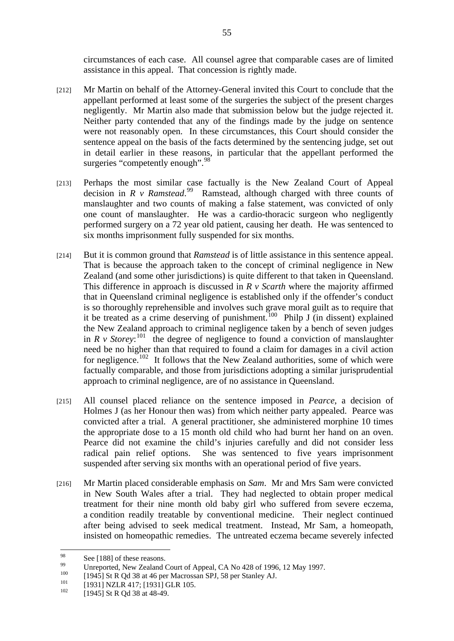circumstances of each case. All counsel agree that comparable cases are of limited assistance in this appeal. That concession is rightly made.

- [212] Mr Martin on behalf of the Attorney-General invited this Court to conclude that the appellant performed at least some of the surgeries the subject of the present charges negligently. Mr Martin also made that submission below but the judge rejected it. Neither party contended that any of the findings made by the judge on sentence were not reasonably open. In these circumstances, this Court should consider the sentence appeal on the basis of the facts determined by the sentencing judge, set out in detail earlier in these reasons, in particular that the appellant performed the surgeries "competently enough".<sup>98</sup>
- [213] Perhaps the most similar case factually is the New Zealand Court of Appeal decision in  $R$  v Ramstead.<sup>99</sup> Ramstead, although charged with three counts of manslaughter and two counts of making a false statement, was convicted of only one count of manslaughter. He was a cardio-thoracic surgeon who negligently performed surgery on a 72 year old patient, causing her death. He was sentenced to six months imprisonment fully suspended for six months.
- [214] But it is common ground that *Ramstead* is of little assistance in this sentence appeal. That is because the approach taken to the concept of criminal negligence in New Zealand (and some other jurisdictions) is quite different to that taken in Queensland. This difference in approach is discussed in *R v Scarth* where the majority affirmed that in Queensland criminal negligence is established only if the offender's conduct is so thoroughly reprehensible and involves such grave moral guilt as to require that it be treated as a crime deserving of punishment.<sup>100</sup> Philp J (in dissent) explained the New Zealand approach to criminal negligence taken by a bench of seven judges in  $R$  v Storey:<sup>101</sup> the degree of negligence to found a conviction of manslaughter need be no higher than that required to found a claim for damages in a civil action for negligence.<sup>102</sup> It follows that the New Zealand authorities, some of which were factually comparable, and those from jurisdictions adopting a similar jurisprudential approach to criminal negligence, are of no assistance in Queensland.
- [215] All counsel placed reliance on the sentence imposed in *Pearce*, a decision of Holmes J (as her Honour then was) from which neither party appealed. Pearce was convicted after a trial. A general practitioner, she administered morphine 10 times the appropriate dose to a 15 month old child who had burnt her hand on an oven. Pearce did not examine the child's injuries carefully and did not consider less radical pain relief options. She was sentenced to five years imprisonment suspended after serving six months with an operational period of five years.
- [216] Mr Martin placed considerable emphasis on *Sam*. Mr and Mrs Sam were convicted in New South Wales after a trial. They had neglected to obtain proper medical treatment for their nine month old baby girl who suffered from severe eczema, a condition readily treatable by conventional medicine. Their neglect continued after being advised to seek medical treatment. Instead, Mr Sam, a homeopath, insisted on homeopathic remedies. The untreated eczema became severely infected

<sup>98</sup>  $\frac{98}{90}$  See [188] of these reasons.

<sup>&</sup>lt;sup>99</sup> Unreported, New Zealand Court of Appeal, CA No 428 of 1996, 12 May 1997.

<sup>&</sup>lt;sup>100</sup> [1945] St R Qd 38 at 46 per Macrossan SPJ, 58 per Stanley AJ.<br>
<sup>101</sup> [1931] NZLR 417; [1931] GLR 105.<br>
<sup>102</sup> [1945] St R Qd 38 at 48-49.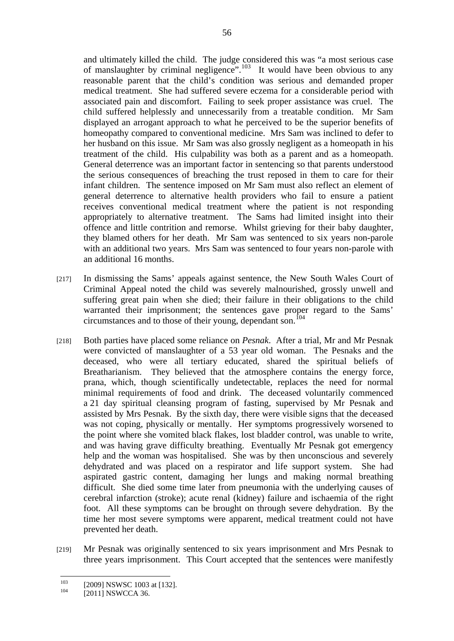and ultimately killed the child. The judge considered this was "a most serious case of manslaughter by criminal negligence".<sup>103</sup> It would have been obvious to any reasonable parent that the child's condition was serious and demanded proper medical treatment. She had suffered severe eczema for a considerable period with associated pain and discomfort. Failing to seek proper assistance was cruel. The child suffered helplessly and unnecessarily from a treatable condition. Mr Sam displayed an arrogant approach to what he perceived to be the superior benefits of homeopathy compared to conventional medicine. Mrs Sam was inclined to defer to her husband on this issue. Mr Sam was also grossly negligent as a homeopath in his treatment of the child. His culpability was both as a parent and as a homeopath. General deterrence was an important factor in sentencing so that parents understood the serious consequences of breaching the trust reposed in them to care for their infant children. The sentence imposed on Mr Sam must also reflect an element of general deterrence to alternative health providers who fail to ensure a patient receives conventional medical treatment where the patient is not responding appropriately to alternative treatment. The Sams had limited insight into their offence and little contrition and remorse. Whilst grieving for their baby daughter, they blamed others for her death. Mr Sam was sentenced to six years non-parole with an additional two years. Mrs Sam was sentenced to four years non-parole with an additional 16 months.

- [217] In dismissing the Sams' appeals against sentence, the New South Wales Court of Criminal Appeal noted the child was severely malnourished, grossly unwell and suffering great pain when she died; their failure in their obligations to the child warranted their imprisonment; the sentences gave proper regard to the Sams' circumstances and to those of their young, dependant son.<sup>104</sup>
- [218] Both parties have placed some reliance on *Pesnak*. After a trial, Mr and Mr Pesnak were convicted of manslaughter of a 53 year old woman. The Pesnaks and the deceased, who were all tertiary educated, shared the spiritual beliefs of Breatharianism. They believed that the atmosphere contains the energy force, prana, which, though scientifically undetectable, replaces the need for normal minimal requirements of food and drink. The deceased voluntarily commenced a 21 day spiritual cleansing program of fasting, supervised by Mr Pesnak and assisted by Mrs Pesnak. By the sixth day, there were visible signs that the deceased was not coping, physically or mentally. Her symptoms progressively worsened to the point where she vomited black flakes, lost bladder control, was unable to write, and was having grave difficulty breathing. Eventually Mr Pesnak got emergency help and the woman was hospitalised. She was by then unconscious and severely dehydrated and was placed on a respirator and life support system. She had aspirated gastric content, damaging her lungs and making normal breathing difficult. She died some time later from pneumonia with the underlying causes of cerebral infarction (stroke); acute renal (kidney) failure and ischaemia of the right foot. All these symptoms can be brought on through severe dehydration. By the time her most severe symptoms were apparent, medical treatment could not have prevented her death.
- [219] Mr Pesnak was originally sentenced to six years imprisonment and Mrs Pesnak to three years imprisonment. This Court accepted that the sentences were manifestly

 $103$ <sup>103</sup> [2009] NSWSC 1003 at [132].<br><sup>104</sup> [2011] NSWCCA 36.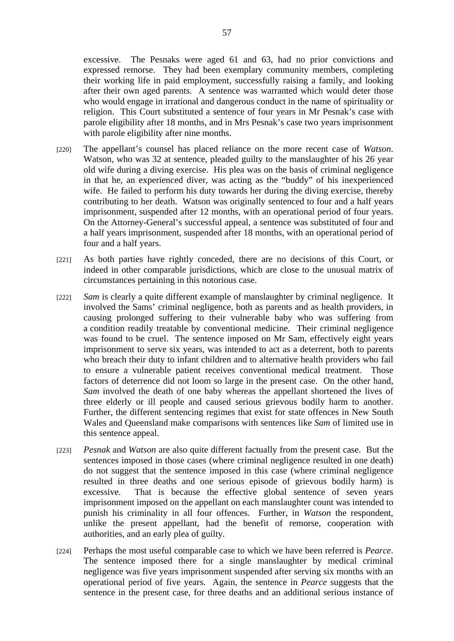excessive. The Pesnaks were aged 61 and 63, had no prior convictions and expressed remorse. They had been exemplary community members, completing their working life in paid employment, successfully raising a family, and looking after their own aged parents. A sentence was warranted which would deter those who would engage in irrational and dangerous conduct in the name of spirituality or religion. This Court substituted a sentence of four years in Mr Pesnak's case with parole eligibility after 18 months, and in Mrs Pesnak's case two years imprisonment with parole eligibility after nine months.

- [220] The appellant's counsel has placed reliance on the more recent case of *Watson*. Watson, who was 32 at sentence, pleaded guilty to the manslaughter of his 26 year old wife during a diving exercise. His plea was on the basis of criminal negligence in that he, an experienced diver, was acting as the "buddy" of his inexperienced wife. He failed to perform his duty towards her during the diving exercise, thereby contributing to her death. Watson was originally sentenced to four and a half years imprisonment, suspended after 12 months, with an operational period of four years. On the Attorney-General's successful appeal, a sentence was substituted of four and a half years imprisonment, suspended after 18 months, with an operational period of four and a half years.
- [221] As both parties have rightly conceded, there are no decisions of this Court, or indeed in other comparable jurisdictions, which are close to the unusual matrix of circumstances pertaining in this notorious case.
- [222] *Sam* is clearly a quite different example of manslaughter by criminal negligence. It involved the Sams' criminal negligence, both as parents and as health providers, in causing prolonged suffering to their vulnerable baby who was suffering from a condition readily treatable by conventional medicine. Their criminal negligence was found to be cruel. The sentence imposed on Mr Sam, effectively eight years imprisonment to serve six years, was intended to act as a deterrent, both to parents who breach their duty to infant children and to alternative health providers who fail to ensure a vulnerable patient receives conventional medical treatment. Those factors of deterrence did not loom so large in the present case. On the other hand, *Sam* involved the death of one baby whereas the appellant shortened the lives of three elderly or ill people and caused serious grievous bodily harm to another. Further, the different sentencing regimes that exist for state offences in New South Wales and Queensland make comparisons with sentences like *Sam* of limited use in this sentence appeal.
- [223] *Pesnak* and *Watson* are also quite different factually from the present case. But the sentences imposed in those cases (where criminal negligence resulted in one death) do not suggest that the sentence imposed in this case (where criminal negligence resulted in three deaths and one serious episode of grievous bodily harm) is excessive. That is because the effective global sentence of seven years imprisonment imposed on the appellant on each manslaughter count was intended to punish his criminality in all four offences. Further, in *Watson* the respondent, unlike the present appellant, had the benefit of remorse, cooperation with authorities, and an early plea of guilty.
- [224] Perhaps the most useful comparable case to which we have been referred is *Pearce*. The sentence imposed there for a single manslaughter by medical criminal negligence was five years imprisonment suspended after serving six months with an operational period of five years. Again, the sentence in *Pearce* suggests that the sentence in the present case, for three deaths and an additional serious instance of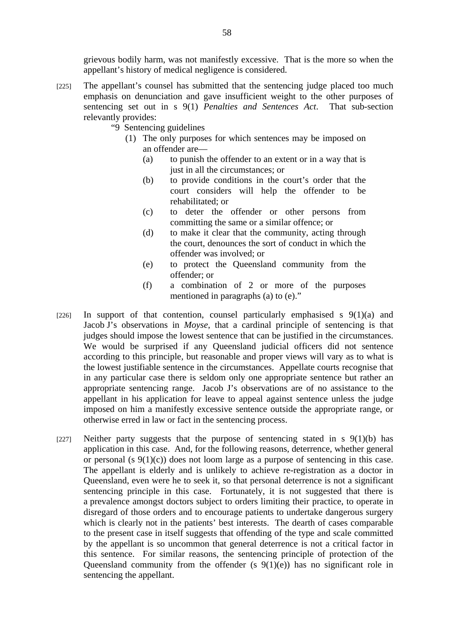grievous bodily harm, was not manifestly excessive. That is the more so when the appellant's history of medical negligence is considered.

- [225] The appellant's counsel has submitted that the sentencing judge placed too much emphasis on denunciation and gave insufficient weight to the other purposes of sentencing set out in s 9(1) *Penalties and Sentences Act*. That sub-section relevantly provides:
	- "9 Sentencing guidelines
		- (1) The only purposes for which sentences may be imposed on an offender are—
			- (a) to punish the offender to an extent or in a way that is just in all the circumstances; or
			- (b) to provide conditions in the court's order that the court considers will help the offender to be rehabilitated; or
			- (c) to deter the offender or other persons from committing the same or a similar offence; or
			- (d) to make it clear that the community, acting through the court, denounces the sort of conduct in which the offender was involved; or
			- (e) to protect the Queensland community from the offender; or
			- (f) a combination of 2 or more of the purposes mentioned in paragraphs (a) to (e)."
- [226] In support of that contention, counsel particularly emphasised s  $9(1)(a)$  and Jacob J's observations in *Moyse*, that a cardinal principle of sentencing is that judges should impose the lowest sentence that can be justified in the circumstances. We would be surprised if any Queensland judicial officers did not sentence according to this principle, but reasonable and proper views will vary as to what is the lowest justifiable sentence in the circumstances. Appellate courts recognise that in any particular case there is seldom only one appropriate sentence but rather an appropriate sentencing range. Jacob J's observations are of no assistance to the appellant in his application for leave to appeal against sentence unless the judge imposed on him a manifestly excessive sentence outside the appropriate range, or otherwise erred in law or fact in the sentencing process.
- [227] Neither party suggests that the purpose of sentencing stated in s  $9(1)(b)$  has application in this case. And, for the following reasons, deterrence, whether general or personal (s  $9(1)(c)$ ) does not loom large as a purpose of sentencing in this case. The appellant is elderly and is unlikely to achieve re-registration as a doctor in Queensland, even were he to seek it, so that personal deterrence is not a significant sentencing principle in this case. Fortunately, it is not suggested that there is a prevalence amongst doctors subject to orders limiting their practice, to operate in disregard of those orders and to encourage patients to undertake dangerous surgery which is clearly not in the patients' best interests. The dearth of cases comparable to the present case in itself suggests that offending of the type and scale committed by the appellant is so uncommon that general deterrence is not a critical factor in this sentence. For similar reasons, the sentencing principle of protection of the Queensland community from the offender (s  $9(1)(e)$ ) has no significant role in sentencing the appellant.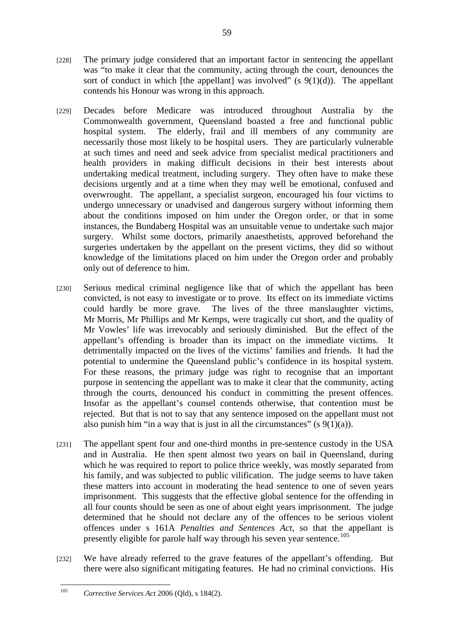- [228] The primary judge considered that an important factor in sentencing the appellant was "to make it clear that the community, acting through the court, denounces the sort of conduct in which [the appellant] was involved" (s  $9(1)(d)$ ). The appellant contends his Honour was wrong in this approach.
- [229] Decades before Medicare was introduced throughout Australia by the Commonwealth government, Queensland boasted a free and functional public hospital system. The elderly, frail and ill members of any community are necessarily those most likely to be hospital users. They are particularly vulnerable at such times and need and seek advice from specialist medical practitioners and health providers in making difficult decisions in their best interests about undertaking medical treatment, including surgery. They often have to make these decisions urgently and at a time when they may well be emotional, confused and overwrought. The appellant, a specialist surgeon, encouraged his four victims to undergo unnecessary or unadvised and dangerous surgery without informing them about the conditions imposed on him under the Oregon order, or that in some instances, the Bundaberg Hospital was an unsuitable venue to undertake such major surgery. Whilst some doctors, primarily anaesthetists, approved beforehand the surgeries undertaken by the appellant on the present victims, they did so without knowledge of the limitations placed on him under the Oregon order and probably only out of deference to him.
- [230] Serious medical criminal negligence like that of which the appellant has been convicted, is not easy to investigate or to prove. Its effect on its immediate victims could hardly be more grave. The lives of the three manslaughter victims, Mr Morris, Mr Phillips and Mr Kemps, were tragically cut short, and the quality of Mr Vowles' life was irrevocably and seriously diminished. But the effect of the appellant's offending is broader than its impact on the immediate victims. It detrimentally impacted on the lives of the victims' families and friends. It had the potential to undermine the Queensland public's confidence in its hospital system. For these reasons, the primary judge was right to recognise that an important purpose in sentencing the appellant was to make it clear that the community, acting through the courts, denounced his conduct in committing the present offences. Insofar as the appellant's counsel contends otherwise, that contention must be rejected. But that is not to say that any sentence imposed on the appellant must not also punish him "in a way that is just in all the circumstances" (s  $9(1)(a)$ ).
- [231] The appellant spent four and one-third months in pre-sentence custody in the USA and in Australia. He then spent almost two years on bail in Queensland, during which he was required to report to police thrice weekly, was mostly separated from his family, and was subjected to public vilification. The judge seems to have taken these matters into account in moderating the head sentence to one of seven years imprisonment. This suggests that the effective global sentence for the offending in all four counts should be seen as one of about eight years imprisonment. The judge determined that he should not declare any of the offences to be serious violent offences under s 161A *Penalties and Sentences Act*, so that the appellant is presently eligible for parole half way through his seven year sentence.<sup>105</sup>
- [232] We have already referred to the grave features of the appellant's offending. But there were also significant mitigating features. He had no criminal convictions. His

 $105$ 105 *Corrective Services Act* 2006 (Qld), s 184(2).